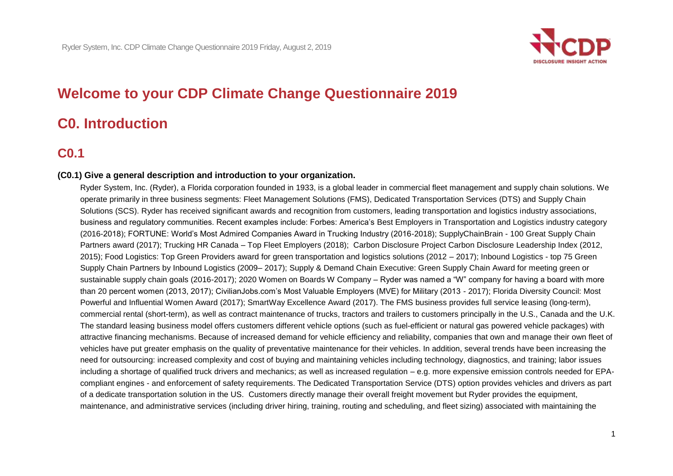

# **Welcome to your CDP Climate Change Questionnaire 2019**

# **C0. Introduction**

## **C0.1**

#### **(C0.1) Give a general description and introduction to your organization.**

 Ryder System, Inc. (Ryder), a Florida corporation founded in 1933, is a global leader in commercial fleet management and supply chain solutions. We 2015); Food Logistics: Top Green Providers award for green transportation and logistics solutions (2012 – 2017); Inbound Logistics - top 75 Green commercial rental (short-term), as well as contract maintenance of trucks, tractors and trailers to customers principally in the U.S., Canada and the U.K. The standard leasing business model offers customers different vehicle options (such as fuel-efficient or natural gas powered vehicle packages) with vehicles have put greater emphasis on the quality of preventative maintenance for their vehicles. In addition, several trends have been increasing the including a shortage of qualified truck drivers and mechanics; as well as increased regulation – e.g. more expensive emission controls needed for EPA- compliant engines - and enforcement of safety requirements. The Dedicated Transportation Service (DTS) option provides vehicles and drivers as part operate primarily in three business segments: Fleet Management Solutions (FMS), Dedicated Transportation Services (DTS) and Supply Chain Solutions (SCS). Ryder has received significant awards and recognition from customers, leading transportation and logistics industry associations, business and regulatory communities. Recent examples include: Forbes: America's Best Employers in Transportation and Logistics industry category (2016-2018); FORTUNE: World's Most Admired Companies Award in Trucking Industry (2016-2018); SupplyChainBrain - 100 Great Supply Chain Partners award (2017); Trucking HR Canada – Top Fleet Employers (2018); Carbon Disclosure Project Carbon Disclosure Leadership Index (2012, Supply Chain Partners by Inbound Logistics (2009– 2017); Supply & Demand Chain Executive: Green Supply Chain Award for meeting green or sustainable supply chain goals (2016-2017); 2020 Women on Boards W Company – Ryder was named a "W" company for having a board with more than 20 percent women (2013, 2017); CivilianJobs.com's Most Valuable Employers (MVE) for Military (2013 - 2017); Florida Diversity Council: Most Powerful and Influential Women Award (2017); SmartWay Excellence Award (2017). The FMS business provides full service leasing (long-term), attractive financing mechanisms. Because of increased demand for vehicle efficiency and reliability, companies that own and manage their own fleet of need for outsourcing: increased complexity and cost of buying and maintaining vehicles including technology, diagnostics, and training; labor issues of a dedicate transportation solution in the US. Customers directly manage their overall freight movement but Ryder provides the equipment, maintenance, and administrative services (including driver hiring, training, routing and scheduling, and fleet sizing) associated with maintaining the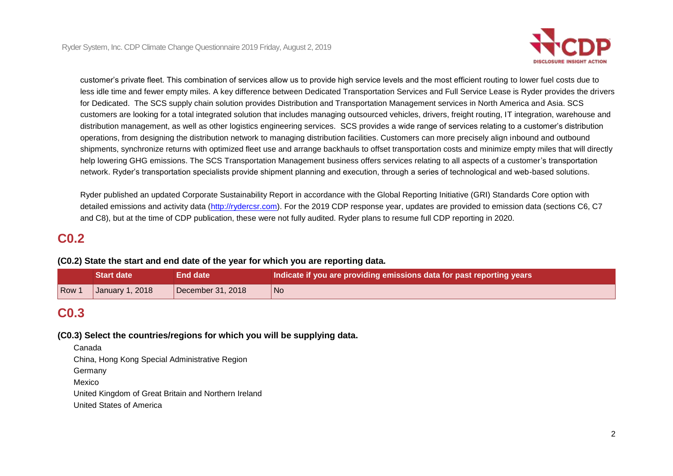

 help lowering GHG emissions. The SCS Transportation Management business offers services relating to all aspects of a customer's transportation customer's private fleet. This combination of services allow us to provide high service levels and the most efficient routing to lower fuel costs due to less idle time and fewer empty miles. A key difference between Dedicated Transportation Services and Full Service Lease is Ryder provides the drivers for Dedicated. The SCS supply chain solution provides Distribution and Transportation Management services in North America and Asia. SCS customers are looking for a total integrated solution that includes managing outsourced vehicles, drivers, freight routing, IT integration, warehouse and distribution management, as well as other logistics engineering services. SCS provides a wide range of services relating to a customer's distribution operations, from designing the distribution network to managing distribution facilities. Customers can more precisely align inbound and outbound shipments, synchronize returns with optimized fleet use and arrange backhauls to offset transportation costs and minimize empty miles that will directly network. Ryder's transportation specialists provide shipment planning and execution, through a series of technological and web-based solutions.

Ryder published an updated Corporate Sustainability Report in accordance with the Global Reporting Initiative (GRI) Standards Core option with detailed emissions and activity data [\(http://rydercsr.com\)](http://rydercsr.com/). For the 2019 CDP response year, updates are provided to emission data (sections C6, C7 and C8), but at the time of CDP publication, these were not fully audited. Ryder plans to resume full CDP reporting in 2020.

## **C0.2**

### **(C0.2) State the start and end date of the year for which you are reporting data.**

|     | Start date <b>\</b> | End date          | Indicate if you are providing emissions data for past reporting years I |
|-----|---------------------|-------------------|-------------------------------------------------------------------------|
| Row | January 1, 2018     | December 31, 2018 | l No                                                                    |

## **C0.3**

#### **(C0.3) Select the countries/regions for which you will be supplying data.**

Canada

China, Hong Kong Special Administrative Region

**Germany** 

Mexico

United Kingdom of Great Britain and Northern Ireland

United States of America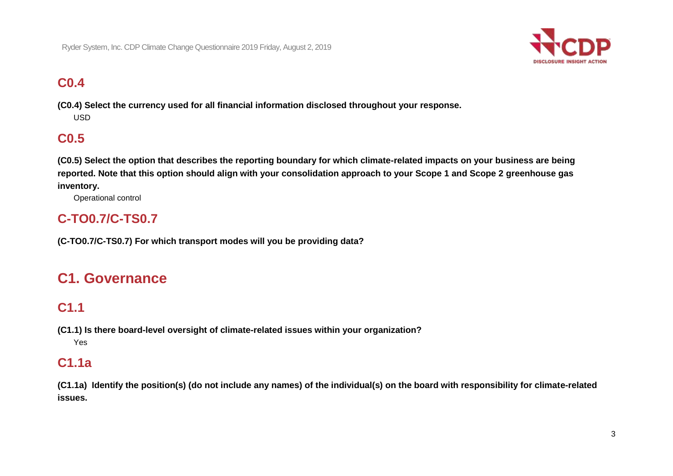

# **C0.4**

 **(C0.4) Select the currency used for all financial information disclosed throughout your response.**  USD

## **C0.5**

 **(C0.5) Select the option that describes the reporting boundary for which climate-related impacts on your business are being reported. Note that this option should align with your consolidation approach to your Scope 1 and Scope 2 greenhouse gas inventory.** 

Operational control

## **C-TO0.7/C-TS0.7**

 **(C-TO0.7/C-TS0.7) For which transport modes will you be providing data?** 

# **C1. Governance**

## **C1.1**

 **(C1.1) Is there board-level oversight of climate-related issues within your organization?**  Yes

## **C1.1a**

 **(C1.1a) Identify the position(s) (do not include any names) of the individual(s) on the board with responsibility for climate-related issues.**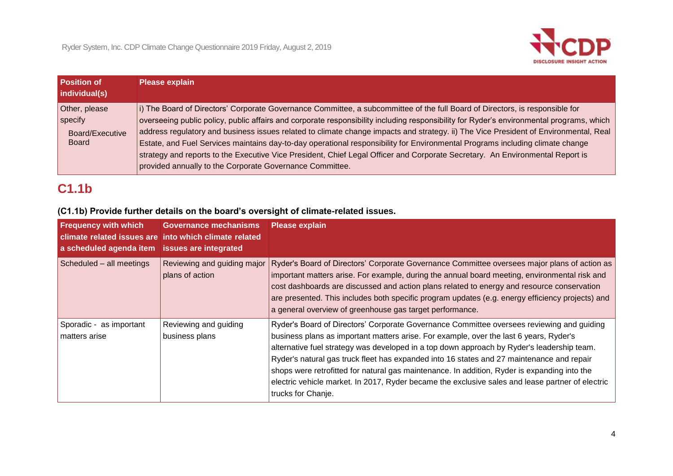

| <b>Position of</b><br>individual(s)                         |
|-------------------------------------------------------------|
| Other, please<br>specify<br>Board/Executive<br><b>Board</b> |

# **C1.1b**

## **(C1.1b) Provide further details on the board's oversight of climate-related issues.**

| <b>Frequency with which</b><br>a scheduled agenda item issues are integrated | <b>Governance mechanisms</b><br>climate related issues are into which climate related | <b>Please explain</b>                                                                                                                                                                                                                                                                                                                                                                                                                                                                                                                                                                                    |
|------------------------------------------------------------------------------|---------------------------------------------------------------------------------------|----------------------------------------------------------------------------------------------------------------------------------------------------------------------------------------------------------------------------------------------------------------------------------------------------------------------------------------------------------------------------------------------------------------------------------------------------------------------------------------------------------------------------------------------------------------------------------------------------------|
| Scheduled - all meetings                                                     | Reviewing and guiding major<br>plans of action                                        | Ryder's Board of Directors' Corporate Governance Committee oversees major plans of action as<br>important matters arise. For example, during the annual board meeting, environmental risk and<br>cost dashboards are discussed and action plans related to energy and resource conservation<br>are presented. This includes both specific program updates (e.g. energy efficiency projects) and<br>a general overview of greenhouse gas target performance.                                                                                                                                              |
| Sporadic - as important<br>matters arise                                     | Reviewing and guiding<br>business plans                                               | Ryder's Board of Directors' Corporate Governance Committee oversees reviewing and guiding<br>business plans as important matters arise. For example, over the last 6 years, Ryder's<br>alternative fuel strategy was developed in a top down approach by Ryder's leadership team.<br>Ryder's natural gas truck fleet has expanded into 16 states and 27 maintenance and repair<br>shops were retrofitted for natural gas maintenance. In addition, Ryder is expanding into the<br>electric vehicle market. In 2017, Ryder became the exclusive sales and lease partner of electric<br>trucks for Chanje. |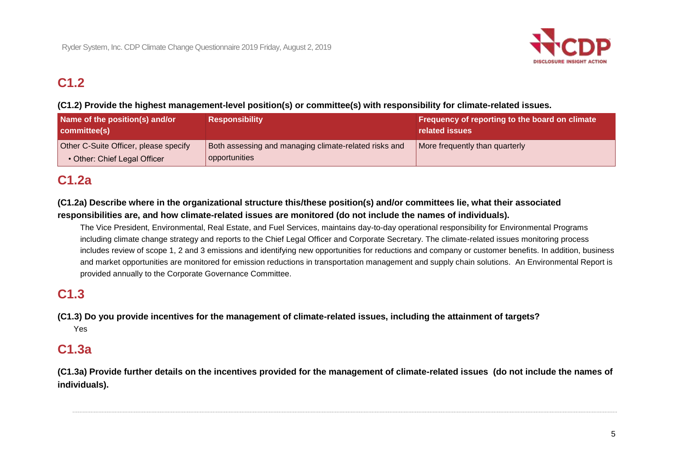

# **C1.2**

## **(C1.2) Provide the highest management-level position(s) or committee(s) with responsibility for climate-related issues.**

| Name of the position(s) and/or<br>committee(s)                        | <b>Responsibility</b>                                                  | Frequency of reporting to the board on climate<br>related issues |
|-----------------------------------------------------------------------|------------------------------------------------------------------------|------------------------------------------------------------------|
| Other C-Suite Officer, please specify<br>• Other: Chief Legal Officer | Both assessing and managing climate-related risks and<br>opportunities | More frequently than quarterly                                   |

# **C1.2a**

 **(C1.2a) Describe where in the organizational structure this/these position(s) and/or committees lie, what their associated responsibilities are, and how climate-related issues are monitored (do not include the names of individuals).** 

 The Vice President, Environmental, Real Estate, and Fuel Services, maintains day-to-day operational responsibility for Environmental Programs includes review of scope 1, 2 and 3 emissions and identifying new opportunities for reductions and company or customer benefits. In addition, business including climate change strategy and reports to the Chief Legal Officer and Corporate Secretary. The climate-related issues monitoring process and market opportunities are monitored for emission reductions in transportation management and supply chain solutions. An Environmental Report is provided annually to the Corporate Governance Committee.

## **C1.3**

 **(C1.3) Do you provide incentives for the management of climate-related issues, including the attainment of targets?**  Yes

## **C1.3a**

 **(C1.3a) Provide further details on the incentives provided for the management of climate-related issues (do not include the names of individuals).**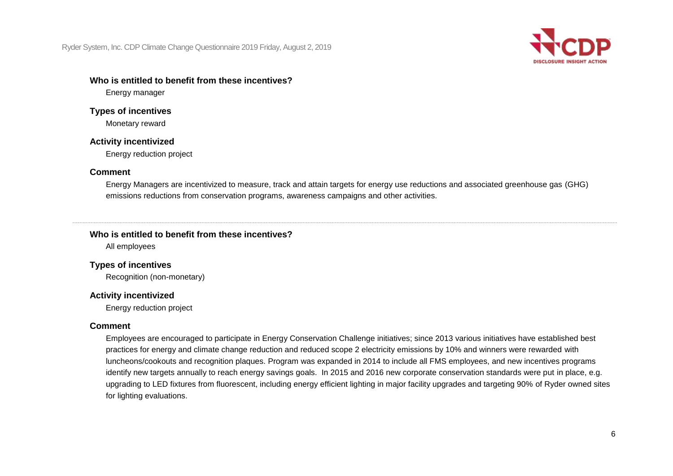

### **Who is entitled to benefit from these incentives?**

Energy manager

### **Types of incentives**

Monetary reward

### **Activity incentivized**

Energy reduction project

### **Comment**

Energy Managers are incentivized to measure, track and attain targets for energy use reductions and associated greenhouse gas (GHG) emissions reductions from conservation programs, awareness campaigns and other activities.

## **Who is entitled to benefit from these incentives?**

All employees

## **Types of incentives**

Recognition (non-monetary)

## **Activity incentivized**

Energy reduction project

## **Comment**

 Employees are encouraged to participate in Energy Conservation Challenge initiatives; since 2013 various initiatives have established best identify new targets annually to reach energy savings goals. In 2015 and 2016 new corporate conservation standards were put in place, e.g. practices for energy and climate change reduction and reduced scope 2 electricity emissions by 10% and winners were rewarded with luncheons/cookouts and recognition plaques. Program was expanded in 2014 to include all FMS employees, and new incentives programs upgrading to LED fixtures from fluorescent, including energy efficient lighting in major facility upgrades and targeting 90% of Ryder owned sites for lighting evaluations.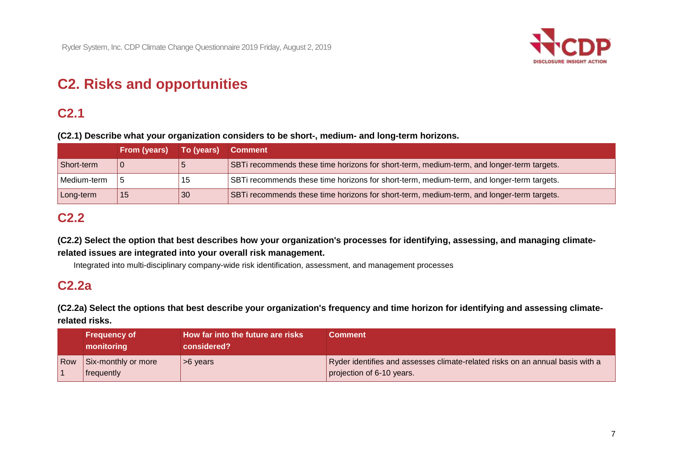

# **C2. Risks and opportunities**

## **C2.1**

 **(C2.1) Describe what your organization considers to be short-, medium- and long-term horizons.** 

|             | From (years) | To (years) | <b>Comment</b>                                                                            |
|-------------|--------------|------------|-------------------------------------------------------------------------------------------|
| Short-term  |              |            | SBTi recommends these time horizons for short-term, medium-term, and longer-term targets. |
| Medium-term |              | 15         | SBTi recommends these time horizons for short-term, medium-term, and longer-term targets. |
| Long-term   | -15          | 30         | SBTi recommends these time horizons for short-term, medium-term, and longer-term targets. |

## **C2.2**

 **(C2.2) Select the option that best describes how your organization's processes for identifying, assessing, and managing climate- related issues are integrated into your overall risk management.** 

Integrated into multi-disciplinary company-wide risk identification, assessment, and management processes

## **C2.2a**

 **(C2.2a) Select the options that best describe your organization's frequency and time horizon for identifying and assessing climaterelated risks.** 

|            | <b>Frequency of</b><br>monitoring        | How far into the future are risks<br>considered? | Comment                                                                                                    |
|------------|------------------------------------------|--------------------------------------------------|------------------------------------------------------------------------------------------------------------|
| <b>Row</b> | Six-monthly or more<br><b>frequently</b> | >6 years                                         | Ryder identifies and assesses climate-related risks on an annual basis with a<br>projection of 6-10 years. |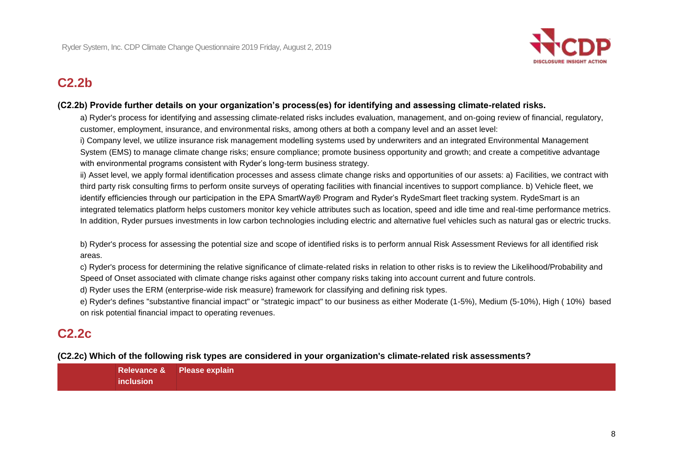

## **C2.2b**

### **(C2.2b) Provide further details on your organization's process(es) for identifying and assessing climate-related risks.**

a) Ryder's process for identifying and assessing climate-related risks includes evaluation, management, and on-going review of financial, regulatory, customer, employment, insurance, and environmental risks, among others at both a company level and an asset level:

i) Company level, we utilize insurance risk management modelling systems used by underwriters and an integrated Environmental Management System (EMS) to manage climate change risks; ensure compliance; promote business opportunity and growth; and create a competitive advantage with environmental programs consistent with Ryder's long-term business strategy.

 identify efficiencies through our participation in the EPA SmartWay® Program and Ryder's RydeSmart fleet tracking system. RydeSmart is an In addition, Ryder pursues investments in low carbon technologies including electric and alternative fuel vehicles such as natural gas or electric trucks. ii) Asset level, we apply formal identification processes and assess climate change risks and opportunities of our assets: a) Facilities, we contract with third party risk consulting firms to perform onsite surveys of operating facilities with financial incentives to support compliance. b) Vehicle fleet, we integrated telematics platform helps customers monitor key vehicle attributes such as location, speed and idle time and real-time performance metrics.

b) Ryder's process for assessing the potential size and scope of identified risks is to perform annual Risk Assessment Reviews for all identified risk areas.

 c) Ryder's process for determining the relative significance of climate-related risks in relation to other risks is to review the Likelihood/Probability and Speed of Onset associated with climate change risks against other company risks taking into account current and future controls.

d) Ryder uses the ERM (enterprise-wide risk measure) framework for classifying and defining risk types.

e) Ryder's defines "substantive financial impact" or "strategic impact" to our business as either Moderate (1-5%), Medium (5-10%), High ( 10%) based on risk potential financial impact to operating revenues.

## **C2.2c**

 **(C2.2c) Which of the following risk types are considered in your organization's climate-related risk assessments?** 

**Relevance & Please explain inclusion**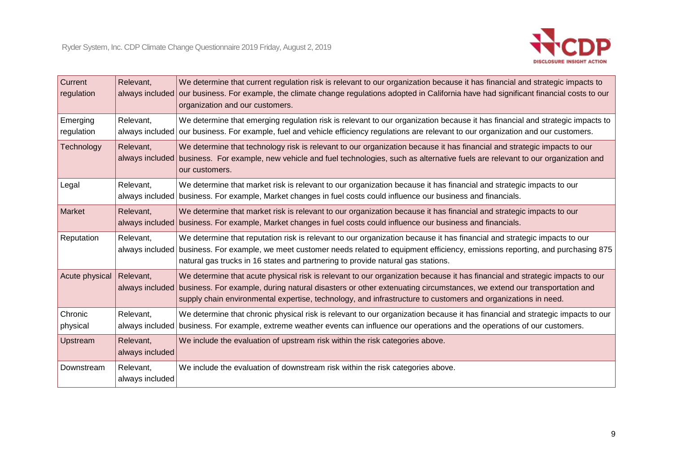| <b>Current</b><br>regulation | Relevant,<br>always included | We determine that current regulation risk is relevant to our organization because it has financial and strategic impacts to<br>our business. For example, the climate change regulations adopted in California have had significant financial costs to our<br>organization and our customers.                                                                                       |
|------------------------------|------------------------------|-------------------------------------------------------------------------------------------------------------------------------------------------------------------------------------------------------------------------------------------------------------------------------------------------------------------------------------------------------------------------------------|
| Emerging<br>regulation       | Relevant,<br>always included | We determine that emerging regulation risk is relevant to our organization because it has financial and strategic impacts to<br>our business. For example, fuel and vehicle efficiency regulations are relevant to our organization and our customers.                                                                                                                              |
| Technology                   | Relevant,<br>always included | We determine that technology risk is relevant to our organization because it has financial and strategic impacts to our<br>business. For example, new vehicle and fuel technologies, such as alternative fuels are relevant to our organization and<br>our customers.                                                                                                               |
| Legal                        | Relevant,                    | We determine that market risk is relevant to our organization because it has financial and strategic impacts to our<br>always included business. For example, Market changes in fuel costs could influence our business and financials.                                                                                                                                             |
| Market                       | Relevant,                    | We determine that market risk is relevant to our organization because it has financial and strategic impacts to our<br>always included business. For example, Market changes in fuel costs could influence our business and financials.                                                                                                                                             |
| Reputation                   | Relevant,<br>always included | We determine that reputation risk is relevant to our organization because it has financial and strategic impacts to our<br>business. For example, we meet customer needs related to equipment efficiency, emissions reporting, and purchasing 875                                                                                                                                   |
|                              |                              | natural gas trucks in 16 states and partnering to provide natural gas stations.                                                                                                                                                                                                                                                                                                     |
| Acute physical               | Relevant,                    | We determine that acute physical risk is relevant to our organization because it has financial and strategic impacts to our<br>always included business. For example, during natural disasters or other extenuating circumstances, we extend our transportation and<br>supply chain environmental expertise, technology, and infrastructure to customers and organizations in need. |
| Chronic<br>physical          | Relevant,<br>always included | We determine that chronic physical risk is relevant to our organization because it has financial and strategic impacts to our<br>business. For example, extreme weather events can influence our operations and the operations of our customers.                                                                                                                                    |
| Upstream                     | Relevant,<br>always included | We include the evaluation of upstream risk within the risk categories above.                                                                                                                                                                                                                                                                                                        |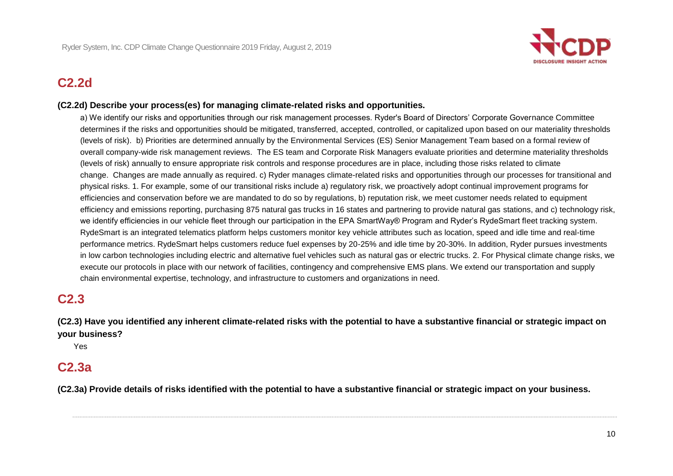

## **C2.2d**

### **(C2.2d) Describe your process(es) for managing climate-related risks and opportunities.**

 a) We identify our risks and opportunities through our risk management processes. Ryder's Board of Directors' Corporate Governance Committee determines if the risks and opportunities should be mitigated, transferred, accepted, controlled, or capitalized upon based on our materiality thresholds (levels of risk). b) Priorities are determined annually by the Environmental Services (ES) Senior Management Team based on a formal review of we identify efficiencies in our vehicle fleet through our participation in the EPA SmartWay® Program and Ryder's RydeSmart fleet tracking system. overall company-wide risk management reviews. The ES team and Corporate Risk Managers evaluate priorities and determine materiality thresholds (levels of risk) annually to ensure appropriate risk controls and response procedures are in place, including those risks related to climate change. Changes are made annually as required. c) Ryder manages climate-related risks and opportunities through our processes for transitional and physical risks. 1. For example, some of our transitional risks include a) regulatory risk, we proactively adopt continual improvement programs for efficiencies and conservation before we are mandated to do so by regulations, b) reputation risk, we meet customer needs related to equipment efficiency and emissions reporting, purchasing 875 natural gas trucks in 16 states and partnering to provide natural gas stations, and c) technology risk, RydeSmart is an integrated telematics platform helps customers monitor key vehicle attributes such as location, speed and idle time and real-time performance metrics. RydeSmart helps customers reduce fuel expenses by 20-25% and idle time by 20-30%. In addition, Ryder pursues investments in low carbon technologies including electric and alternative fuel vehicles such as natural gas or electric trucks. 2. For Physical climate change risks, we execute our protocols in place with our network of facilities, contingency and comprehensive EMS plans. We extend our transportation and supply chain environmental expertise, technology, and infrastructure to customers and organizations in need.

## **C2.3**

 **(C2.3) Have you identified any inherent climate-related risks with the potential to have a substantive financial or strategic impact on your business?** 

Yes

## **C2.3a**

 **(C2.3a) Provide details of risks identified with the potential to have a substantive financial or strategic impact on your business.**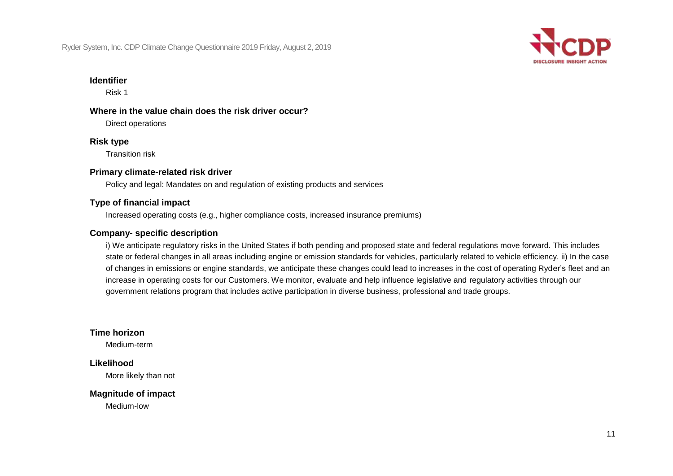

#### **Identifier**

Risk 1

## **Where in the value chain does the risk driver occur?**

Direct operations

## **Risk type**

Transition risk

## **Primary climate-related risk driver**

Policy and legal: Mandates on and regulation of existing products and services

## **Type of financial impact**

Increased operating costs (e.g., higher compliance costs, increased insurance premiums)

## **Company- specific description**

 state or federal changes in all areas including engine or emission standards for vehicles, particularly related to vehicle efficiency. ii) In the case i) We anticipate regulatory risks in the United States if both pending and proposed state and federal regulations move forward. This includes of changes in emissions or engine standards, we anticipate these changes could lead to increases in the cost of operating Ryder's fleet and an increase in operating costs for our Customers. We monitor, evaluate and help influence legislative and regulatory activities through our government relations program that includes active participation in diverse business, professional and trade groups.

## **Time horizon**

Medium-term

## **Likelihood**

More likely than not

## **Magnitude of impact**

Medium-low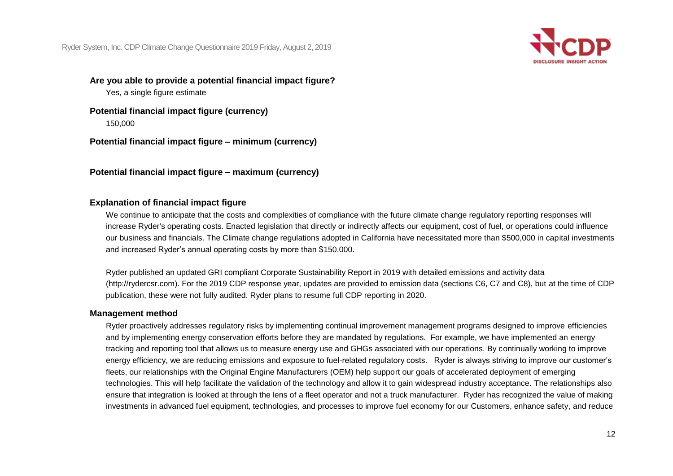

 **Are you able to provide a potential financial impact figure?** 

Yes, a single figure estimate

 **Potential financial impact figure (currency)**  150,000

 **Potential financial impact figure – minimum (currency)** 

 **Potential financial impact figure – maximum (currency)** 

## **Explanation of financial impact figure**

 We continue to anticipate that the costs and complexities of compliance with the future climate change regulatory reporting responses will increase Ryder's operating costs. Enacted legislation that directly or indirectly affects our equipment, cost of fuel, or operations could influence our business and financials. The Climate change regulations adopted in California have necessitated more than \$500,000 in capital investments and increased Ryder's annual operating costs by more than \$150,000.

 publication, these were not fully audited. Ryder plans to resume full CDP reporting in 2020. Ryder published an updated GRI compliant Corporate Sustainability Report in 2019 with detailed emissions and activity data ([http://rydercsr.com\)](http://rydercsr.com). For the 2019 CDP response year, updates are provided to emission data (sections C6, C7 and C8), but at the time of CDP

#### **Management method**

 tracking and reporting tool that allows us to measure energy use and GHGs associated with our operations. By continually working to improve energy efficiency, we are reducing emissions and exposure to fuel-related regulatory costs. Ryder is always striving to improve our customer's technologies. This will help facilitate the validation of the technology and allow it to gain widespread industry acceptance. The relationships also ensure that integration is looked at through the lens of a fleet operator and not a truck manufacturer. Ryder has recognized the value of making Ryder proactively addresses regulatory risks by implementing continual improvement management programs designed to improve efficiencies and by implementing energy conservation efforts before they are mandated by regulations. For example, we have implemented an energy fleets, our relationships with the Original Engine Manufacturers (OEM) help support our goals of accelerated deployment of emerging investments in advanced fuel equipment, technologies, and processes to improve fuel economy for our Customers, enhance safety, and reduce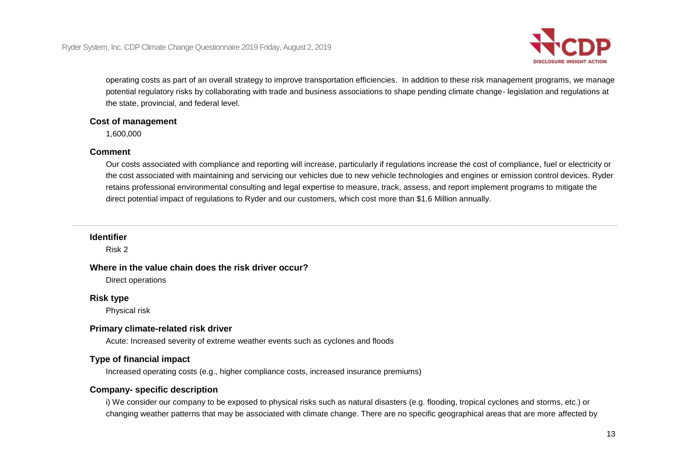

 potential regulatory risks by collaborating with trade and business associations to shape pending climate change- legislation and regulations at operating costs as part of an overall strategy to improve transportation efficiencies. In addition to these risk management programs, we manage the state, provincial, and federal level.

#### **Cost of management**

1,600,000

#### **Comment**

 the cost associated with maintaining and servicing our vehicles due to new vehicle technologies and engines or emission control devices. Ryder Our costs associated with compliance and reporting will increase, particularly if regulations increase the cost of compliance, fuel or electricity or retains professional environmental consulting and legal expertise to measure, track, assess, and report implement programs to mitigate the direct potential impact of regulations to Ryder and our customers, which cost more than \$1.6 Million annually.

### **Identifier**

Risk 2

#### **Where in the value chain does the risk driver occur?**

Direct operations

#### **Risk type**

Physical risk

### **Primary climate-related risk driver**

Acute: Increased severity of extreme weather events such as cyclones and floods

## **Type of financial impact**

Increased operating costs (e.g., higher compliance costs, increased insurance premiums)

### **Company- specific description**

 i) We consider our company to be exposed to physical risks such as natural disasters (e.g. flooding, tropical cyclones and storms, etc.) or changing weather patterns that may be associated with climate change. There are no specific geographical areas that are more affected by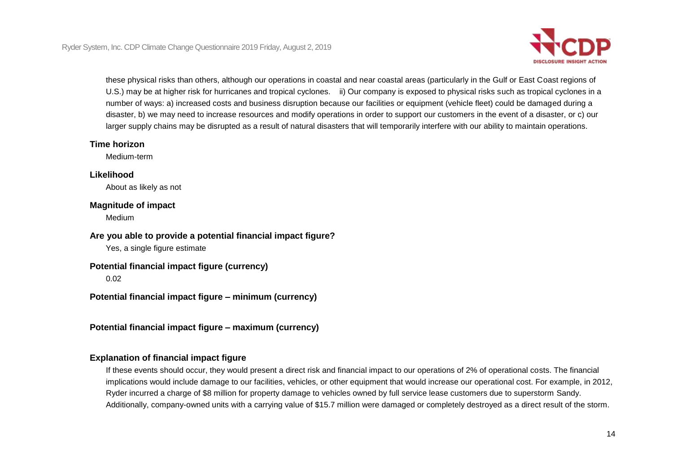

 U.S.) may be at higher risk for hurricanes and tropical cyclones. ii) Our company is exposed to physical risks such as tropical cyclones in a these physical risks than others, although our operations in coastal and near coastal areas (particularly in the Gulf or East Coast regions of number of ways: a) increased costs and business disruption because our facilities or equipment (vehicle fleet) could be damaged during a disaster, b) we may need to increase resources and modify operations in order to support our customers in the event of a disaster, or c) our larger supply chains may be disrupted as a result of natural disasters that will temporarily interfere with our ability to maintain operations.

### **Time horizon**

Medium-term

### **Likelihood**

About as likely as not

### **Magnitude of impact**

Medium

## **Are you able to provide a potential financial impact figure?**

Yes, a single figure estimate

## **Potential financial impact figure (currency)**

0.02

 **Potential financial impact figure – minimum (currency)** 

 **Potential financial impact figure – maximum (currency)** 

## **Explanation of financial impact figure**

If these events should occur, they would present a direct risk and financial impact to our operations of 2% of operational costs. The financial implications would include damage to our facilities, vehicles, or other equipment that would increase our operational cost. For example, in 2012, Ryder incurred a charge of \$8 million for property damage to vehicles owned by full service lease customers due to superstorm Sandy. Additionally, company-owned units with a carrying value of \$15.7 million were damaged or completely destroyed as a direct result of the storm.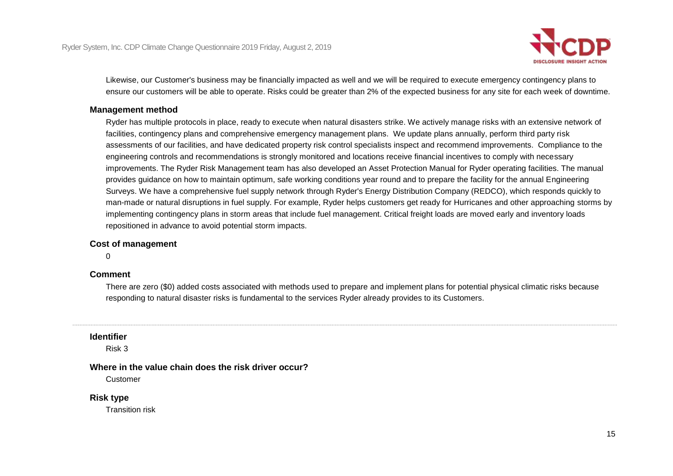

 Likewise, our Customer's business may be financially impacted as well and we will be required to execute emergency contingency plans to ensure our customers will be able to operate. Risks could be greater than 2% of the expected business for any site for each week of downtime.

#### **Management method**

 provides guidance on how to maintain optimum, safe working conditions year round and to prepare the facility for the annual Engineering Surveys. We have a comprehensive fuel supply network through Ryder's Energy Distribution Company (REDCO), which responds quickly to Ryder has multiple protocols in place, ready to execute when natural disasters strike. We actively manage risks with an extensive network of facilities, contingency plans and comprehensive emergency management plans. We update plans annually, perform third party risk assessments of our facilities, and have dedicated property risk control specialists inspect and recommend improvements. Compliance to the engineering controls and recommendations is strongly monitored and locations receive financial incentives to comply with necessary improvements. The Ryder Risk Management team has also developed an Asset Protection Manual for Ryder operating facilities. The manual man-made or natural disruptions in fuel supply. For example, Ryder helps customers get ready for Hurricanes and other approaching storms by implementing contingency plans in storm areas that include fuel management. Critical freight loads are moved early and inventory loads repositioned in advance to avoid potential storm impacts.

#### **Cost of management**

 $\Omega$ 

### **Comment**

 responding to natural disaster risks is fundamental to the services Ryder already provides to its Customers. There are zero (\$0) added costs associated with methods used to prepare and implement plans for potential physical climatic risks because

#### **Identifier**

Risk 3

#### **Where in the value chain does the risk driver occur?**

Customer

#### **Risk type**

Transition risk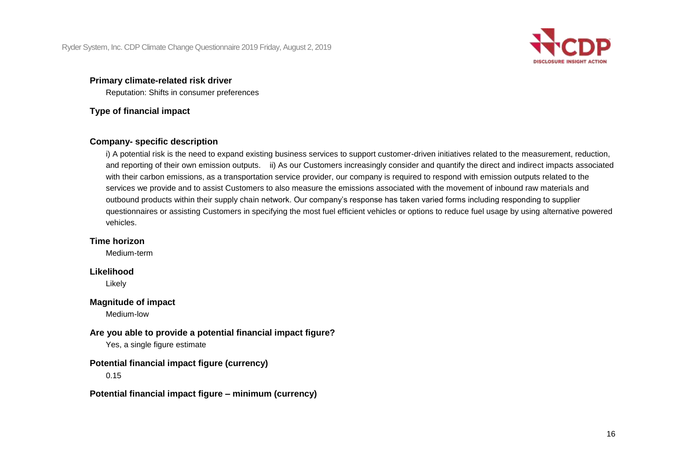

## **Primary climate-related risk driver**

Reputation: Shifts in consumer preferences

### **Type of financial impact**

## **Company- specific description**

 and reporting of their own emission outputs. ii) As our Customers increasingly consider and quantify the direct and indirect impacts associated questionnaires or assisting Customers in specifying the most fuel efficient vehicles or options to reduce fuel usage by using alternative powered i) A potential risk is the need to expand existing business services to support customer-driven initiatives related to the measurement, reduction, with their carbon emissions, as a transportation service provider, our company is required to respond with emission outputs related to the services we provide and to assist Customers to also measure the emissions associated with the movement of inbound raw materials and outbound products within their supply chain network. Our company's response has taken varied forms including responding to supplier vehicles.

### **Time horizon**

Medium-term

### **Likelihood**

Likely

### **Magnitude of impact**

Medium-low

## **Are you able to provide a potential financial impact figure?**

Yes, a single figure estimate

## **Potential financial impact figure (currency)**

0.15

## **Potential financial impact figure – minimum (currency)**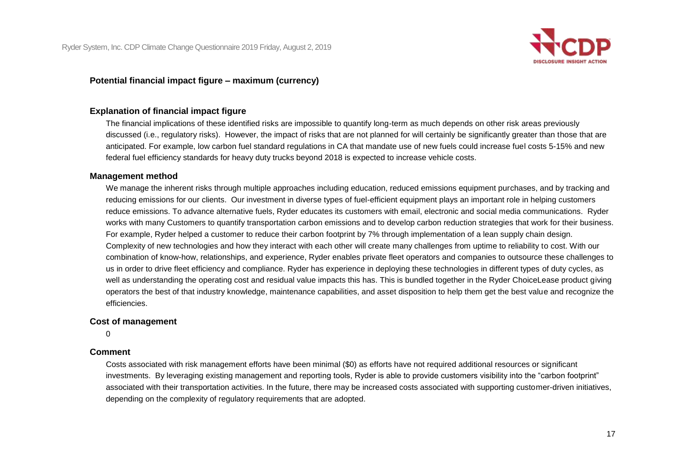

### **Potential financial impact figure – maximum (currency)**

## **Explanation of financial impact figure**

 federal fuel efficiency standards for heavy duty trucks beyond 2018 is expected to increase vehicle costs. The financial implications of these identified risks are impossible to quantify long-term as much depends on other risk areas previously discussed (i.e., regulatory risks). However, the impact of risks that are not planned for will certainly be significantly greater than those that are anticipated. For example, low carbon fuel standard regulations in CA that mandate use of new fuels could increase fuel costs 5-15% and new

#### **Management method**

We manage the inherent risks through multiple approaches including education, reduced emissions equipment purchases, and by tracking and reducing emissions for our clients. Our investment in diverse types of fuel-efficient equipment plays an important role in helping customers reduce emissions. To advance alternative fuels, Ryder educates its customers with email, electronic and social media communications. Ryder works with many Customers to quantify transportation carbon emissions and to develop carbon reduction strategies that work for their business. For example, Ryder helped a customer to reduce their carbon footprint by 7% through implementation of a lean supply chain design. Complexity of new technologies and how they interact with each other will create many challenges from uptime to reliability to cost. With our combination of know-how, relationships, and experience, Ryder enables private fleet operators and companies to outsource these challenges to us in order to drive fleet efficiency and compliance. Ryder has experience in deploying these technologies in different types of duty cycles, as well as understanding the operating cost and residual value impacts this has. This is bundled together in the Ryder ChoiceLease product giving operators the best of that industry knowledge, maintenance capabilities, and asset disposition to help them get the best value and recognize the efficiencies.

#### **Cost of management**

0

### **Comment**

 associated with their transportation activities. In the future, there may be increased costs associated with supporting customer-driven initiatives, Costs associated with risk management efforts have been minimal (\$0) as efforts have not required additional resources or significant investments. By leveraging existing management and reporting tools, Ryder is able to provide customers visibility into the "carbon footprint" depending on the complexity of regulatory requirements that are adopted.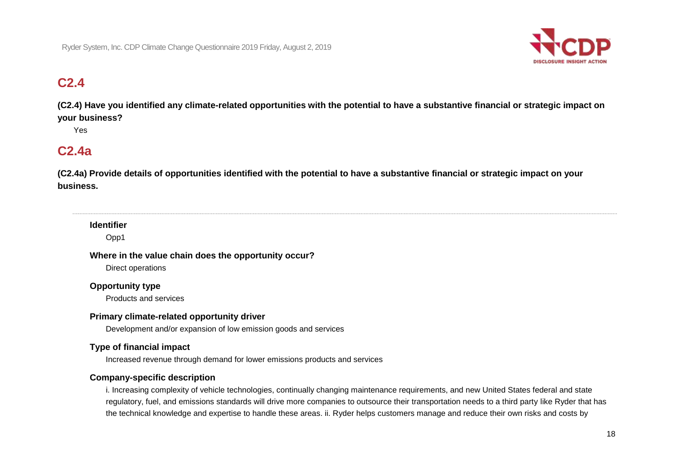

# **C2.4**

 **(C2.4) Have you identified any climate-related opportunities with the potential to have a substantive financial or strategic impact on your business?** 

Yes

## **C2.4a**

 **(C2.4a) Provide details of opportunities identified with the potential to have a substantive financial or strategic impact on your business.** 

## **Identifier**

Opp1

#### **Where in the value chain does the opportunity occur?**

Direct operations

### **Opportunity type**

Products and services

### **Primary climate-related opportunity driver**

Development and/or expansion of low emission goods and services

## **Type of financial impact**

Increased revenue through demand for lower emissions products and services

## **Company-specific description**

 i. Increasing complexity of vehicle technologies, continually changing maintenance requirements, and new United States federal and state regulatory, fuel, and emissions standards will drive more companies to outsource their transportation needs to a third party like Ryder that has the technical knowledge and expertise to handle these areas. ii. Ryder helps customers manage and reduce their own risks and costs by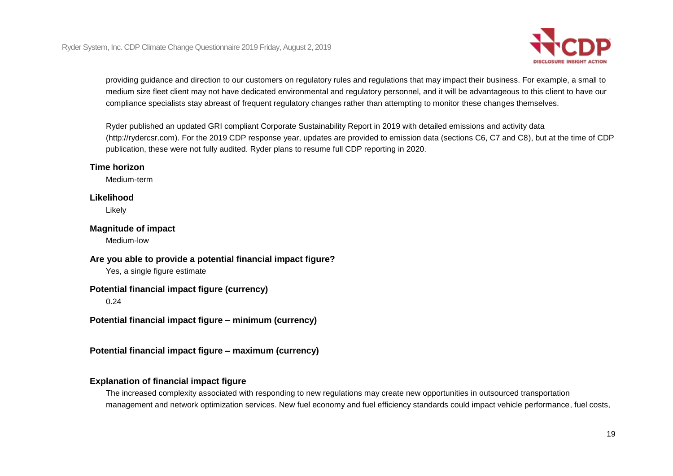

providing guidance and direction to our customers on regulatory rules and regulations that may impact their business. For example, a small to medium size fleet client may not have dedicated environmental and regulatory personnel, and it will be advantageous to this client to have our compliance specialists stay abreast of frequent regulatory changes rather than attempting to monitor these changes themselves.

 publication, these were not fully audited. Ryder plans to resume full CDP reporting in 2020. Ryder published an updated GRI compliant Corporate Sustainability Report in 2019 with detailed emissions and activity data ([http://rydercsr.com\)](http://rydercsr.com). For the 2019 CDP response year, updates are provided to emission data (sections C6, C7 and C8), but at the time of CDP

### **Time horizon**

Medium-term

#### **Likelihood**

Likely

#### **Magnitude of impact**

Medium-low

### **Are you able to provide a potential financial impact figure?**

Yes, a single figure estimate

### **Potential financial impact figure (currency)**

0.24

 **Potential financial impact figure – minimum (currency)** 

 **Potential financial impact figure – maximum (currency)** 

## **Explanation of financial impact figure**

The increased complexity associated with responding to new regulations may create new opportunities in outsourced transportation management and network optimization services. New fuel economy and fuel efficiency standards could impact vehicle performance, fuel costs,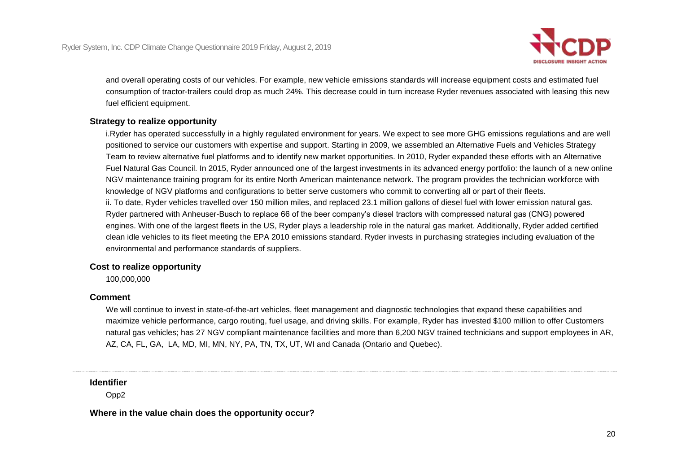

 and overall operating costs of our vehicles. For example, new vehicle emissions standards will increase equipment costs and estimated fuel consumption of tractor-trailers could drop as much 24%. This decrease could in turn increase Ryder revenues associated with leasing this new fuel efficient equipment.

### **Strategy to realize opportunity**

 Fuel Natural Gas Council. In 2015, Ryder announced one of the largest investments in its advanced energy portfolio: the launch of a new online clean idle vehicles to its fleet meeting the EPA 2010 emissions standard. Ryder invests in purchasing strategies including evaluation of the i.Ryder has operated successfully in a highly regulated environment for years. We expect to see more GHG emissions regulations and are well positioned to service our customers with expertise and support. Starting in 2009, we assembled an Alternative Fuels and Vehicles Strategy Team to review alternative fuel platforms and to identify new market opportunities. In 2010, Ryder expanded these efforts with an Alternative NGV maintenance training program for its entire North American maintenance network. The program provides the technician workforce with knowledge of NGV platforms and configurations to better serve customers who commit to converting all or part of their fleets. ii. To date, Ryder vehicles travelled over 150 million miles, and replaced 23.1 million gallons of diesel fuel with lower emission natural gas. Ryder partnered with Anheuser-Busch to replace 66 of the beer company's diesel tractors with compressed natural gas (CNG) powered engines. With one of the largest fleets in the US, Ryder plays a leadership role in the natural gas market. Additionally, Ryder added certified

environmental and performance standards of suppliers.

### **Cost to realize opportunity**

100,000,000

### **Comment**

We will continue to invest in state-of-the-art vehicles, fleet management and diagnostic technologies that expand these capabilities and maximize vehicle performance, cargo routing, fuel usage, and driving skills. For example, Ryder has invested \$100 million to offer Customers natural gas vehicles; has 27 NGV compliant maintenance facilities and more than 6,200 NGV trained technicians and support employees in AR, AZ, CA, FL, GA, LA, MD, MI, MN, NY, PA, TN, TX, UT, WI and Canada (Ontario and Quebec).

### **Identifier**

Opp2

 **Where in the value chain does the opportunity occur?**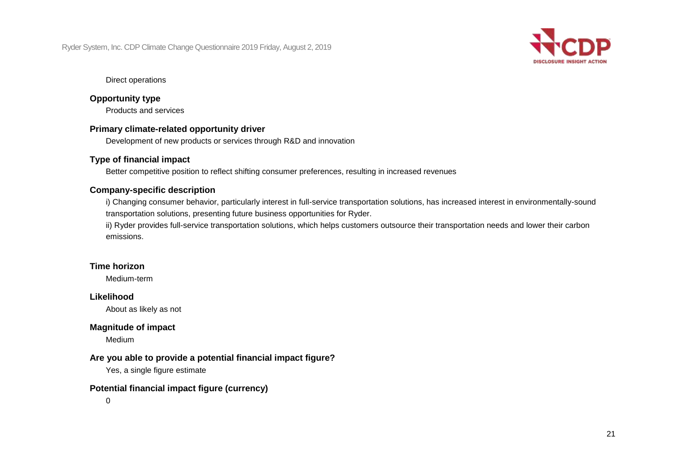

#### Direct operations

#### **Opportunity type**

Products and services

### **Primary climate-related opportunity driver**

Development of new products or services through R&D and innovation

### **Type of financial impact**

Better competitive position to reflect shifting consumer preferences, resulting in increased revenues

### **Company-specific description**

i) Changing consumer behavior, particularly interest in full-service transportation solutions, has increased interest in environmentally-sound transportation solutions, presenting future business opportunities for Ryder.

 ii) Ryder provides full-service transportation solutions, which helps customers outsource their transportation needs and lower their carbon emissions.

## **Time horizon**

Medium-term

### **Likelihood**

About as likely as not

### **Magnitude of impact**

Medium

### **Are you able to provide a potential financial impact figure?**

Yes, a single figure estimate

## **Potential financial impact figure (currency)**

0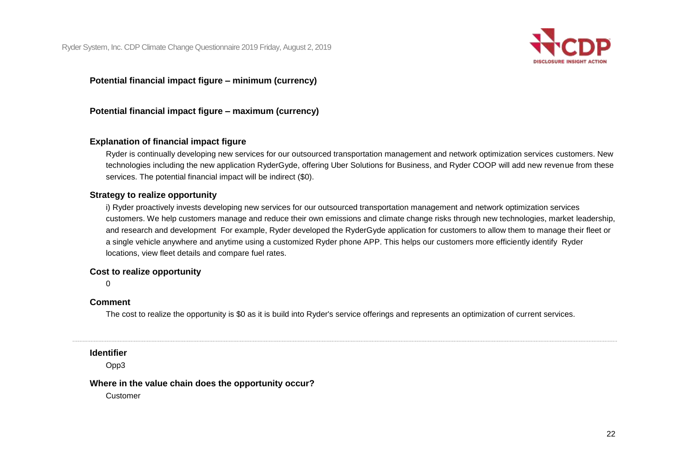

 **Potential financial impact figure – minimum (currency)** 

 **Potential financial impact figure – maximum (currency)** 

## **Explanation of financial impact figure**

Ryder is continually developing new services for our outsourced transportation management and network optimization services customers. New technologies including the new application RyderGyde, offering Uber Solutions for Business, and Ryder COOP will add new revenue from these services. The potential financial impact will be indirect (\$0).

### **Strategy to realize opportunity**

 i) Ryder proactively invests developing new services for our outsourced transportation management and network optimization services customers. We help customers manage and reduce their own emissions and climate change risks through new technologies, market leadership, and research and development For example, Ryder developed the RyderGyde application for customers to allow them to manage their fleet or a single vehicle anywhere and anytime using a customized Ryder phone APP. This helps our customers more efficiently identify Ryder locations, view fleet details and compare fuel rates.

#### **Cost to realize opportunity**

 $\Omega$ 

### **Comment**

The cost to realize the opportunity is \$0 as it is build into Ryder's service offerings and represents an optimization of current services.

#### **Identifier**

Opp3

### **Where in the value chain does the opportunity occur?**

Customer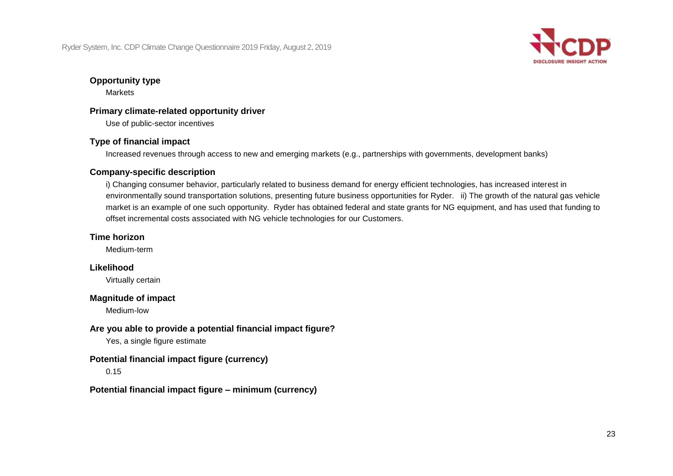

### **Opportunity type**

**Markets** 

## **Primary climate-related opportunity driver**

Use of public-sector incentives

## **Type of financial impact**

Increased revenues through access to new and emerging markets (e.g., partnerships with governments, development banks)

## **Company-specific description**

 environmentally sound transportation solutions, presenting future business opportunities for Ryder. ii) The growth of the natural gas vehicle offset incremental costs associated with NG vehicle technologies for our Customers. i) Changing consumer behavior, particularly related to business demand for energy efficient technologies, has increased interest in market is an example of one such opportunity. Ryder has obtained federal and state grants for NG equipment, and has used that funding to

## **Time horizon**

Medium-term

## **Likelihood**

Virtually certain

## **Magnitude of impact**

Medium-low

## **Are you able to provide a potential financial impact figure?**

Yes, a single figure estimate

## **Potential financial impact figure (currency)**

0.15

## **Potential financial impact figure – minimum (currency)**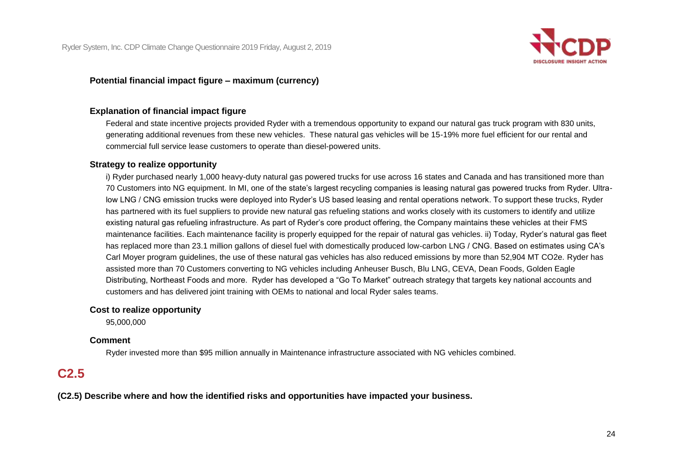

### **Potential financial impact figure – maximum (currency)**

## **Explanation of financial impact figure**

Federal and state incentive projects provided Ryder with a tremendous opportunity to expand our natural gas truck program with 830 units, generating additional revenues from these new vehicles. These natural gas vehicles will be 15-19% more fuel efficient for our rental and commercial full service lease customers to operate than diesel-powered units.

#### **Strategy to realize opportunity**

 i) Ryder purchased nearly 1,000 heavy-duty natural gas powered trucks for use across 16 states and Canada and has transitioned more than has partnered with its fuel suppliers to provide new natural gas refueling stations and works closely with its customers to identify and utilize maintenance facilities. Each maintenance facility is properly equipped for the repair of natural gas vehicles. ii) Today, Ryder's natural gas fleet has replaced more than 23.1 million gallons of diesel fuel with domestically produced low-carbon LNG / CNG. Based on estimates using CA's assisted more than 70 Customers converting to NG vehicles including Anheuser Busch, Blu LNG, CEVA, Dean Foods, Golden Eagle 70 Customers into NG equipment. In MI, one of the state's largest recycling companies is leasing natural gas powered trucks from Ryder. Ultralow LNG / CNG emission trucks were deployed into Ryder's US based leasing and rental operations network. To support these trucks, Ryder existing natural gas refueling infrastructure. As part of Ryder's core product offering, the Company maintains these vehicles at their FMS Carl Moyer program guidelines, the use of these natural gas vehicles has also reduced emissions by more than 52,904 MT CO2e. Ryder has Distributing, Northeast Foods and more. Ryder has developed a "Go To Market" outreach strategy that targets key national accounts and customers and has delivered joint training with OEMs to national and local Ryder sales teams.

### **Cost to realize opportunity**

95,000,000

### **Comment**

Ryder invested more than \$95 million annually in Maintenance infrastructure associated with NG vehicles combined.

## **C2.5**

 **(C2.5) Describe where and how the identified risks and opportunities have impacted your business.**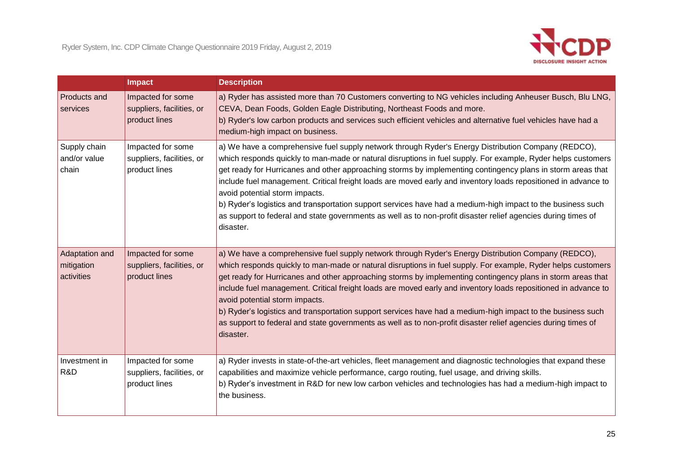

|                                            | <b>Impact</b>                                                   | <b>Description</b>                                                                                                                                                                                                                                                                                                                                                                                                                                                                                                                                                                                                                                                                                                                  |
|--------------------------------------------|-----------------------------------------------------------------|-------------------------------------------------------------------------------------------------------------------------------------------------------------------------------------------------------------------------------------------------------------------------------------------------------------------------------------------------------------------------------------------------------------------------------------------------------------------------------------------------------------------------------------------------------------------------------------------------------------------------------------------------------------------------------------------------------------------------------------|
| Products and<br>services                   | Impacted for some<br>suppliers, facilities, or<br>product lines | a) Ryder has assisted more than 70 Customers converting to NG vehicles including Anheuser Busch, Blu LNG,<br>CEVA, Dean Foods, Golden Eagle Distributing, Northeast Foods and more.<br>b) Ryder's low carbon products and services such efficient vehicles and alternative fuel vehicles have had a<br>medium-high impact on business.                                                                                                                                                                                                                                                                                                                                                                                              |
| Supply chain<br>and/or value<br>chain      | Impacted for some<br>suppliers, facilities, or<br>product lines | a) We have a comprehensive fuel supply network through Ryder's Energy Distribution Company (REDCO),<br>which responds quickly to man-made or natural disruptions in fuel supply. For example, Ryder helps customers<br>get ready for Hurricanes and other approaching storms by implementing contingency plans in storm areas that<br>include fuel management. Critical freight loads are moved early and inventory loads repositioned in advance to<br>avoid potential storm impacts.<br>b) Ryder's logistics and transportation support services have had a medium-high impact to the business such<br>as support to federal and state governments as well as to non-profit disaster relief agencies during times of<br>disaster. |
| Adaptation and<br>mitigation<br>activities | Impacted for some<br>suppliers, facilities, or<br>product lines | a) We have a comprehensive fuel supply network through Ryder's Energy Distribution Company (REDCO),<br>which responds quickly to man-made or natural disruptions in fuel supply. For example, Ryder helps customers<br>get ready for Hurricanes and other approaching storms by implementing contingency plans in storm areas that<br>include fuel management. Critical freight loads are moved early and inventory loads repositioned in advance to<br>avoid potential storm impacts.<br>b) Ryder's logistics and transportation support services have had a medium-high impact to the business such<br>as support to federal and state governments as well as to non-profit disaster relief agencies during times of<br>disaster. |
| Investment in<br>R&D                       | Impacted for some<br>suppliers, facilities, or<br>product lines | a) Ryder invests in state-of-the-art vehicles, fleet management and diagnostic technologies that expand these<br>capabilities and maximize vehicle performance, cargo routing, fuel usage, and driving skills.<br>b) Ryder's investment in R&D for new low carbon vehicles and technologies has had a medium-high impact to<br>the business.                                                                                                                                                                                                                                                                                                                                                                                        |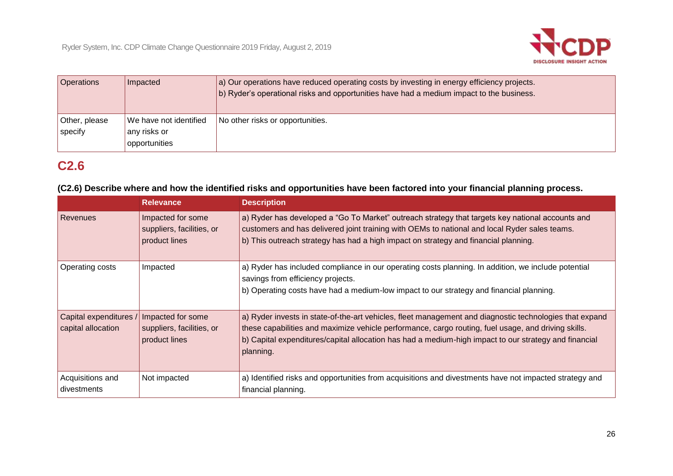

| <b>Operations</b>        | Impacted                                                | a) Our operations have reduced operating costs by investing in energy efficiency projects.<br>b) Ryder's operational risks and opportunities have had a medium impact to the business. |
|--------------------------|---------------------------------------------------------|----------------------------------------------------------------------------------------------------------------------------------------------------------------------------------------|
| Other, please<br>specify | We have not identified<br>any risks or<br>opportunities | No other risks or opportunities.                                                                                                                                                       |

# **C2.6**

### **(C2.6) Describe where and how the identified risks and opportunities have been factored into your financial planning process.**

|                                              | <b>Relevance</b>                                                | <b>Description</b>                                                                                                                                                                                                                                                                                                                   |
|----------------------------------------------|-----------------------------------------------------------------|--------------------------------------------------------------------------------------------------------------------------------------------------------------------------------------------------------------------------------------------------------------------------------------------------------------------------------------|
| Revenues                                     | Impacted for some<br>suppliers, facilities, or<br>product lines | a) Ryder has developed a "Go To Market" outreach strategy that targets key national accounts and<br>customers and has delivered joint training with OEMs to national and local Ryder sales teams.<br>b) This outreach strategy has had a high impact on strategy and financial planning.                                             |
| Operating costs                              | Impacted                                                        | a) Ryder has included compliance in our operating costs planning. In addition, we include potential<br>savings from efficiency projects.<br>b) Operating costs have had a medium-low impact to our strategy and financial planning.                                                                                                  |
| Capital expenditures /<br>capital allocation | Impacted for some<br>suppliers, facilities, or<br>product lines | a) Ryder invests in state-of-the-art vehicles, fleet management and diagnostic technologies that expand<br>these capabilities and maximize vehicle performance, cargo routing, fuel usage, and driving skills.<br>b) Capital expenditures/capital allocation has had a medium-high impact to our strategy and financial<br>planning. |
| Acquisitions and<br>divestments              | Not impacted                                                    | a) Identified risks and opportunities from acquisitions and divestments have not impacted strategy and<br>financial planning.                                                                                                                                                                                                        |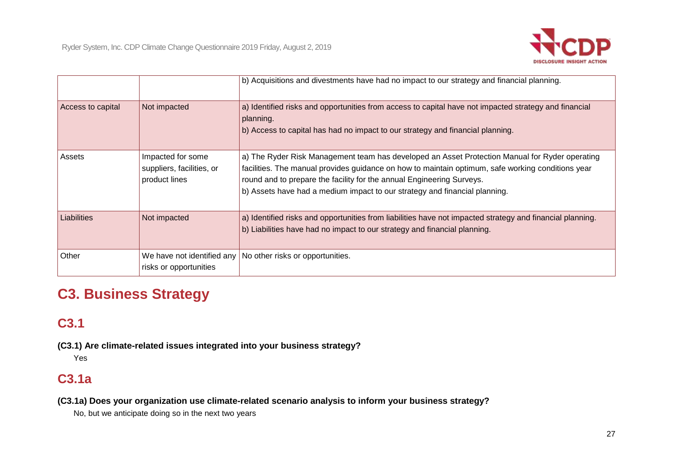

|                   |                                                                 | b) Acquisitions and divestments have had no impact to our strategy and financial planning.                                                                                                                                                                                                                                                                 |
|-------------------|-----------------------------------------------------------------|------------------------------------------------------------------------------------------------------------------------------------------------------------------------------------------------------------------------------------------------------------------------------------------------------------------------------------------------------------|
| Access to capital | Not impacted                                                    | a) Identified risks and opportunities from access to capital have not impacted strategy and financial<br>planning.<br>b) Access to capital has had no impact to our strategy and financial planning.                                                                                                                                                       |
| Assets            | Impacted for some<br>suppliers, facilities, or<br>product lines | a) The Ryder Risk Management team has developed an Asset Protection Manual for Ryder operating<br>facilities. The manual provides guidance on how to maintain optimum, safe working conditions year<br>round and to prepare the facility for the annual Engineering Surveys.<br>b) Assets have had a medium impact to our strategy and financial planning. |
| Liabilities       | Not impacted                                                    | a) Identified risks and opportunities from liabilities have not impacted strategy and financial planning.<br>b) Liabilities have had no impact to our strategy and financial planning.                                                                                                                                                                     |
| Other             | We have not identified any<br>risks or opportunities            | No other risks or opportunities.                                                                                                                                                                                                                                                                                                                           |

# **C3. Business Strategy**

# **C3.1**

 **(C3.1) Are climate-related issues integrated into your business strategy?** 

Yes

# **C3.1a**

 **(C3.1a) Does your organization use climate-related scenario analysis to inform your business strategy?** 

No, but we anticipate doing so in the next two years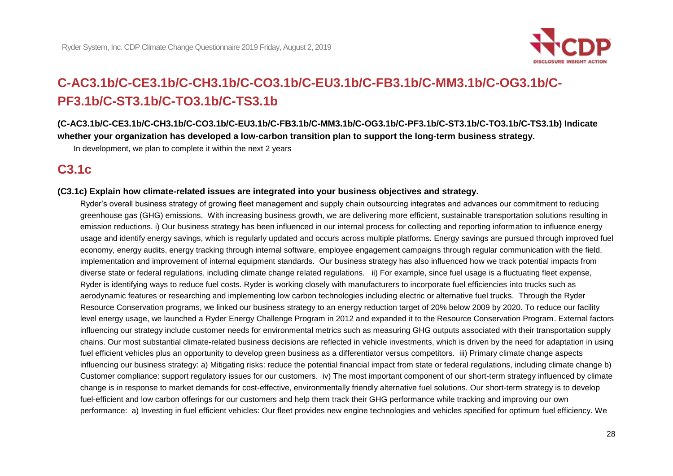

# **C-AC3.1b/C-CE3.1b/C-CH3.1b/C-CO3.1b/C-EU3.1b/C-FB3.1b/C-MM3.1b/C-OG3.1b/C-[PF3.1b/C-ST3.1b/C-TO3.1b/C-TS3.1b](https://PF3.1b/C-ST3.1b/C-TO3.1b/C-TS3.1b)**

 **([C-AC3.1b/C-CE3.1b/C-CH3.1b/C-CO3.1b/C-EU3.1b/C-FB3.1b/C-MM3.1b/C-OG3.1b/C-PF3.1b/C-ST3.1b/C-TO3.1b/C-TS3.1b](https://C-AC3.1b/C-CE3.1b/C-CH3.1b/C-CO3.1b/C-EU3.1b/C-FB3.1b/C-MM3.1b/C-OG3.1b/C-PF3.1b/C-ST3.1b/C-TO3.1b/C-TS3.1b)) Indicate whether your organization has developed a low-carbon transition plan to support the long-term business strategy.** 

In development, we plan to complete it within the next 2 years

## **C3.1c**

#### **(C3.1c) Explain how climate-related issues are integrated into your business objectives and strategy.**

 Ryder's overall business strategy of growing fleet management and supply chain outsourcing integrates and advances our commitment to reducing implementation and improvement of internal equipment standards. Our business strategy has also influenced how we track potential impacts from diverse state or federal regulations, including climate change related regulations. ii) For example, since fuel usage is a fluctuating fleet expense, Ryder is identifying ways to reduce fuel costs. Ryder is working closely with manufacturers to incorporate fuel efficiencies into trucks such as level energy usage, we launched a Ryder Energy Challenge Program in 2012 and expanded it to the Resource Conservation Program. External factors Customer compliance: support regulatory issues for our customers. iv) The most important component of our short-term strategy influenced by climate greenhouse gas (GHG) emissions. With increasing business growth, we are delivering more efficient, sustainable transportation solutions resulting in emission reductions. i) Our business strategy has been influenced in our internal process for collecting and reporting information to influence energy usage and identify energy savings, which is regularly updated and occurs across multiple platforms. Energy savings are pursued through improved fuel economy, energy audits, energy tracking through internal software, employee engagement campaigns through regular communication with the field, aerodynamic features or researching and implementing low carbon technologies including electric or alternative fuel trucks. Through the Ryder Resource Conservation programs, we linked our business strategy to an energy reduction target of 20% below 2009 by 2020. To reduce our facility influencing our strategy include customer needs for environmental metrics such as measuring GHG outputs associated with their transportation supply chains. Our most substantial climate-related business decisions are reflected in vehicle investments, which is driven by the need for adaptation in using fuel efficient vehicles plus an opportunity to develop green business as a differentiator versus competitors. iii) Primary climate change aspects influencing our business strategy: a) Mitigating risks: reduce the potential financial impact from state or federal regulations, including climate change b) change is in response to market demands for cost-effective, environmentally friendly alternative fuel solutions. Our short-term strategy is to develop fuel-efficient and low carbon offerings for our customers and help them track their GHG performance while tracking and improving our own performance: a) Investing in fuel efficient vehicles: Our fleet provides new engine technologies and vehicles specified for optimum fuel efficiency. We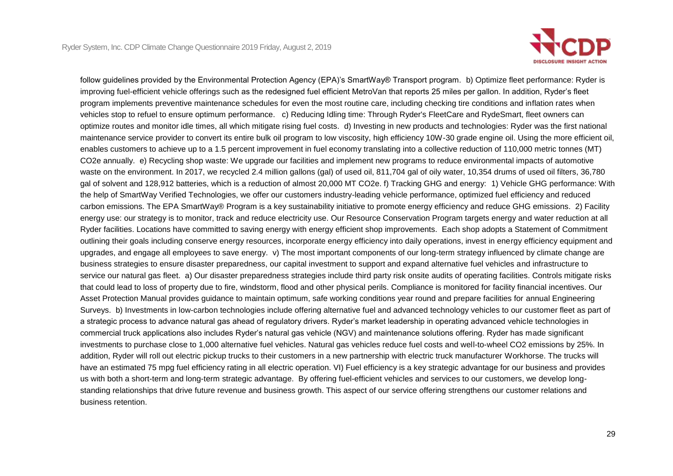

 follow guidelines provided by the Environmental Protection Agency (EPA)'s SmartWay® Transport program. b) Optimize fleet performance: Ryder is program implements preventive maintenance schedules for even the most routine care, including checking tire conditions and inflation rates when vehicles stop to refuel to ensure optimum performance. c) Reducing Idling time: Through Ryder's FleetCare and RydeSmart, fleet owners can optimize routes and monitor idle times, all which mitigate rising fuel costs. d) Investing in new products and technologies: Ryder was the first national enables customers to achieve up to a 1.5 percent improvement in fuel economy translating into a collective reduction of 110,000 metric tonnes (MT) waste on the environment. In 2017, we recycled 2.4 million gallons (gal) of used oil, 811,704 gal of oily water, 10,354 drums of used oil filters, 36,780 energy use: our strategy is to monitor, track and reduce electricity use. Our Resource Conservation Program targets energy and water reduction at all outlining their goals including conserve energy resources, incorporate energy efficiency into daily operations, invest in energy efficiency equipment and improving fuel-efficient vehicle offerings such as the redesigned fuel efficient MetroVan that reports 25 miles per gallon. In addition, Ryder's fleet maintenance service provider to convert its entire bulk oil program to low viscosity, high efficiency 10W-30 grade engine oil. Using the more efficient oil, CO2e annually. e) Recycling shop waste: We upgrade our facilities and implement new programs to reduce environmental impacts of automotive gal of solvent and 128,912 batteries, which is a reduction of almost 20,000 MT CO2e. f) Tracking GHG and energy: 1) Vehicle GHG performance: With the help of SmartWay Verified Technologies, we offer our customers industry-leading vehicle performance, optimized fuel efficiency and reduced carbon emissions. The EPA SmartWay® Program is a key sustainability initiative to promote energy efficiency and reduce GHG emissions. 2) Facility Ryder facilities. Locations have committed to saving energy with energy efficient shop improvements. Each shop adopts a Statement of Commitment upgrades, and engage all employees to save energy. v) The most important components of our long-term strategy influenced by climate change are business strategies to ensure disaster preparedness, our capital investment to support and expand alternative fuel vehicles and infrastructure to service our natural gas fleet. a) Our disaster preparedness strategies include third party risk onsite audits of operating facilities. Controls mitigate risks that could lead to loss of property due to fire, windstorm, flood and other physical perils. Compliance is monitored for facility financial incentives. Our Asset Protection Manual provides guidance to maintain optimum, safe working conditions year round and prepare facilities for annual Engineering Surveys. b) Investments in low-carbon technologies include offering alternative fuel and advanced technology vehicles to our customer fleet as part of a strategic process to advance natural gas ahead of regulatory drivers. Ryder's market leadership in operating advanced vehicle technologies in commercial truck applications also includes Ryder's natural gas vehicle (NGV) and maintenance solutions offering. Ryder has made significant investments to purchase close to 1,000 alternative fuel vehicles. Natural gas vehicles reduce fuel costs and well-to-wheel CO2 emissions by 25%. In addition, Ryder will roll out electric pickup trucks to their customers in a new partnership with electric truck manufacturer Workhorse. The trucks will have an estimated 75 mpg fuel efficiency rating in all electric operation. VI) Fuel efficiency is a key strategic advantage for our business and provides us with both a short-term and long-term strategic advantage. By offering fuel-efficient vehicles and services to our customers, we develop longstanding relationships that drive future revenue and business growth. This aspect of our service offering strengthens our customer relations and business retention.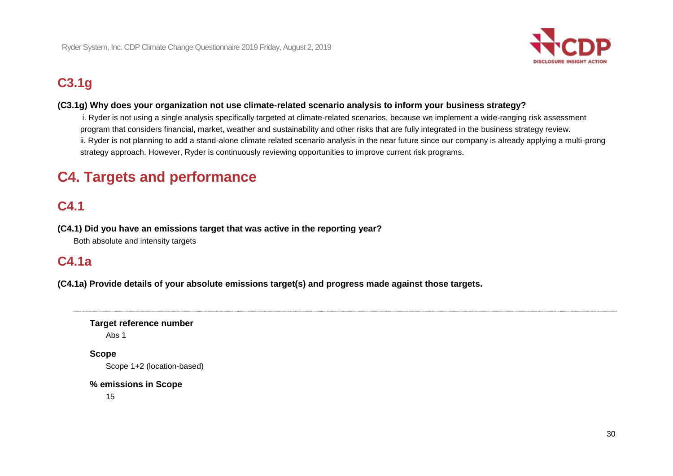

# **C3.1g**

## **(C3.1g) Why does your organization not use climate-related scenario analysis to inform your business strategy?**

 ii. Ryder is not planning to add a stand-alone climate related scenario analysis in the near future since our company is already applying a multi-prong i. Ryder is not using a single analysis specifically targeted at climate-related scenarios, because we implement a wide-ranging risk assessment program that considers financial, market, weather and sustainability and other risks that are fully integrated in the business strategy review. strategy approach. However, Ryder is continuously reviewing opportunities to improve current risk programs.

# **C4. Targets and performance**

# **C4.1**

 **(C4.1) Did you have an emissions target that was active in the reporting year?** 

Both absolute and intensity targets

# **C4.1a**

 **(C4.1a) Provide details of your absolute emissions target(s) and progress made against those targets.** 

## **Target reference number**

Abs 1

## **Scope**

Scope 1+2 (location-based)

### **% emissions in Scope**

15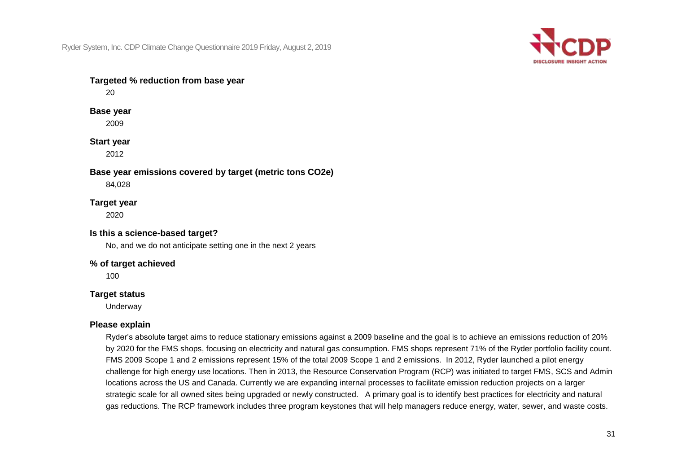

## **Targeted % reduction from base year**

20

#### **Base year**

2009

#### **Start year**

2012

## **Base year emissions covered by target (metric tons CO2e)**

84,028

### **Target year**

2020

### **Is this a science-based target?**

No, and we do not anticipate setting one in the next 2 years

#### **% of target achieved**

100

### **Target status**

Underway

### **Please explain**

 FMS 2009 Scope 1 and 2 emissions represent 15% of the total 2009 Scope 1 and 2 emissions. In 2012, Ryder launched a pilot energy strategic scale for all owned sites being upgraded or newly constructed. A primary goal is to identify best practices for electricity and natural Ryder's absolute target aims to reduce stationary emissions against a 2009 baseline and the goal is to achieve an emissions reduction of 20% by 2020 for the FMS shops, focusing on electricity and natural gas consumption. FMS shops represent 71% of the Ryder portfolio facility count. challenge for high energy use locations. Then in 2013, the Resource Conservation Program (RCP) was initiated to target FMS, SCS and Admin locations across the US and Canada. Currently we are expanding internal processes to facilitate emission reduction projects on a larger gas reductions. The RCP framework includes three program keystones that will help managers reduce energy, water, sewer, and waste costs.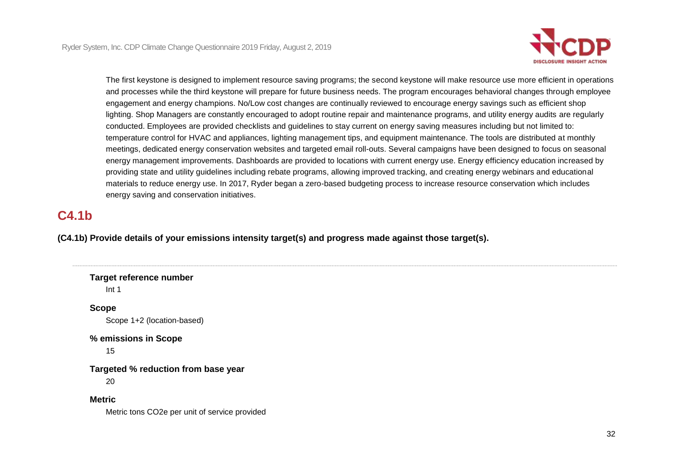

 providing state and utility guidelines including rebate programs, allowing improved tracking, and creating energy webinars and educational The first keystone is designed to implement resource saving programs; the second keystone will make resource use more efficient in operations and processes while the third keystone will prepare for future business needs. The program encourages behavioral changes through employee engagement and energy champions. No/Low cost changes are continually reviewed to encourage energy savings such as efficient shop lighting. Shop Managers are constantly encouraged to adopt routine repair and maintenance programs, and utility energy audits are regularly conducted. Employees are provided checklists and guidelines to stay current on energy saving measures including but not limited to: temperature control for HVAC and appliances, lighting management tips, and equipment maintenance. The tools are distributed at monthly meetings, dedicated energy conservation websites and targeted email roll-outs. Several campaigns have been designed to focus on seasonal energy management improvements. Dashboards are provided to locations with current energy use. Energy efficiency education increased by materials to reduce energy use. In 2017, Ryder began a zero-based budgeting process to increase resource conservation which includes energy saving and conservation initiatives.

## **C4.1b**

 **(C4.1b) Provide details of your emissions intensity target(s) and progress made against those target(s).** 

 **Targeted % reduction from base year Target reference number**  Int 1 **Scope**  Scope 1+2 (location-based) **% emissions in Scope**  15 20 **Metric**  Metric tons CO2e per unit of service provided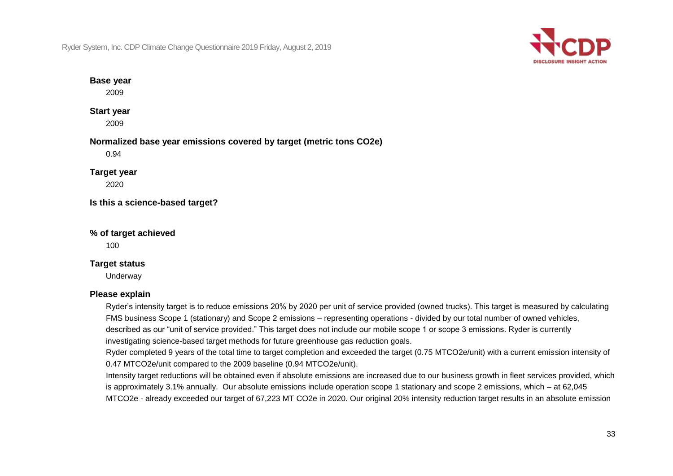

### **Base year**

2009

## **Start year**

2009

## **Normalized base year emissions covered by target (metric tons CO2e)**

0.94

## **Target year**

2020

**Is this a science-based target?** 

### **% of target achieved**

100

## **Target status**

Underway

## **Please explain**

 FMS business Scope 1 (stationary) and Scope 2 emissions – representing operations - divided by our total number of owned vehicles, Ryder's intensity target is to reduce emissions 20% by 2020 per unit of service provided (owned trucks). This target is measured by calculating described as our "unit of service provided." This target does not include our mobile scope 1 or scope 3 emissions. Ryder is currently investigating science-based target methods for future greenhouse gas reduction goals.

 Ryder completed 9 years of the total time to target completion and exceeded the target (0.75 MTCO2e/unit) with a current emission intensity of 0.47 MTCO2e/unit compared to the 2009 baseline (0.94 MTCO2e/unit).

Intensity target reductions will be obtained even if absolute emissions are increased due to our business growth in fleet services provided, which is approximately 3.1% annually. Our absolute emissions include operation scope 1 stationary and scope 2 emissions, which – at 62,045 MTCO2e - already exceeded our target of 67,223 MT CO2e in 2020. Our original 20% intensity reduction target results in an absolute emission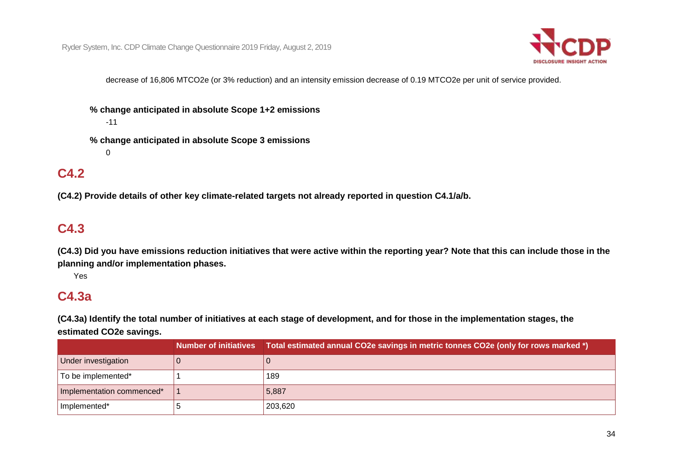

decrease of 16,806 MTCO2e (or 3% reduction) and an intensity emission decrease of 0.19 MTCO2e per unit of service provided.

 **% change anticipated in absolute Scope 1+2 emissions**  -11

 **% change anticipated in absolute Scope 3 emissions**  0

## **C4.2**

 **(C4.2) Provide details of other key climate-related targets not already reported in question C4.1/a/b.** 

## **C4.3**

 **(C4.3) Did you have emissions reduction initiatives that were active within the reporting year? Note that this can include those in the planning and/or implementation phases.** 

Yes

## **C4.3a**

 **(C4.3a) Identify the total number of initiatives at each stage of development, and for those in the implementation stages, the estimated CO2e savings.** 

|                           | Number of initiatives Total estimated annual CO2e savings in metric tonnes CO2e (only for rows marked *) |
|---------------------------|----------------------------------------------------------------------------------------------------------|
| Under investigation       |                                                                                                          |
| To be implemented*        | 189                                                                                                      |
| Implementation commenced* | 5,887                                                                                                    |
| Implemented*              | 203,620                                                                                                  |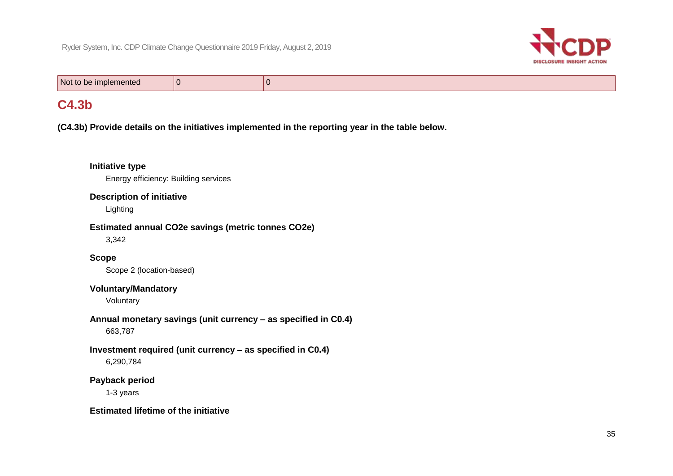

Not to be implemented 0 0

## **C4.3b**

 **(C4.3b) Provide details on the initiatives implemented in the reporting year in the table below.** 

## **Initiative type**

Energy efficiency: Building services

#### **Description of initiative**

Lighting

#### **Estimated annual CO2e savings (metric tonnes CO2e)**

3,342

## **Scope**

Scope 2 (location-based)

### **Voluntary/Mandatory**

Voluntary

## **Annual monetary savings (unit currency – as specified in C0.4)**  663,787

## **Investment required (unit currency – as specified in C0.4)**

6,290,784

## **Payback period**

1-3 years

### **Estimated lifetime of the initiative**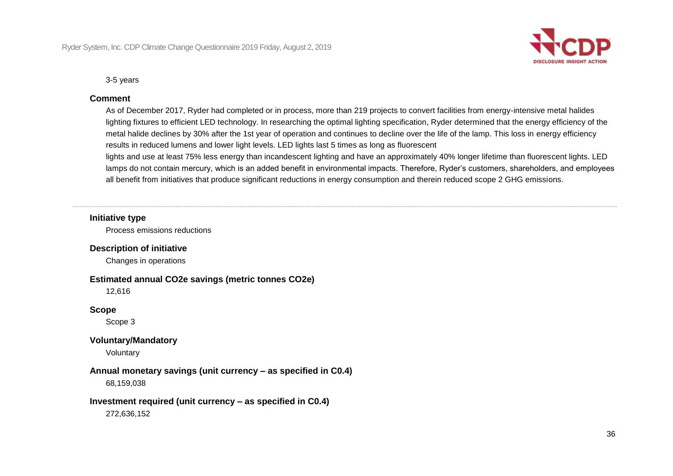

3-5 years

#### **Comment**

 As of December 2017, Ryder had completed or in process, more than 219 projects to convert facilities from energy-intensive metal halides lighting fixtures to efficient LED technology. In researching the optimal lighting specification, Ryder determined that the energy efficiency of the metal halide declines by 30% after the 1st year of operation and continues to decline over the life of the lamp. This loss in energy efficiency results in reduced lumens and lower light levels. LED lights last 5 times as long as fluorescent

lights and use at least 75% less energy than incandescent lighting and have an approximately 40% longer lifetime than fluorescent lights. LED lamps do not contain mercury, which is an added benefit in environmental impacts. Therefore, Ryder's customers, shareholders, and employees all benefit from initiatives that produce significant reductions in energy consumption and therein reduced scope 2 GHG emissions.

#### **Initiative type**

Process emissions reductions

#### **Description of initiative**

Changes in operations

#### **Estimated annual CO2e savings (metric tonnes CO2e)**

12,616

### **Scope**

Scope 3

### **Voluntary/Mandatory**

Voluntary

### **Annual monetary savings (unit currency – as specified in C0.4)**

68,159,038

### **Investment required (unit currency – as specified in C0.4)**

272,636,152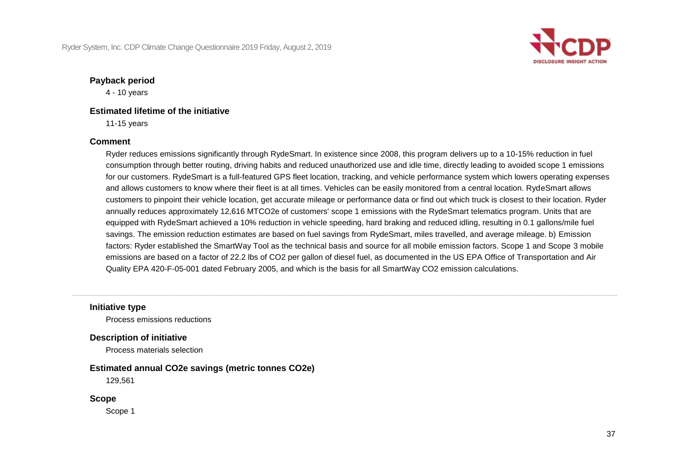

#### **Payback period**

4 - 10 years

### **Estimated lifetime of the initiative**

11-15 years

### **Comment**

 Ryder reduces emissions significantly through RydeSmart. In existence since 2008, this program delivers up to a 10-15% reduction in fuel annually reduces approximately 12,616 MTCO2e of customers' scope 1 emissions with the RydeSmart telematics program. Units that are equipped with RydeSmart achieved a 10% reduction in vehicle speeding, hard braking and reduced idling, resulting in 0.1 gallons/mile fuel emissions are based on a factor of 22.2 lbs of CO2 per gallon of diesel fuel, as documented in the US EPA Office of Transportation and Air Quality EPA 420-F-05-001 dated February 2005, and which is the basis for all SmartWay CO2 emission calculations. consumption through better routing, driving habits and reduced unauthorized use and idle time, directly leading to avoided scope 1 emissions for our customers. RydeSmart is a full-featured GPS fleet location, tracking, and vehicle performance system which lowers operating expenses and allows customers to know where their fleet is at all times. Vehicles can be easily monitored from a central location. RydeSmart allows customers to pinpoint their vehicle location, get accurate mileage or performance data or find out which truck is closest to their location. Ryder savings. The emission reduction estimates are based on fuel savings from RydeSmart, miles travelled, and average mileage. b) Emission factors: Ryder established the SmartWay Tool as the technical basis and source for all mobile emission factors. Scope 1 and Scope 3 mobile

**Initiative type** 

Process emissions reductions

 **Description of initiative** 

Process materials selection

## **Estimated annual CO2e savings (metric tonnes CO2e)**

129,561

**Scope** 

Scope 1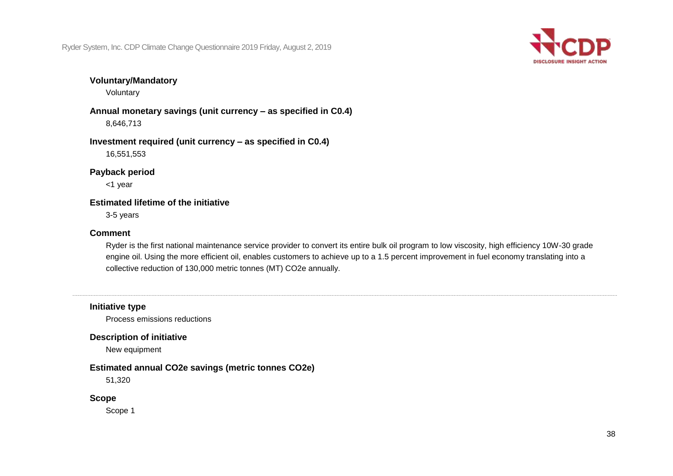

### **Voluntary/Mandatory**

Voluntary

 **Annual monetary savings (unit currency – as specified in C0.4)**  8,646,713

 **Investment required (unit currency – as specified in C0.4)**  16,551,553

**Payback period** 

<1 year

#### **Estimated lifetime of the initiative**

3-5 years

#### **Comment**

Ryder is the first national maintenance service provider to convert its entire bulk oil program to low viscosity, high efficiency 10W-30 grade engine oil. Using the more efficient oil, enables customers to achieve up to a 1.5 percent improvement in fuel economy translating into a collective reduction of 130,000 metric tonnes (MT) CO2e annually.

### **Initiative type**

Process emissions reductions

#### **Description of initiative**

New equipment

#### **Estimated annual CO2e savings (metric tonnes CO2e)**

51,320

#### **Scope**

Scope 1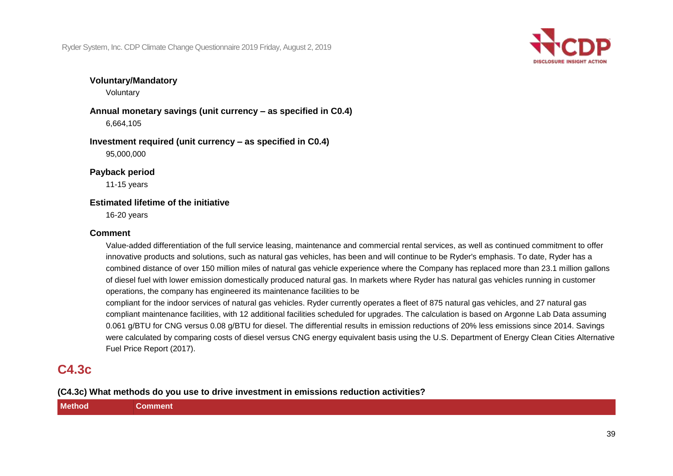

### **Voluntary/Mandatory**

Voluntary

**Annual monetary savings (unit currency – as specified in C0.4)**  6,664,105

**Investment required (unit currency – as specified in C0.4)**  95,000,000

**Payback period** 

11-15 years

#### **Estimated lifetime of the initiative**

16-20 years

#### **Comment**

Value-added differentiation of the full service leasing, maintenance and commercial rental services, as well as continued commitment to offer innovative products and solutions, such as natural gas vehicles, has been and will continue to be Ryder's emphasis. To date, Ryder has a combined distance of over 150 million miles of natural gas vehicle experience where the Company has replaced more than 23.1 million gallons of diesel fuel with lower emission domestically produced natural gas. In markets where Ryder has natural gas vehicles running in customer operations, the company has engineered its maintenance facilities to be

compliant for the indoor services of natural gas vehicles. Ryder currently operates a fleet of 875 natural gas vehicles, and 27 natural gas compliant maintenance facilities, with 12 additional facilities scheduled for upgrades. The calculation is based on Argonne Lab Data assuming 0.061 g/BTU for CNG versus 0.08 g/BTU for diesel. The differential results in emission reductions of 20% less emissions since 2014. Savings were calculated by comparing costs of diesel versus CNG energy equivalent basis using the U.S. Department of Energy Clean Cities Alternative Fuel Price Report (2017).

## **C4.3c**

**(C4.3c) What methods do you use to drive investment in emissions reduction activities?** 

| <b>Method</b> | Comment |
|---------------|---------|
|               |         |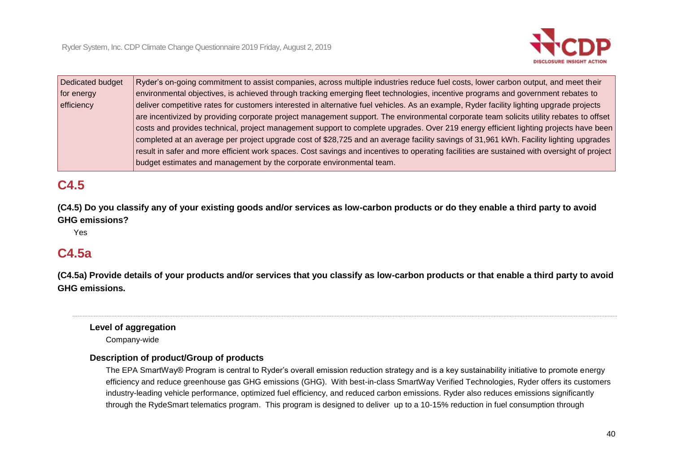

| Dedicated budget | Ryder's on-going commitment to assist companies, across multiple industries reduce fuel costs, lower carbon output, and meet their          |
|------------------|---------------------------------------------------------------------------------------------------------------------------------------------|
| for energy       | environmental objectives, is achieved through tracking emerging fleet technologies, incentive programs and government rebates to            |
| efficiency       | deliver competitive rates for customers interested in alternative fuel vehicles. As an example, Ryder facility lighting upgrade projects    |
|                  | are incentivized by providing corporate project management support. The environmental corporate team solicits utility rebates to offset     |
|                  | costs and provides technical, project management support to complete upgrades. Over 219 energy efficient lighting projects have been        |
|                  | completed at an average per project upgrade cost of \$28,725 and an average facility savings of 31,961 kWh. Facility lighting upgrades      |
|                  | result in safer and more efficient work spaces. Cost savings and incentives to operating facilities are sustained with oversight of project |
|                  | budget estimates and management by the corporate environmental team.                                                                        |

## **C4.5**

 **(C4.5) Do you classify any of your existing goods and/or services as low-carbon products or do they enable a third party to avoid GHG emissions?** 

Yes

## **C4.5a**

 **(C4.5a) Provide details of your products and/or services that you classify as low-carbon products or that enable a third party to avoid GHG emissions.** 

#### **Level of aggregation**

Company-wide

#### **Description of product/Group of products**

The EPA SmartWay® Program is central to Ryder's overall emission reduction strategy and is a key sustainability initiative to promote energy efficiency and reduce greenhouse gas GHG emissions (GHG). With best-in-class SmartWay Verified Technologies, Ryder offers its customers industry-leading vehicle performance, optimized fuel efficiency, and reduced carbon emissions. Ryder also reduces emissions significantly through the RydeSmart telematics program. This program is designed to deliver up to a 10-15% reduction in fuel consumption through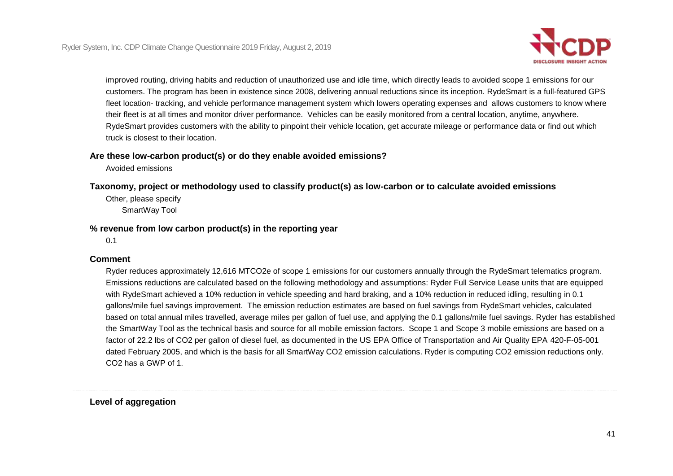

 improved routing, driving habits and reduction of unauthorized use and idle time, which directly leads to avoided scope 1 emissions for our fleet location- tracking, and vehicle performance management system which lowers operating expenses and allows customers to know where their fleet is at all times and monitor driver performance. Vehicles can be easily monitored from a central location, anytime, anywhere. customers. The program has been in existence since 2008, delivering annual reductions since its inception. RydeSmart is a full-featured GPS RydeSmart provides customers with the ability to pinpoint their vehicle location, get accurate mileage or performance data or find out which truck is closest to their location.

### **Are these low-carbon product(s) or do they enable avoided emissions?**

Avoided emissions

 **Taxonomy, project or methodology used to classify product(s) as low-carbon or to calculate avoided emissions** 

Other, please specify SmartWay Tool

### **% revenue from low carbon product(s) in the reporting year**

0.1

#### **Comment**

 factor of 22.2 lbs of CO2 per gallon of diesel fuel, as documented in the US EPA Office of Transportation and Air Quality EPA 420-F-05-001 dated February 2005, and which is the basis for all SmartWay CO2 emission calculations. Ryder is computing CO2 emission reductions only. Ryder reduces approximately 12,616 MTCO2e of scope 1 emissions for our customers annually through the RydeSmart telematics program. Emissions reductions are calculated based on the following methodology and assumptions: Ryder Full Service Lease units that are equipped with RydeSmart achieved a 10% reduction in vehicle speeding and hard braking, and a 10% reduction in reduced idling, resulting in 0.1 gallons/mile fuel savings improvement. The emission reduction estimates are based on fuel savings from RydeSmart vehicles, calculated based on total annual miles travelled, average miles per gallon of fuel use, and applying the 0.1 gallons/mile fuel savings. Ryder has established the SmartWay Tool as the technical basis and source for all mobile emission factors. Scope 1 and Scope 3 mobile emissions are based on a CO2 has a GWP of 1.

**Level of aggregation**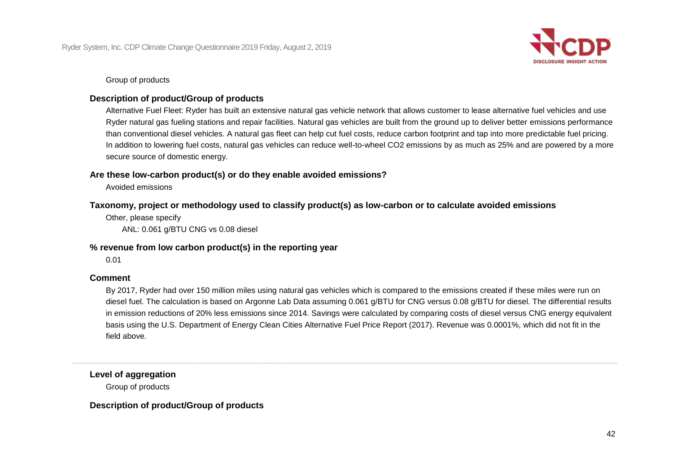

Group of products

## **Description of product/Group of products**

 than conventional diesel vehicles. A natural gas fleet can help cut fuel costs, reduce carbon footprint and tap into more predictable fuel pricing. In addition to lowering fuel costs, natural gas vehicles can reduce well-to-wheel CO2 emissions by as much as 25% and are powered by a more Alternative Fuel Fleet: Ryder has built an extensive natural gas vehicle network that allows customer to lease alternative fuel vehicles and use Ryder natural gas fueling stations and repair facilities. Natural gas vehicles are built from the ground up to deliver better emissions performance secure source of domestic energy.

### **Are these low-carbon product(s) or do they enable avoided emissions?**

Avoided emissions

#### **Taxonomy, project or methodology used to classify product(s) as low-carbon or to calculate avoided emissions**

Other, please specify ANL: 0.061 g/BTU CNG vs 0.08 diesel

#### **% revenue from low carbon product(s) in the reporting year**

0.01

#### **Comment**

By 2017, Ryder had over 150 million miles using natural gas vehicles which is compared to the emissions created if these miles were run on diesel fuel. The calculation is based on Argonne Lab Data assuming 0.061 g/BTU for CNG versus 0.08 g/BTU for diesel. The differential results in emission reductions of 20% less emissions since 2014. Savings were calculated by comparing costs of diesel versus CNG energy equivalent basis using the U.S. Department of Energy Clean Cities Alternative Fuel Price Report (2017). Revenue was 0.0001%, which did not fit in the field above.

**Level of aggregation** 

Group of products

 **Description of product/Group of products**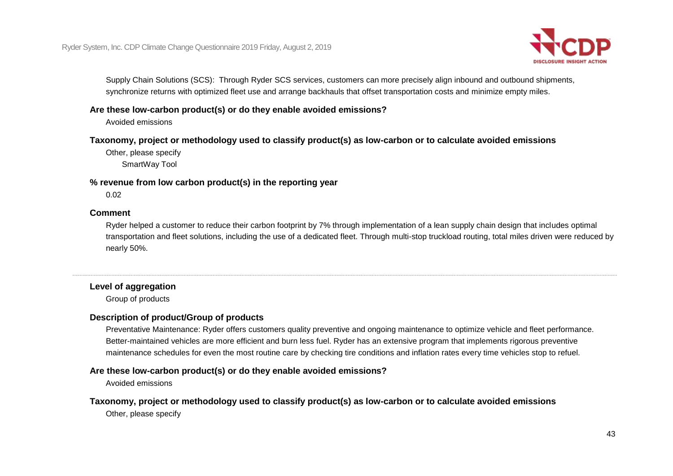

Supply Chain Solutions (SCS): Through Ryder SCS services, customers can more precisely align inbound and outbound shipments, synchronize returns with optimized fleet use and arrange backhauls that offset transportation costs and minimize empty miles.

### **Are these low-carbon product(s) or do they enable avoided emissions?**

Avoided emissions

#### **Taxonomy, project or methodology used to classify product(s) as low-carbon or to calculate avoided emissions**

Other, please specify SmartWay Tool

### **% revenue from low carbon product(s) in the reporting year**

0.02

#### **Comment**

Ryder helped a customer to reduce their carbon footprint by 7% through implementation of a lean supply chain design that includes optimal transportation and fleet solutions, including the use of a dedicated fleet. Through multi-stop truckload routing, total miles driven were reduced by nearly 50%.

## **Level of aggregation**

Group of products

#### **Description of product/Group of products**

Preventative Maintenance: Ryder offers customers quality preventive and ongoing maintenance to optimize vehicle and fleet performance. Better-maintained vehicles are more efficient and burn less fuel. Ryder has an extensive program that implements rigorous preventive maintenance schedules for even the most routine care by checking tire conditions and inflation rates every time vehicles stop to refuel.

#### **Are these low-carbon product(s) or do they enable avoided emissions?**

Avoided emissions

## **Taxonomy, project or methodology used to classify product(s) as low-carbon or to calculate avoided emissions**

Other, please specify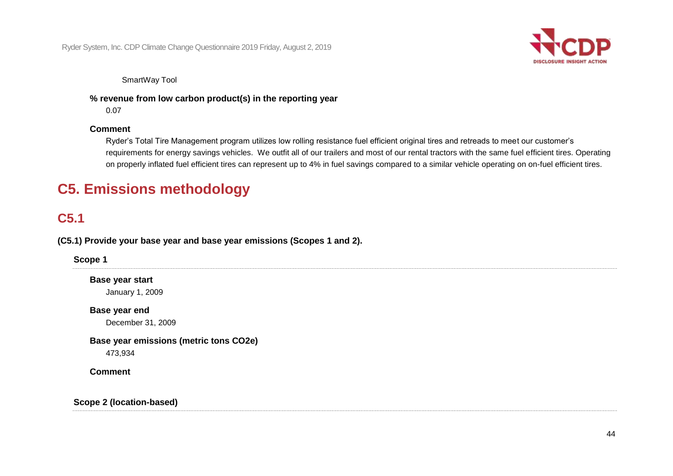

SmartWay Tool

 **% revenue from low carbon product(s) in the reporting year** 

0.07

## **Comment**

Ryder's Total Tire Management program utilizes low rolling resistance fuel efficient original tires and retreads to meet our customer's requirements for energy savings vehicles. We outfit all of our trailers and most of our rental tractors with the same fuel efficient tires. Operating on properly inflated fuel efficient tires can represent up to 4% in fuel savings compared to a similar vehicle operating on on-fuel efficient tires.

# **C5. Emissions methodology**

## **C5.1**

 **(C5.1) Provide your base year and base year emissions (Scopes 1 and 2).** 

**Scope 1** 

**Base year start** 

January 1, 2009

**Base year end**  December 31, 2009

**Base year emissions (metric tons CO2e)**  473,934

**Comment** 

## **Scope 2 (location-based)**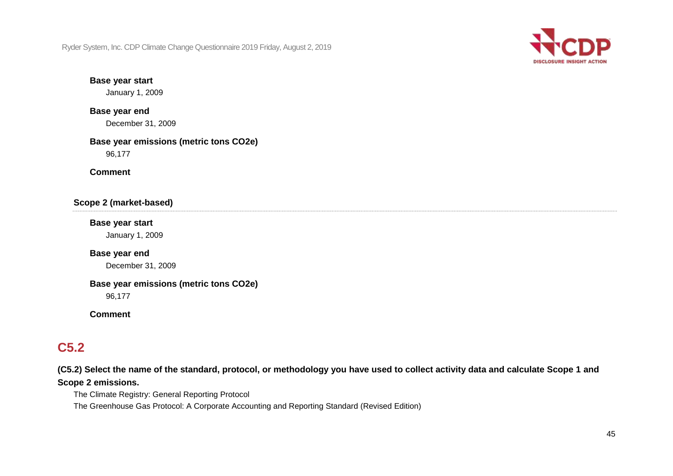

#### **Base year start**

January 1, 2009

## **Base year end**  December 31, 2009

## **Base year emissions (metric tons CO2e)**  96,177

**Comment** 

## **Scope 2 (market-based)**

#### **Base year start**

January 1, 2009

### **Base year end**

December 31, 2009

## **Base year emissions (metric tons CO2e)**

96,177

#### **Comment**

## **C5.2**

 **(C5.2) Select the name of the standard, protocol, or methodology you have used to collect activity data and calculate Scope 1 and Scope 2 emissions.** 

The Climate Registry: General Reporting Protocol

The Greenhouse Gas Protocol: A Corporate Accounting and Reporting Standard (Revised Edition)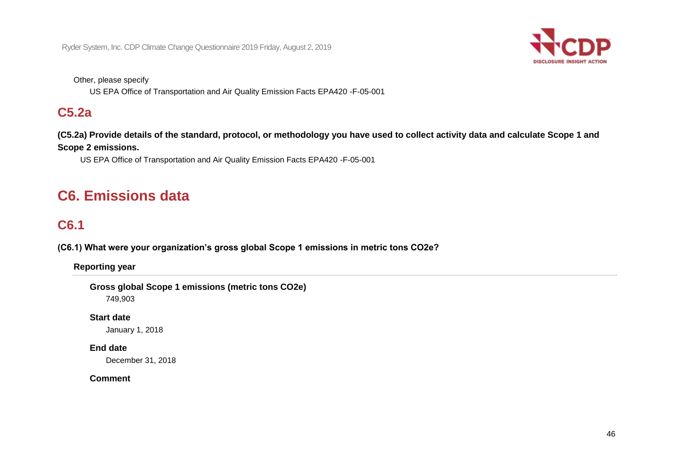

Other, please specify

US EPA Office of Transportation and Air Quality Emission Facts EPA420 -F-05-001

## **C5.2a**

 **(C5.2a) Provide details of the standard, protocol, or methodology you have used to collect activity data and calculate Scope 1 and Scope 2 emissions.** 

US EPA Office of Transportation and Air Quality Emission Facts EPA420 -F-05-001

# **C6. Emissions data**

# **C6.1**

 **(C6.1) What were your organization's gross global Scope 1 emissions in metric tons CO2e?**

**Reporting year** 

 **Gross global Scope 1 emissions (metric tons CO2e)** 

749,903

**Start date** 

January 1, 2018

## **End date**

December 31, 2018

## **Comment**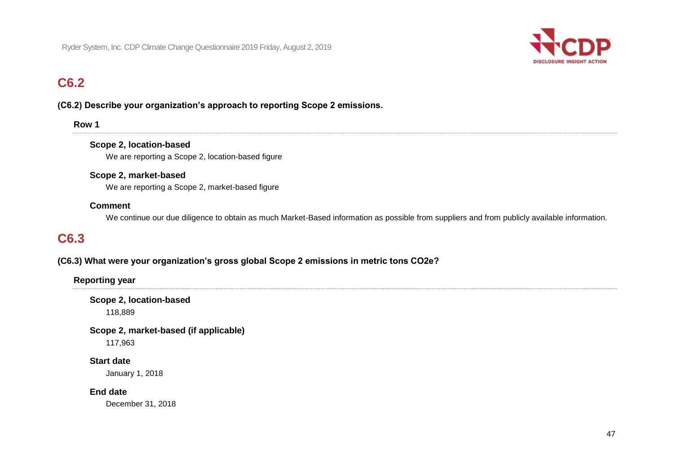

## **C6.2**

## **(C6.2) Describe your organization's approach to reporting Scope 2 emissions.**

| .,<br>۰. |  |
|----------|--|
|----------|--|

#### **Scope 2, location-based**

We are reporting a Scope 2, location-based figure

#### **Scope 2, market-based**

We are reporting a Scope 2, market-based figure

#### **Comment**

We continue our due diligence to obtain as much Market-Based information as possible from suppliers and from publicly available information.

## **C6.3**

## **(C6.3) What were your organization's gross global Scope 2 emissions in metric tons CO2e?**

**Reporting year** 

**Scope 2, location-based**  118,889

 **Scope 2, market-based (if applicable)** 

117,963

#### **Start date**

January 1, 2018

#### **End date**

December 31, 2018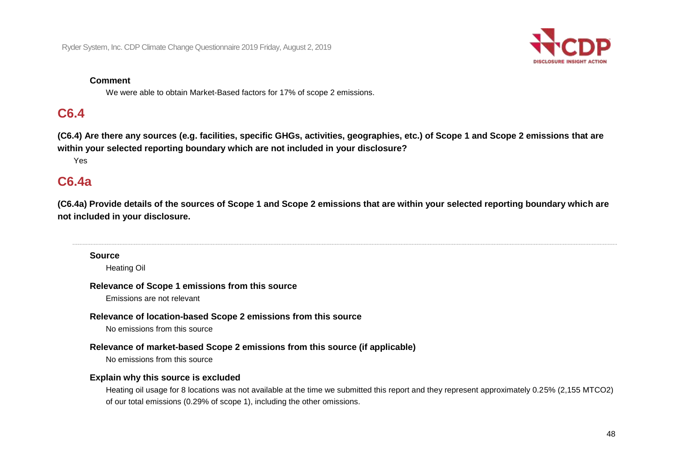

#### **Comment**

We were able to obtain Market-Based factors for 17% of scope 2 emissions.

## **C6.4**

 **(C6.4) Are there any sources (e.g. facilities, specific GHGs, activities, geographies, etc.) of Scope 1 and Scope 2 emissions that are within your selected reporting boundary which are not included in your disclosure?** 

Yes

## **C6.4a**

 **(C6.4a) Provide details of the sources of Scope 1 and Scope 2 emissions that are within your selected reporting boundary which are not included in your disclosure.** 

#### **Source**

Heating Oil

#### **Relevance of Scope 1 emissions from this source**

Emissions are not relevant

#### **Relevance of location-based Scope 2 emissions from this source**

No emissions from this source

#### **Relevance of market-based Scope 2 emissions from this source (if applicable)**

No emissions from this source

#### **Explain why this source is excluded**

Heating oil usage for 8 locations was not available at the time we submitted this report and they represent approximately 0.25% (2,155 MTCO2) of our total emissions (0.29% of scope 1), including the other omissions.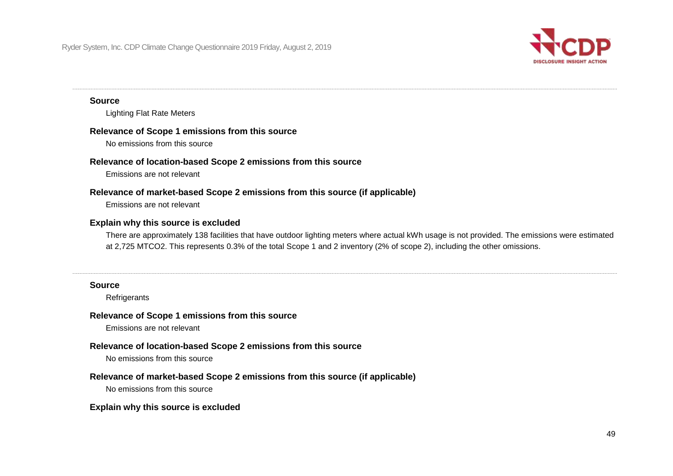

#### **Source**

Lighting Flat Rate Meters

#### **Relevance of Scope 1 emissions from this source**

No emissions from this source

#### **Relevance of location-based Scope 2 emissions from this source**

Emissions are not relevant

#### **Relevance of market-based Scope 2 emissions from this source (if applicable)**

Emissions are not relevant

#### **Explain why this source is excluded**

There are approximately 138 facilities that have outdoor lighting meters where actual kWh usage is not provided. The emissions were estimated at 2,725 MTCO2. This represents 0.3% of the total Scope 1 and 2 inventory (2% of scope 2), including the other omissions.

#### **Source**

**Refrigerants** 

#### **Relevance of Scope 1 emissions from this source**

Emissions are not relevant

#### **Relevance of location-based Scope 2 emissions from this source**

No emissions from this source

#### **Relevance of market-based Scope 2 emissions from this source (if applicable)**

No emissions from this source

#### **Explain why this source is excluded**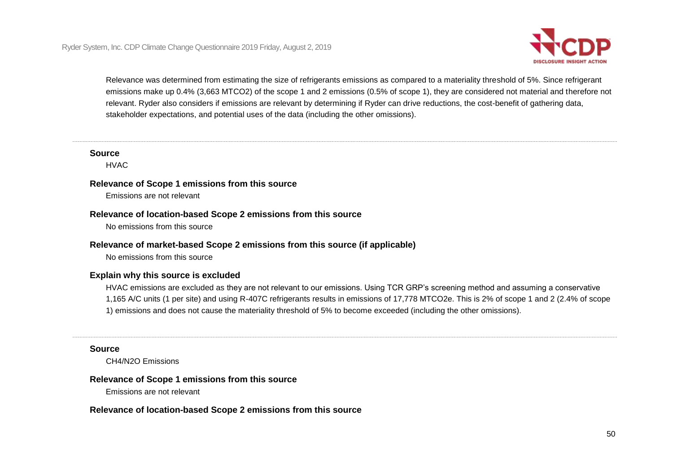

 stakeholder expectations, and potential uses of the data (including the other omissions). Relevance was determined from estimating the size of refrigerants emissions as compared to a materiality threshold of 5%. Since refrigerant emissions make up 0.4% (3,663 MTCO2) of the scope 1 and 2 emissions (0.5% of scope 1), they are considered not material and therefore not relevant. Ryder also considers if emissions are relevant by determining if Ryder can drive reductions, the cost-benefit of gathering data,

#### **Source**

HVAC

#### **Relevance of Scope 1 emissions from this source**

Emissions are not relevant

#### **Relevance of location-based Scope 2 emissions from this source**

No emissions from this source

#### **Relevance of market-based Scope 2 emissions from this source (if applicable)**

No emissions from this source

#### **Explain why this source is excluded**

 1,165 A/C units (1 per site) and using R-407C refrigerants results in emissions of 17,778 MTCO2e. This is 2% of scope 1 and 2 (2.4% of scope HVAC emissions are excluded as they are not relevant to our emissions. Using TCR GRP's screening method and assuming a conservative 1) emissions and does not cause the materiality threshold of 5% to become exceeded (including the other omissions).

#### **Source**

CH4/N2O Emissions

#### **Relevance of Scope 1 emissions from this source**

Emissions are not relevant

#### **Relevance of location-based Scope 2 emissions from this source**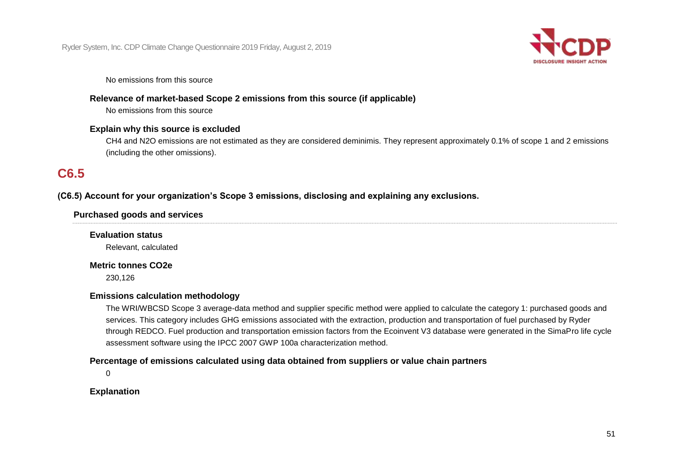

No emissions from this source

### **Relevance of market-based Scope 2 emissions from this source (if applicable)**

No emissions from this source

#### **Explain why this source is excluded**

CH4 and N2O emissions are not estimated as they are considered deminimis. They represent approximately 0.1% of scope 1 and 2 emissions (including the other omissions).

## **C6.5**

### **(C6.5) Account for your organization's Scope 3 emissions, disclosing and explaining any exclusions.**

#### **Purchased goods and services**

**Evaluation status** 

Relevant, calculated

### **Metric tonnes CO2e**

230,126

#### **Emissions calculation methodology**

The WRI/WBCSD Scope 3 average-data method and supplier specific method were applied to calculate the category 1: purchased goods and services. This category includes GHG emissions associated with the extraction, production and transportation of fuel purchased by Ryder through REDCO. Fuel production and transportation emission factors from the Ecoinvent V3 database were generated in the SimaPro life cycle assessment software using the IPCC 2007 GWP 100a characterization method.

#### **Percentage of emissions calculated using data obtained from suppliers or value chain partners**

 $\Omega$ 

#### **Explanation**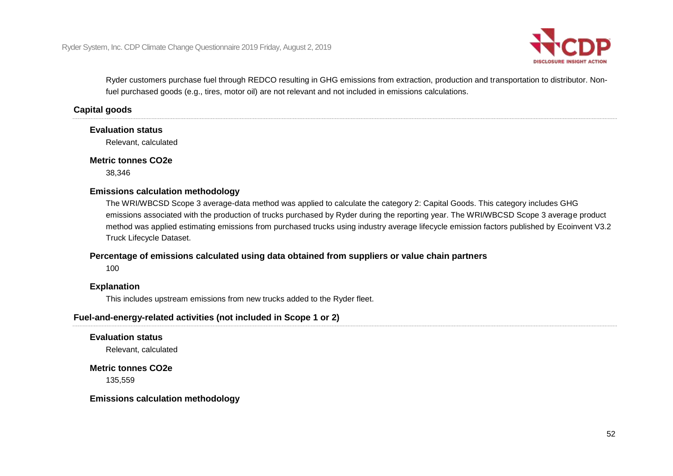

Ryder customers purchase fuel through REDCO resulting in GHG emissions from extraction, production and transportation to distributor. Nonfuel purchased goods (e.g., tires, motor oil) are not relevant and not included in emissions calculations.

### **Capital goods**

#### **Evaluation status**

Relevant, calculated

#### **Metric tonnes CO2e**

38,346

#### **Emissions calculation methodology**

 The WRI/WBCSD Scope 3 average-data method was applied to calculate the category 2: Capital Goods. This category includes GHG emissions associated with the production of trucks purchased by Ryder during the reporting year. The WRI/WBCSD Scope 3 average product method was applied estimating emissions from purchased trucks using industry average lifecycle emission factors published by Ecoinvent V3.2 Truck Lifecycle Dataset.

#### **Percentage of emissions calculated using data obtained from suppliers or value chain partners**

100

#### **Explanation**

This includes upstream emissions from new trucks added to the Ryder fleet.

#### **Fuel-and-energy-related activities (not included in Scope 1 or 2)**

**Evaluation status** 

Relevant, calculated

 **Metric tonnes CO2e** 

135,559

**Emissions calculation methodology**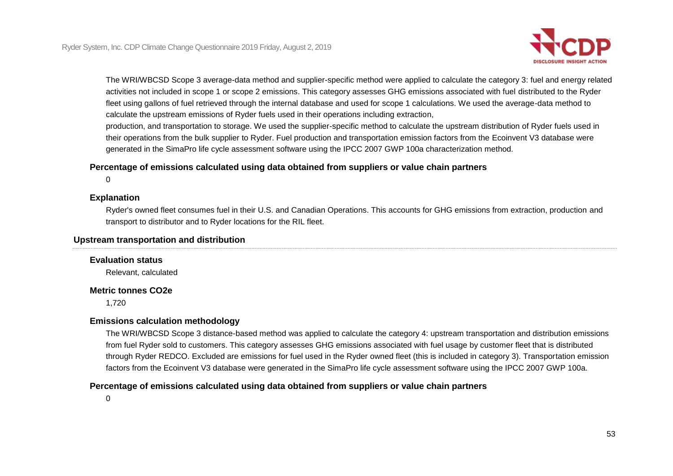

 fleet using gallons of fuel retrieved through the internal database and used for scope 1 calculations. We used the average-data method to calculate the upstream emissions of Ryder fuels used in their operations including extraction, The WRI/WBCSD Scope 3 average-data method and supplier-specific method were applied to calculate the category 3: fuel and energy related activities not included in scope 1 or scope 2 emissions. This category assesses GHG emissions associated with fuel distributed to the Ryder

production, and transportation to storage. We used the supplier-specific method to calculate the upstream distribution of Ryder fuels used in their operations from the bulk supplier to Ryder. Fuel production and transportation emission factors from the Ecoinvent V3 database were generated in the SimaPro life cycle assessment software using the IPCC 2007 GWP 100a characterization method.

### **Percentage of emissions calculated using data obtained from suppliers or value chain partners**

 $\Omega$ 

#### **Explanation**

Ryder's owned fleet consumes fuel in their U.S. and Canadian Operations. This accounts for GHG emissions from extraction, production and transport to distributor and to Ryder locations for the RIL fleet.

#### **Upstream transportation and distribution**

## **Evaluation status**

Relevant, calculated

#### **Metric tonnes CO2e**

1,720

#### **Emissions calculation methodology**

The WRI/WBCSD Scope 3 distance-based method was applied to calculate the category 4: upstream transportation and distribution emissions from fuel Ryder sold to customers. This category assesses GHG emissions associated with fuel usage by customer fleet that is distributed through Ryder REDCO. Excluded are emissions for fuel used in the Ryder owned fleet (this is included in category 3). Transportation emission factors from the Ecoinvent V3 database were generated in the SimaPro life cycle assessment software using the IPCC 2007 GWP 100a.

### **Percentage of emissions calculated using data obtained from suppliers or value chain partners**

 $\Omega$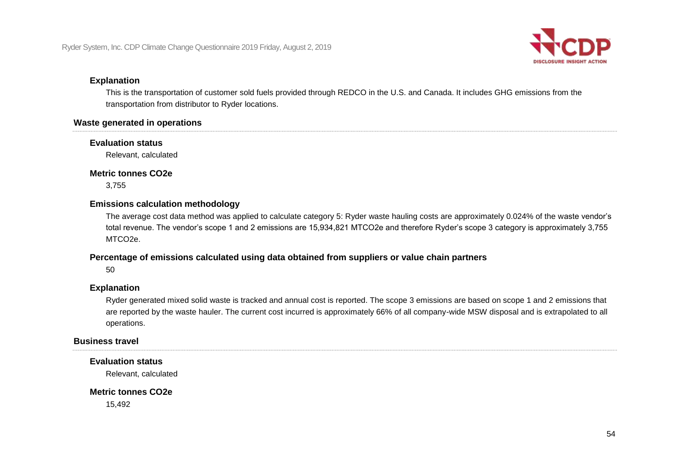

#### **Explanation**

This is the transportation of customer sold fuels provided through REDCO in the U.S. and Canada. It includes GHG emissions from the transportation from distributor to Ryder locations.

#### **Waste generated in operations**

#### **Evaluation status**

Relevant, calculated

#### **Metric tonnes CO2e**

3,755

#### **Emissions calculation methodology**

The average cost data method was applied to calculate category 5: Ryder waste hauling costs are approximately 0.024% of the waste vendor's total revenue. The vendor's scope 1 and 2 emissions are 15,934,821 MTCO2e and therefore Ryder's scope 3 category is approximately 3,755 MTCO2e.

#### **Percentage of emissions calculated using data obtained from suppliers or value chain partners**

50

#### **Explanation**

 are reported by the waste hauler. The current cost incurred is approximately 66% of all company-wide MSW disposal and is extrapolated to all Ryder generated mixed solid waste is tracked and annual cost is reported. The scope 3 emissions are based on scope 1 and 2 emissions that operations.

#### **Business travel**

#### **Evaluation status**

Relevant, calculated

### **Metric tonnes CO2e**

15,492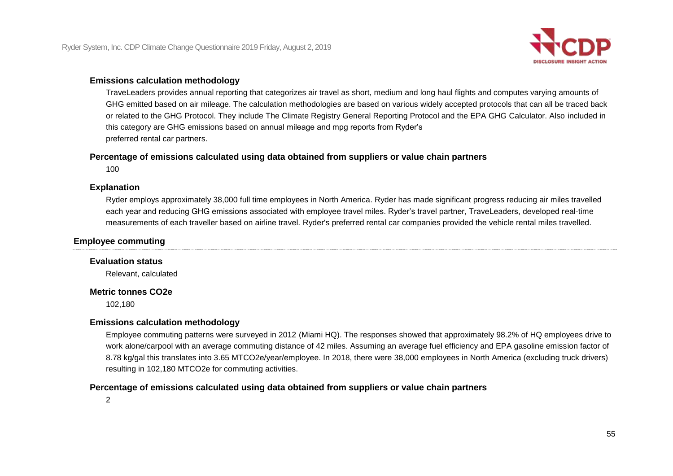

#### **Emissions calculation methodology**

 GHG emitted based on air mileage. The calculation methodologies are based on various widely accepted protocols that can all be traced back this category are GHG emissions based on annual mileage and mpg reports from Ryder's TraveLeaders provides annual reporting that categorizes air travel as short, medium and long haul flights and computes varying amounts of or related to the GHG Protocol. They include The Climate Registry General Reporting Protocol and the EPA GHG Calculator. Also included in preferred rental car partners.

#### **Percentage of emissions calculated using data obtained from suppliers or value chain partners**

100

### **Explanation**

Ryder employs approximately 38,000 full time employees in North America. Ryder has made significant progress reducing air miles travelled each year and reducing GHG emissions associated with employee travel miles. Ryder's travel partner, TraveLeaders, developed real-time measurements of each traveller based on airline travel. Ryder's preferred rental car companies provided the vehicle rental miles travelled.

#### **Employee commuting**

#### **Evaluation status**

Relevant, calculated

#### **Metric tonnes CO2e**

102,180

#### **Emissions calculation methodology**

Employee commuting patterns were surveyed in 2012 (Miami HQ). The responses showed that approximately 98.2% of HQ employees drive to work alone/carpool with an average commuting distance of 42 miles. Assuming an average fuel efficiency and EPA gasoline emission factor of 8.78 kg/gal this translates into 3.65 MTCO2e/year/employee. In 2018, there were 38,000 employees in North America (excluding truck drivers) resulting in 102,180 MTCO2e for commuting activities.

### **Percentage of emissions calculated using data obtained from suppliers or value chain partners**

2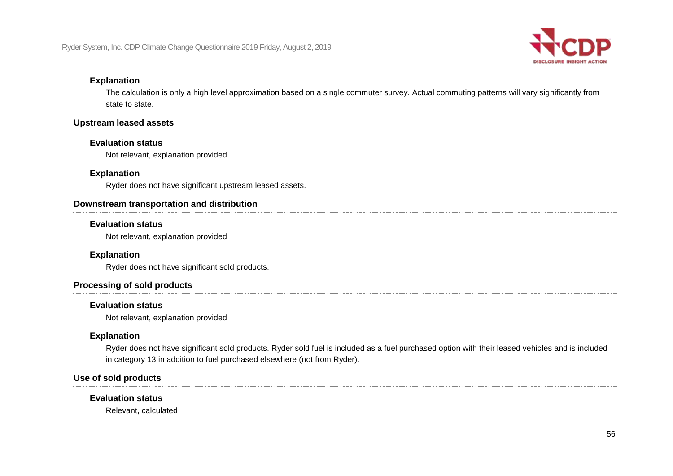

### **Explanation**

The calculation is only a high level approximation based on a single commuter survey. Actual commuting patterns will vary significantly from state to state.

#### **Upstream leased assets**

#### **Evaluation status**

Not relevant, explanation provided

#### **Explanation**

Ryder does not have significant upstream leased assets.

#### **Downstream transportation and distribution**

#### **Evaluation status**

Not relevant, explanation provided

## **Explanation**

Ryder does not have significant sold products.

#### **Processing of sold products**

#### **Evaluation status**

Not relevant, explanation provided

#### **Explanation**

 Ryder does not have significant sold products. Ryder sold fuel is included as a fuel purchased option with their leased vehicles and is included in category 13 in addition to fuel purchased elsewhere (not from Ryder).

## **Use of sold products**

#### **Evaluation status**

Relevant, calculated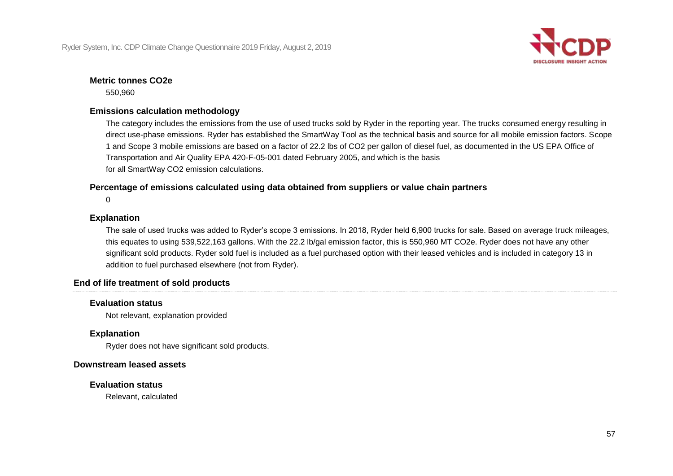

## **Metric tonnes CO2e**

550,960

### **Emissions calculation methodology**

The category includes the emissions from the use of used trucks sold by Ryder in the reporting year. The trucks consumed energy resulting in direct use-phase emissions. Ryder has established the SmartWay Tool as the technical basis and source for all mobile emission factors. Scope 1 and Scope 3 mobile emissions are based on a factor of 22.2 lbs of CO2 per gallon of diesel fuel, as documented in the US EPA Office of Transportation and Air Quality EPA 420-F-05-001 dated February 2005, and which is the basis for all SmartWay CO2 emission calculations.

### **Percentage of emissions calculated using data obtained from suppliers or value chain partners**

 $\Omega$ 

#### **Explanation**

 The sale of used trucks was added to Ryder's scope 3 emissions. In 2018, Ryder held 6,900 trucks for sale. Based on average truck mileages, significant sold products. Ryder sold fuel is included as a fuel purchased option with their leased vehicles and is included in category 13 in addition to fuel purchased elsewhere (not from Ryder). this equates to using 539,522,163 gallons. With the 22.2 lb/gal emission factor, this is 550,960 MT CO2e. Ryder does not have any other

#### **End of life treatment of sold products**

#### **Evaluation status**

Not relevant, explanation provided

#### **Explanation**

Ryder does not have significant sold products.

#### **Downstream leased assets**

#### **Evaluation status**

Relevant, calculated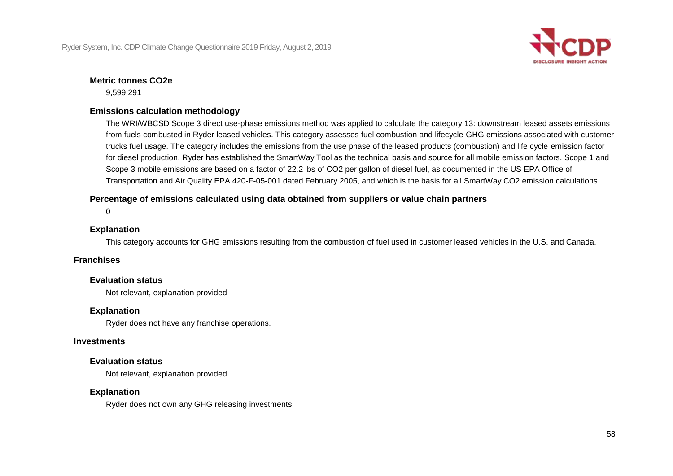

## **Metric tonnes CO2e**

9,599,291

## **Emissions calculation methodology**

 Scope 3 mobile emissions are based on a factor of 22.2 lbs of CO2 per gallon of diesel fuel, as documented in the US EPA Office of The WRI/WBCSD Scope 3 direct use-phase emissions method was applied to calculate the category 13: downstream leased assets emissions from fuels combusted in Ryder leased vehicles. This category assesses fuel combustion and lifecycle GHG emissions associated with customer trucks fuel usage. The category includes the emissions from the use phase of the leased products (combustion) and life cycle emission factor for diesel production. Ryder has established the SmartWay Tool as the technical basis and source for all mobile emission factors. Scope 1 and Transportation and Air Quality EPA 420-F-05-001 dated February 2005, and which is the basis for all SmartWay CO2 emission calculations.

 **Percentage of emissions calculated using data obtained from suppliers or value chain partners** 

 $\Omega$ 

## **Explanation**

This category accounts for GHG emissions resulting from the combustion of fuel used in customer leased vehicles in the U.S. and Canada.

## **Franchises**

## **Evaluation status**

Not relevant, explanation provided

## **Explanation**

Ryder does not have any franchise operations.

## **Investments**

## **Evaluation status**

Not relevant, explanation provided

## **Explanation**

Ryder does not own any GHG releasing investments.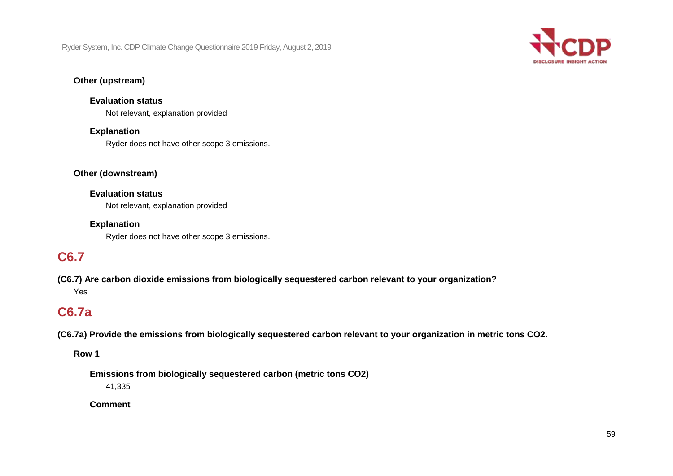

### **Other (upstream)**

#### **Evaluation status**

Not relevant, explanation provided

#### **Explanation**

Ryder does not have other scope 3 emissions.

### **Other (downstream)**

#### **Evaluation status**

Not relevant, explanation provided

#### **Explanation**

Ryder does not have other scope 3 emissions.

## **C6.7**

 **(C6.7) Are carbon dioxide emissions from biologically sequestered carbon relevant to your organization?**  Yes

## **C6.7a**

 **(C6.7a) Provide the emissions from biologically sequestered carbon relevant to your organization in metric tons CO2.** 

**Row 1** 

 **Emissions from biologically sequestered carbon (metric tons CO2)** 

41,335

**Comment**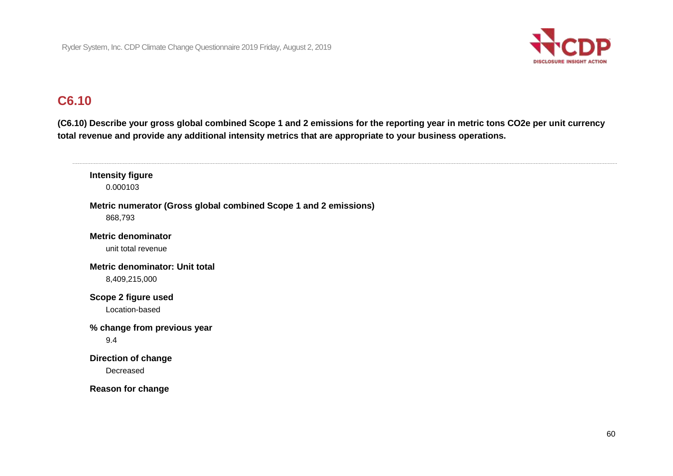

## **C6.10**

 **(C6.10) Describe your gross global combined Scope 1 and 2 emissions for the reporting year in metric tons CO2e per unit currency total revenue and provide any additional intensity metrics that are appropriate to your business operations.** 

 **Metric numerator (Gross global combined Scope 1 and 2 emissions) Metric denominator: Unit total Scope 2 figure used % change from previous year Direction of change Intensity figure**  0.000103 868,793 **Metric denominator**  unit total revenue 8,409,215,000 Location-based 9.4 Decreased **Reason for change**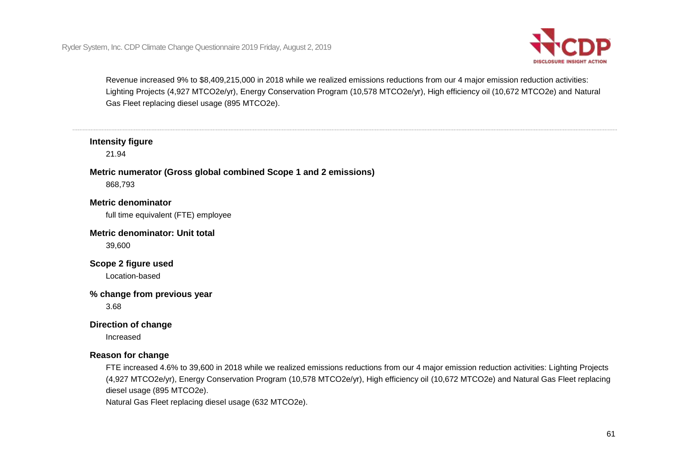

 Revenue increased 9% to \$8,409,215,000 in 2018 while we realized emissions reductions from our 4 major emission reduction activities: Lighting Projects (4,927 MTCO2e/yr), Energy Conservation Program (10,578 MTCO2e/yr), High efficiency oil (10,672 MTCO2e) and Natural Gas Fleet replacing diesel usage (895 MTCO2e).

## **Intensity figure**

21.94

### **Metric numerator (Gross global combined Scope 1 and 2 emissions)**

868,793

## **Metric denominator**

full time equivalent (FTE) employee

#### **Metric denominator: Unit total**

39,600

## **Scope 2 figure used**

Location-based

#### **% change from previous year**

3.68

#### **Direction of change**

Increased

#### **Reason for change**

FTE increased 4.6% to 39,600 in 2018 while we realized emissions reductions from our 4 major emission reduction activities: Lighting Projects (4,927 MTCO2e/yr), Energy Conservation Program (10,578 MTCO2e/yr), High efficiency oil (10,672 MTCO2e) and Natural Gas Fleet replacing diesel usage (895 MTCO2e).

Natural Gas Fleet replacing diesel usage (632 MTCO2e).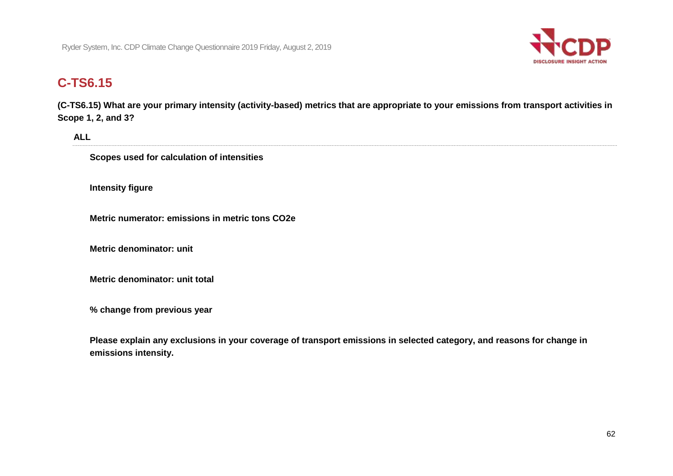

## **[C-TS6.15](https://C-TS6.15)**

 **([C-TS6.15\)](https://C-TS6.15) What are your primary intensity (activity-based) metrics that are appropriate to your emissions from transport activities in Scope 1, 2, and 3?** 

**ALL** 

 **Scopes used for calculation of intensities** 

**Intensity figure** 

 **Metric numerator: emissions in metric tons CO2e** 

**Metric denominator: unit** 

 **Metric denominator: unit total** 

 **% change from previous year** 

 **Please explain any exclusions in your coverage of transport emissions in selected category, and reasons for change in emissions intensity.**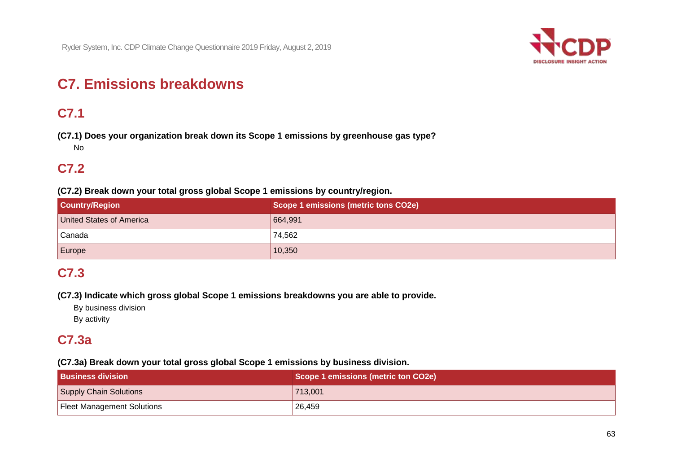

# **C7. Emissions breakdowns**

## **C7.1**

 **(C7.1) Does your organization break down its Scope 1 emissions by greenhouse gas type?**  No

## **C7.2**

 **(C7.2) Break down your total gross global Scope 1 emissions by country/region.** 

| <b>Country/Region</b>    | Scope 1 emissions (metric tons CO2e) |
|--------------------------|--------------------------------------|
| United States of America | 664,991                              |
| Canada                   | 74,562                               |
| Europe                   | 10,350                               |

## **C7.3**

 **(C7.3) Indicate which gross global Scope 1 emissions breakdowns you are able to provide.** 

By business division

By activity

## **C7.3a**

 **(C7.3a) Break down your total gross global Scope 1 emissions by business division.** 

| <b>Business division</b>          | Scope 1 emissions (metric ton CO2e) |
|-----------------------------------|-------------------------------------|
| Supply Chain Solutions            | 713,001                             |
| <b>Fleet Management Solutions</b> | 26,459                              |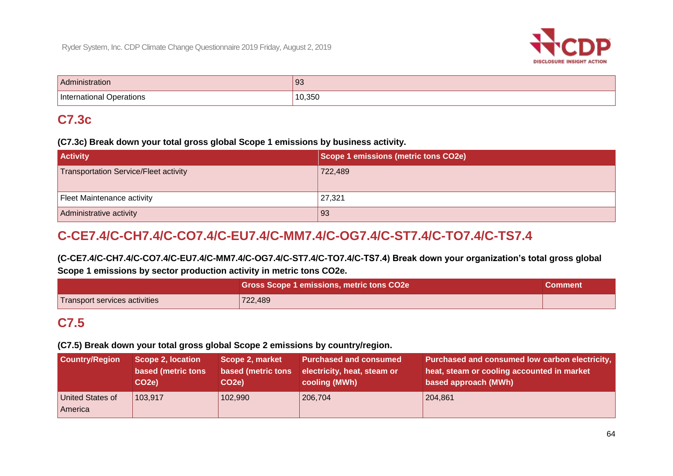

| Administration              | 93     |
|-----------------------------|--------|
| International<br>Operations | 10,350 |

## **C7.3c**

#### **(C7.3c) Break down your total gross global Scope 1 emissions by business activity.**

| <b>Activity</b>                       | Scope 1 emissions (metric tons CO2e) |
|---------------------------------------|--------------------------------------|
| Transportation Service/Fleet activity | 722,489                              |
|                                       |                                      |
| Fleet Maintenance activity            | 27,321                               |
| Administrative activity               | 93                                   |

## **C-CE7.4/C-CH7.4/C-CO7.4/C-EU7.4/C-MM7.4/C-OG7.4/C-ST7.4/C-TO7.4/C-TS7.4**

 **(C-CE7.4/C-CH7.4/C-CO7.4/C-EU7.4/C-MM7.4/C-OG7.4/C-ST7.4/C-TO7.4/C-TS7.4) Break down your organization's total gross global Scope 1 emissions by sector production activity in metric tons CO2e.** 

|                               | <b>Gross Scope 1 emissions, metric tons CO2e</b> | Comment |
|-------------------------------|--------------------------------------------------|---------|
| Transport services activities | 722,489                                          |         |

## **C7.5**

 **(C7.5) Break down your total gross global Scope 2 emissions by country/region.** 

| <b>Country/Region</b>       | Scope 2, location  | Scope 2, market    | <b>Purchased and consumed</b> | Purchased and consumed low carbon electricity, |
|-----------------------------|--------------------|--------------------|-------------------------------|------------------------------------------------|
|                             | based (metric tons | based (metric tons | electricity, heat, steam or   | heat, steam or cooling accounted in market     |
|                             | CO2e)              | CO <sub>2</sub> e) | cooling (MWh)                 | based approach (MWh)                           |
| United States of<br>America | 103,917            | 102,990            | 206,704                       | 204,861                                        |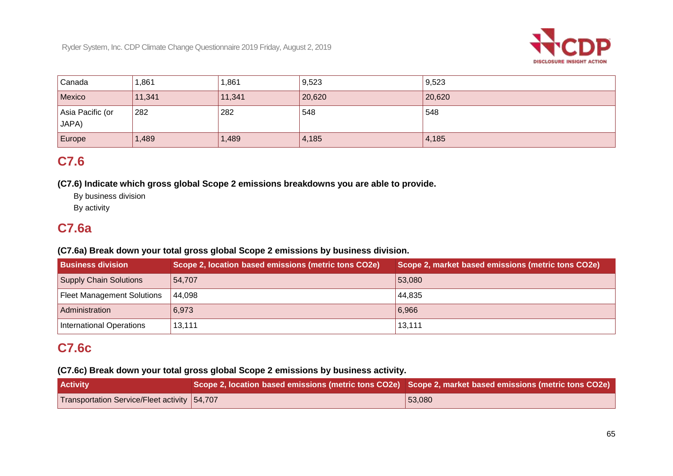

| <sup>'</sup> Canada       | 1,861  | ,861   | 9,523  | 9,523  |
|---------------------------|--------|--------|--------|--------|
| Mexico                    | 11,341 | 11,341 | 20,620 | 20,620 |
| Asia Pacific (or<br>JAPA) | 282    | 282    | 548    | 548    |
| Europe                    | 1,489  | 1,489  | 4,185  | 4,185  |

## **C7.6**

 **(C7.6) Indicate which gross global Scope 2 emissions breakdowns you are able to provide.** 

By business division

By activity

## **C7.6a**

## **(C7.6a) Break down your total gross global Scope 2 emissions by business division.**

| <b>Business division</b>          | Scope 2, location based emissions (metric tons CO2e) | Scope 2, market based emissions (metric tons CO2e) |
|-----------------------------------|------------------------------------------------------|----------------------------------------------------|
| Supply Chain Solutions            | 54,707                                               | $ 53,080\rangle$                                   |
| <b>Fleet Management Solutions</b> | 44.098                                               | 44,835                                             |
| Administration                    | 6,973                                                | 6,966                                              |
| International Operations          | 13,111                                               | 13,111                                             |

## **C7.6c**

## **(C7.6c) Break down your total gross global Scope 2 emissions by business activity.**

| <b>Activity</b>                              | $\mid$ Scope 2, location based emissions (metric tons CO2e) $\mid$ Scope 2, market based emissions (metric tons CO2e) $\mid$ |                  |
|----------------------------------------------|------------------------------------------------------------------------------------------------------------------------------|------------------|
| Transportation Service/Fleet activity 54,707 |                                                                                                                              | $ 53,080\rangle$ |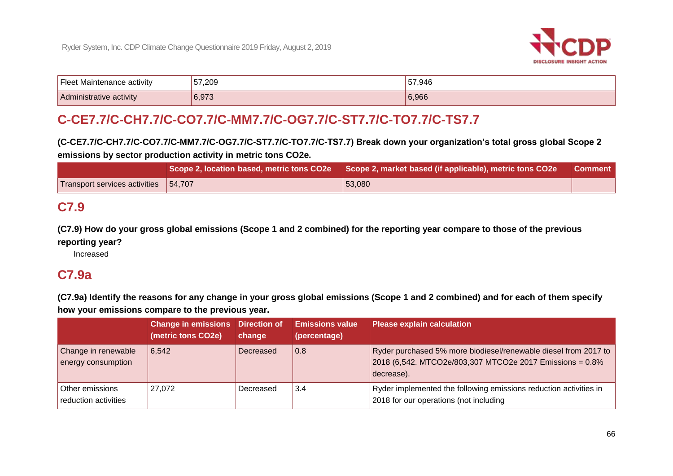

| <sup>I</sup> Fleet<br>t Maintenance activity | 57,209 | 57,946 |
|----------------------------------------------|--------|--------|
| Administrative activity                      | 6,973  | 6,966  |

## **C-CE7.7/C-CH7.7/C-CO7.7/C-MM7.7/C-OG7.7/C-ST7.7/C-TO7.7/C-TS7.7**

 **(C-CE7.7/C-CH7.7/C-CO7.7/C-MM7.7/C-OG7.7/C-ST7.7/C-TO7.7/C-TS7.7) Break down your organization's total gross global Scope 2 emissions by sector production activity in metric tons CO2e.** 

|                                        | Scope 2, location based, metric tons CO2e   Scope 2, market based (if applicable), metric tons CO2e | Comment |
|----------------------------------------|-----------------------------------------------------------------------------------------------------|---------|
| Transport services activities   54,707 | 53,080                                                                                              |         |

## **C7.9**

 **(C7.9) How do your gross global emissions (Scope 1 and 2 combined) for the reporting year compare to those of the previous reporting year?** 

Increased

## **C7.9a**

 **(C7.9a) Identify the reasons for any change in your gross global emissions (Scope 1 and 2 combined) and for each of them specify how your emissions compare to the previous year.** 

|                                           | <b>Change in emissions</b> Direction of<br>(metric tons CO2e) | change    | <b>Emissions value</b><br>(percentage) | <b>Please explain calculation</b>                                                                                                         |
|-------------------------------------------|---------------------------------------------------------------|-----------|----------------------------------------|-------------------------------------------------------------------------------------------------------------------------------------------|
| Change in renewable<br>energy consumption | 6.542                                                         | Decreased | 0.8                                    | Ryder purchased 5% more biodiesel/renewable diesel from 2017 to<br>2018 (6,542. MTCO2e/803,307 MTCO2e 2017 Emissions = 0.8%<br>decrease). |
| Other emissions<br>reduction activities   | 27.072                                                        | Decreased | 3.4                                    | Ryder implemented the following emissions reduction activities in<br>2018 for our operations (not including                               |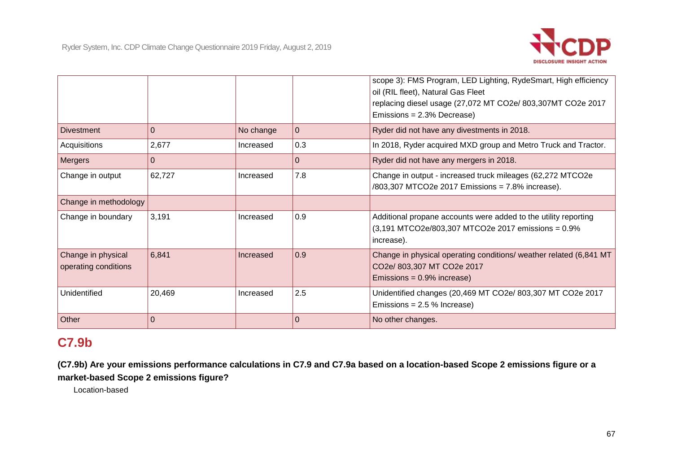

|                                            |                |           |             | scope 3): FMS Program, LED Lighting, RydeSmart, High efficiency<br>oil (RIL fleet), Natural Gas Fleet<br>replacing diesel usage (27,072 MT CO2e/ 803,307MT CO2e 2017 |
|--------------------------------------------|----------------|-----------|-------------|----------------------------------------------------------------------------------------------------------------------------------------------------------------------|
|                                            |                |           |             | Emissions = 2.3% Decrease)                                                                                                                                           |
| <b>Divestment</b>                          | $\mathbf 0$    | No change | $\mathbf 0$ | Ryder did not have any divestments in 2018.                                                                                                                          |
| Acquisitions                               | 2,677          | Increased | 0.3         | In 2018, Ryder acquired MXD group and Metro Truck and Tractor.                                                                                                       |
| <b>Mergers</b>                             | $\Omega$       |           | $\Omega$    | Ryder did not have any mergers in 2018.                                                                                                                              |
| Change in output                           | 62,727         | Increased | 7.8         | Change in output - increased truck mileages (62,272 MTCO2e<br>/803,307 MTCO2e 2017 Emissions = 7.8% increase).                                                       |
| Change in methodology                      |                |           |             |                                                                                                                                                                      |
| Change in boundary                         | 3,191          | Increased | 0.9         | Additional propane accounts were added to the utility reporting<br>(3,191 MTCO2e/803,307 MTCO2e 2017 emissions = 0.9%<br>increase).                                  |
| Change in physical<br>operating conditions | 6,841          | Increased | 0.9         | Change in physical operating conditions/ weather related (6,841 MT<br>CO2e/ 803,307 MT CO2e 2017<br>Emissions = $0.9\%$ increase)                                    |
| Unidentified                               | 20,469         | Increased | 2.5         | Unidentified changes (20,469 MT CO2e/ 803,307 MT CO2e 2017<br>Emissions = $2.5$ % Increase)                                                                          |
| Other                                      | $\overline{0}$ |           | $\Omega$    | No other changes.                                                                                                                                                    |

## **C7.9b**

 **(C7.9b) Are your emissions performance calculations in C7.9 and C7.9a based on a location-based Scope 2 emissions figure or a market-based Scope 2 emissions figure?** 

Location-based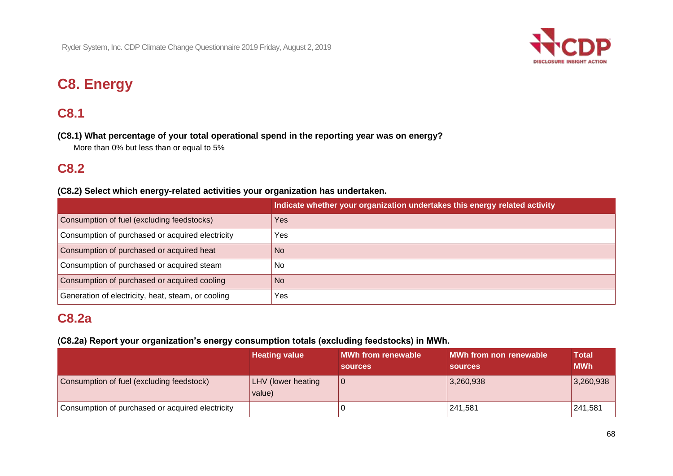

# **C8. Energy**

## **C8.1**

 **(C8.1) What percentage of your total operational spend in the reporting year was on energy?** 

More than 0% but less than or equal to 5%

## **C8.2**

### **(C8.2) Select which energy-related activities your organization has undertaken.**

|                                                    | Indicate whether your organization undertakes this energy related activity |
|----------------------------------------------------|----------------------------------------------------------------------------|
| Consumption of fuel (excluding feedstocks)         | <b>Yes</b>                                                                 |
| Consumption of purchased or acquired electricity   | Yes                                                                        |
| Consumption of purchased or acquired heat          | No.                                                                        |
| Consumption of purchased or acquired steam         | No.                                                                        |
| Consumption of purchased or acquired cooling       | <b>No</b>                                                                  |
| Generation of electricity, heat, steam, or cooling | Yes                                                                        |

## **C8.2a**

## **(C8.2a) Report your organization's energy consumption totals (excluding feedstocks) in MWh.**

|                                                  | <b>Heating value</b>                | <b>MWh from renewable</b><br><b>sources</b> | MWh from non renewable<br><b>sources</b> | <b>Total</b><br><b>MWh</b> |
|--------------------------------------------------|-------------------------------------|---------------------------------------------|------------------------------------------|----------------------------|
| Consumption of fuel (excluding feedstock)        | <b>LHV</b> (lower heating<br>value) | ' O                                         | 3,260,938                                | 3,260,938                  |
| Consumption of purchased or acquired electricity |                                     |                                             | 241.581                                  | 241.581                    |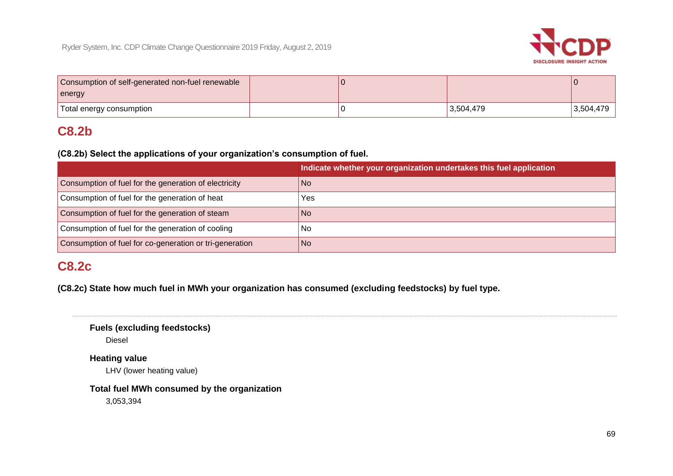

| Consumption of self-generated non-fuel renewable |  |           |           |
|--------------------------------------------------|--|-----------|-----------|
| energy                                           |  |           |           |
| Total energy consumption                         |  | 3,504,479 | 3,504,479 |

## **C8.2b**

 **(C8.2b) Select the applications of your organization's consumption of fuel.**

|                                                         | Indicate whether your organization undertakes this fuel application |
|---------------------------------------------------------|---------------------------------------------------------------------|
| Consumption of fuel for the generation of electricity   | <b>No</b>                                                           |
| Consumption of fuel for the generation of heat          | Yes                                                                 |
| Consumption of fuel for the generation of steam         | <b>No</b>                                                           |
| Consumption of fuel for the generation of cooling       | No.                                                                 |
| Consumption of fuel for co-generation or tri-generation | <b>No</b>                                                           |

## **C8.2c**

 **(C8.2c) State how much fuel in MWh your organization has consumed (excluding feedstocks) by fuel type.** 

**Fuels (excluding feedstocks)** 

Diesel

**Heating value** 

LHV (lower heating value)

 **Total fuel MWh consumed by the organization** 

3,053,394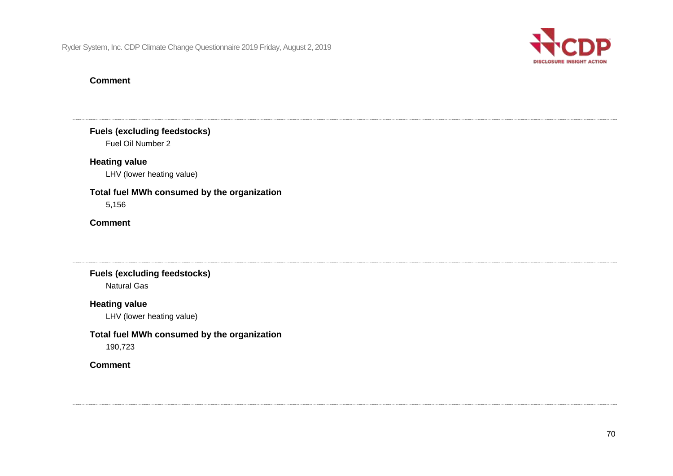

### **Comment**

**Fuels (excluding feedstocks)** 

Fuel Oil Number 2

## **Heating value**

LHV (lower heating value)

#### **Total fuel MWh consumed by the organization**

5,156

## **Comment**

**Fuels (excluding feedstocks)**  Natural Gas

#### **Heating value**

LHV (lower heating value)

## **Total fuel MWh consumed by the organization**

190,723

### **Comment**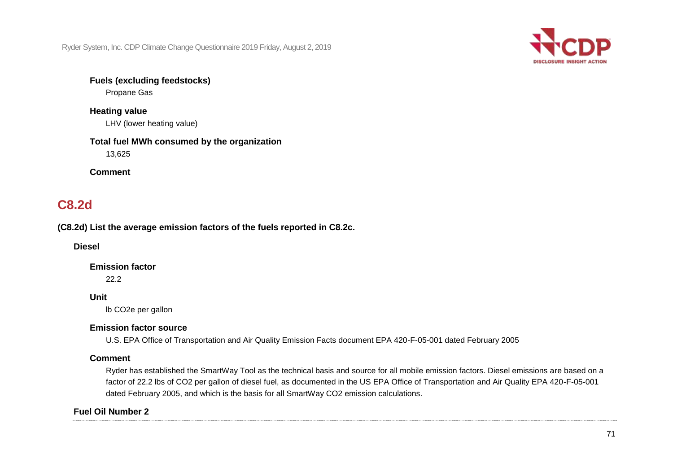

### **Fuels (excluding feedstocks)**

Propane Gas

## **Heating value**  LHV (lower heating value)

## **Total fuel MWh consumed by the organization**  13,625

**Comment** 

## **C8.2d**

## **(C8.2d) List the average emission factors of the fuels reported in C8.2c.**

**Diesel** 

## **Emission factor**

22.2

### **Unit**

lb CO2e per gallon

## **Emission factor source**

U.S. EPA Office of Transportation and Air Quality Emission Facts document EPA 420-F-05-001 dated February 2005

#### **Comment**

 factor of 22.2 lbs of CO2 per gallon of diesel fuel, as documented in the US EPA Office of Transportation and Air Quality EPA 420-F-05-001 dated February 2005, and which is the basis for all SmartWay CO2 emission calculations. Ryder has established the SmartWay Tool as the technical basis and source for all mobile emission factors. Diesel emissions are based on a

## **Fuel Oil Number 2**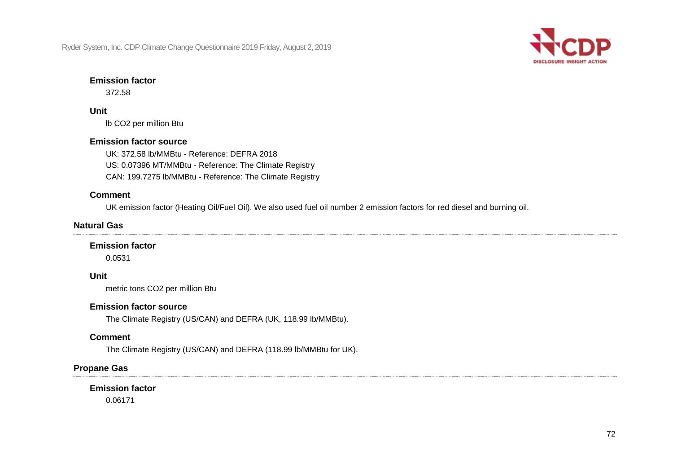

#### **Emission factor**

372.58

### **Unit**

lb CO2 per million Btu

### **Emission factor source**

UK: 372.58 lb/MMBtu - Reference: DEFRA 2018 US: 0.07396 MT/MMBtu - Reference: The Climate Registry CAN: 199.7275 lb/MMBtu - Reference: The Climate Registry

## **Comment**

UK emission factor (Heating Oil/Fuel Oil). We also used fuel oil number 2 emission factors for red diesel and burning oil.

## **Natural Gas**

#### **Emission factor**

0.0531

## **Unit**

metric tons CO2 per million Btu

#### **Emission factor source**

The Climate Registry (US/CAN) and DEFRA (UK, 118.99 lb/MMBtu).

## **Comment**

The Climate Registry (US/CAN) and DEFRA (118.99 lb/MMBtu for UK).

## **Propane Gas**

## **Emission factor**

0.06171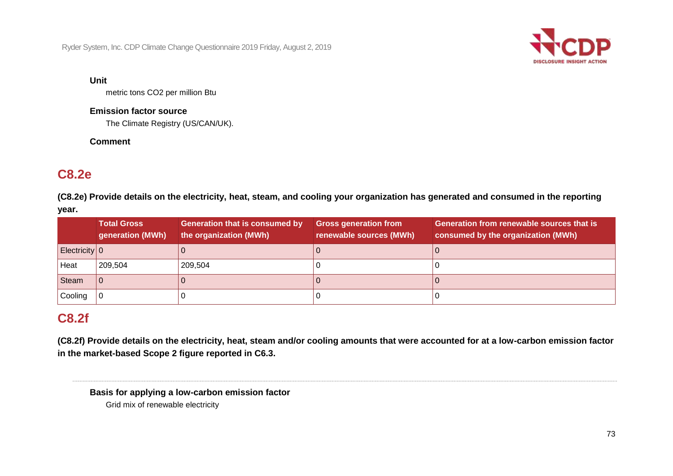

#### **Unit**

metric tons CO2 per million Btu

#### **Emission factor source**

The Climate Registry (US/CAN/UK).

### **Comment**

## **C8.2e**

 **(C8.2e) Provide details on the electricity, heat, steam, and cooling your organization has generated and consumed in the reporting year.** 

|               | <b>Total Gross</b><br>generation (MWh) | <b>Generation that is consumed by</b><br>the organization (MWh) | <b>Gross generation from</b><br>renewable sources (MWh) | <b>Generation from renewable sources that is</b><br>consumed by the organization (MWh) |
|---------------|----------------------------------------|-----------------------------------------------------------------|---------------------------------------------------------|----------------------------------------------------------------------------------------|
| Electricity 0 |                                        |                                                                 |                                                         |                                                                                        |
| Heat          | 209,504                                | 209,504                                                         |                                                         |                                                                                        |
| <b>Steam</b>  |                                        |                                                                 |                                                         |                                                                                        |
| Cooling       |                                        |                                                                 |                                                         |                                                                                        |

## **C8.2f**

 **(C8.2f) Provide details on the electricity, heat, steam and/or cooling amounts that were accounted for at a low-carbon emission factor in the market-based Scope 2 figure reported in C6.3.** 

 **Basis for applying a low-carbon emission factor**  Grid mix of renewable electricity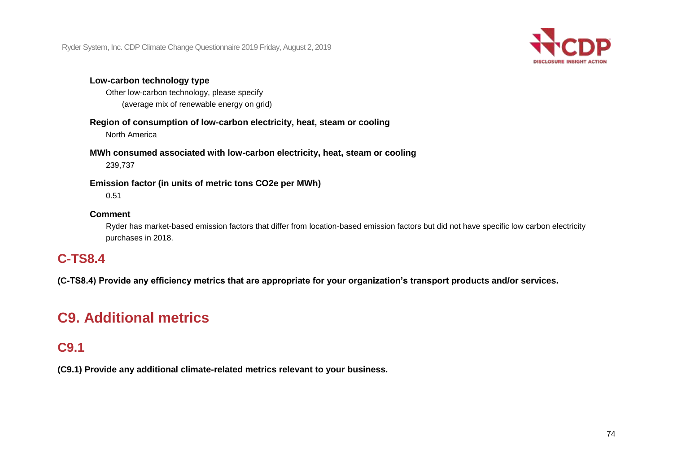

#### **Low-carbon technology type**

Other low-carbon technology, please specify (average mix of renewable energy on grid)

## **Region of consumption of low-carbon electricity, heat, steam or cooling**

North America

### **MWh consumed associated with low-carbon electricity, heat, steam or cooling**

239,737

#### **Emission factor (in units of metric tons CO2e per MWh)**

0.51

#### **Comment**

Ryder has market-based emission factors that differ from location-based emission factors but did not have specific low carbon electricity purchases in 2018.

## **C-TS8.4**

 **(C-TS8.4) Provide any efficiency metrics that are appropriate for your organization's transport products and/or services.** 

# **C9. Additional metrics**

## **C9.1**

 **(C9.1) Provide any additional climate-related metrics relevant to your business.**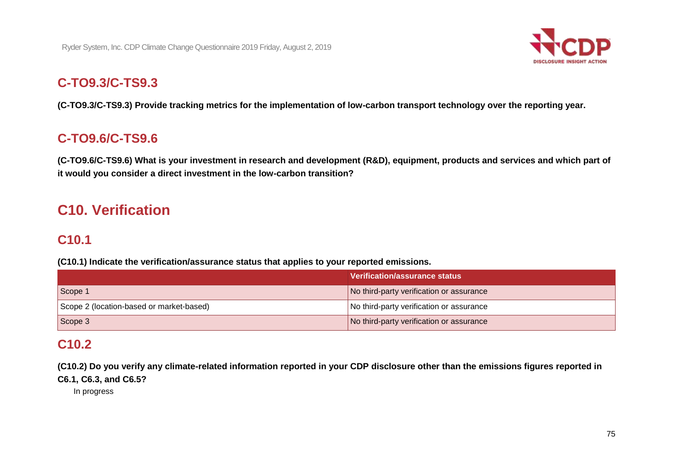

## **C-TO9.3/C-TS9.3**

 **(C-TO9.3/C-TS9.3) Provide tracking metrics for the implementation of low-carbon transport technology over the reporting year.** 

## **C-TO9.6/C-TS9.6**

 **(C-TO9.6/C-TS9.6) What is your investment in research and development (R&D), equipment, products and services and which part of it would you consider a direct investment in the low-carbon transition?** 

# **C10. Verification**

## **C10.1**

 **(C10.1) Indicate the verification/assurance status that applies to your reported emissions.** 

|                                          | Verification/assurance status            |
|------------------------------------------|------------------------------------------|
| Scope 1                                  | No third-party verification or assurance |
| Scope 2 (location-based or market-based) | No third-party verification or assurance |
| Scope 3                                  | No third-party verification or assurance |

## **C10.2**

 **(C10.2) Do you verify any climate-related information reported in your CDP disclosure other than the emissions figures reported in** 

 **C6.1, C6.3, and C6.5?** 

In progress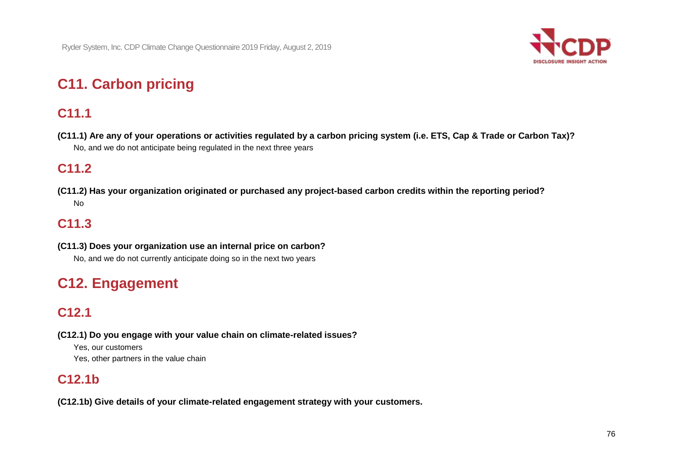

# **C11. Carbon pricing**

# **C11.1**

 **(C11.1) Are any of your operations or activities regulated by a carbon pricing system (i.e. ETS, Cap & Trade or Carbon Tax)?**  No, and we do not anticipate being regulated in the next three years

# **C11.2**

 **(C11.2) Has your organization originated or purchased any project-based carbon credits within the reporting period?**  No

## **C11.3**

 **(C11.3) Does your organization use an internal price on carbon?**  No, and we do not currently anticipate doing so in the next two years

# **C12. Engagement**

## **C12.1**

 **(C12.1) Do you engage with your value chain on climate-related issues?** 

Yes, our customers Yes, other partners in the value chain

## **C12.1b**

 **(C12.1b) Give details of your climate-related engagement strategy with your customers.**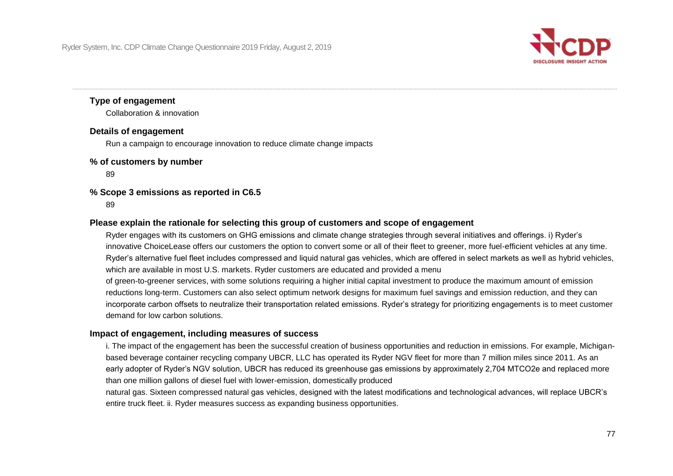

#### **Type of engagement**

Collaboration & innovation

#### **Details of engagement**

Run a campaign to encourage innovation to reduce climate change impacts

#### **% of customers by number**

89

#### **% Scope 3 emissions as reported in C6.5**

89

#### **Please explain the rationale for selecting this group of customers and scope of engagement**

 Ryder engages with its customers on GHG emissions and climate change strategies through several initiatives and offerings. i) Ryder's innovative ChoiceLease offers our customers the option to convert some or all of their fleet to greener, more fuel-efficient vehicles at any time. Ryder's alternative fuel fleet includes compressed and liquid natural gas vehicles, which are offered in select markets as well as hybrid vehicles, which are available in most U.S. markets. Ryder customers are educated and provided a menu

of green-to-greener services, with some solutions requiring a higher initial capital investment to produce the maximum amount of emission reductions long-term. Customers can also select optimum network designs for maximum fuel savings and emission reduction, and they can incorporate carbon offsets to neutralize their transportation related emissions. Ryder's strategy for prioritizing engagements is to meet customer demand for low carbon solutions.

#### **Impact of engagement, including measures of success**

 based beverage container recycling company UBCR, LLC has operated its Ryder NGV fleet for more than 7 million miles since 2011. As an i. The impact of the engagement has been the successful creation of business opportunities and reduction in emissions. For example, Michiganearly adopter of Ryder's NGV solution, UBCR has reduced its greenhouse gas emissions by approximately 2,704 MTCO2e and replaced more than one million gallons of diesel fuel with lower-emission, domestically produced

natural gas. Sixteen compressed natural gas vehicles, designed with the latest modifications and technological advances, will replace UBCR's entire truck fleet. ii. Ryder measures success as expanding business opportunities.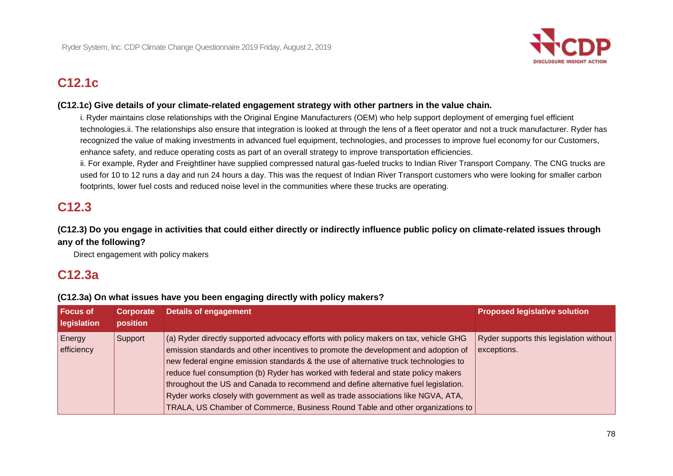

# **C12.1c**

#### **(C12.1c) Give details of your climate-related engagement strategy with other partners in the value chain.**

 recognized the value of making investments in advanced fuel equipment, technologies, and processes to improve fuel economy for our Customers, i. Ryder maintains close relationships with the Original Engine Manufacturers (OEM) who help support deployment of emerging fuel efficient [technologies.ii.](https://technologies.ii) The relationships also ensure that integration is looked at through the lens of a fleet operator and not a truck manufacturer. Ryder has enhance safety, and reduce operating costs as part of an overall strategy to improve transportation efficiencies.

 used for 10 to 12 runs a day and run 24 hours a day. This was the request of Indian River Transport customers who were looking for smaller carbon ii. For example, Ryder and Freightliner have supplied compressed natural gas-fueled trucks to Indian River Transport Company. The CNG trucks are footprints, lower fuel costs and reduced noise level in the communities where these trucks are operating.

## **C12.3**

### **(C12.3) Do you engage in activities that could either directly or indirectly influence public policy on climate-related issues through any of the following?**

Direct engagement with policy makers

## **C12.3a**

#### **(C12.3a) On what issues have you been engaging directly with policy makers?**

| <b>Focus of</b><br>legislation | Corporate<br>position | <b>Details of engagement</b>                                                                                                                                                                                                                                                                                                                                                                                                                                                                                                                                                                                         | <b>Proposed legislative solution</b>                   |
|--------------------------------|-----------------------|----------------------------------------------------------------------------------------------------------------------------------------------------------------------------------------------------------------------------------------------------------------------------------------------------------------------------------------------------------------------------------------------------------------------------------------------------------------------------------------------------------------------------------------------------------------------------------------------------------------------|--------------------------------------------------------|
| Energy<br>efficiency           | Support               | (a) Ryder directly supported advocacy efforts with policy makers on tax, vehicle GHG<br>emission standards and other incentives to promote the development and adoption of<br>new federal engine emission standards & the use of alternative truck technologies to<br>reduce fuel consumption (b) Ryder has worked with federal and state policy makers<br>throughout the US and Canada to recommend and define alternative fuel legislation.<br>Ryder works closely with government as well as trade associations like NGVA, ATA,<br>TRALA, US Chamber of Commerce, Business Round Table and other organizations to | Ryder supports this legislation without<br>exceptions. |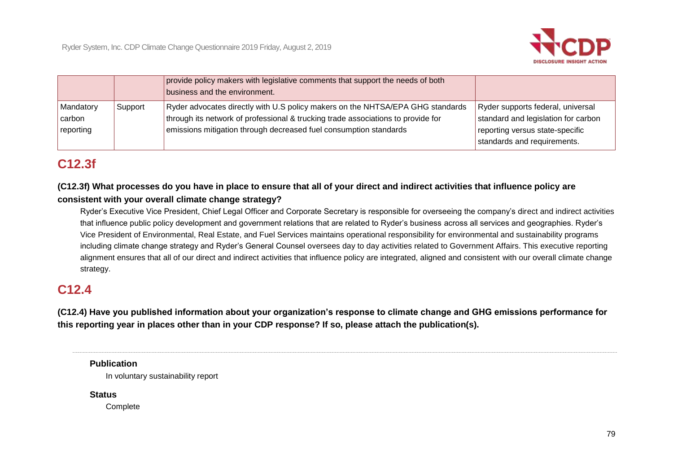

|                                  |         | provide policy makers with legislative comments that support the needs of both<br>business and the environment.                                                                                                                         |                                                                                                                                            |
|----------------------------------|---------|-----------------------------------------------------------------------------------------------------------------------------------------------------------------------------------------------------------------------------------------|--------------------------------------------------------------------------------------------------------------------------------------------|
| Mandatory<br>carbon<br>reporting | Support | Ryder advocates directly with U.S policy makers on the NHTSA/EPA GHG standards<br>through its network of professional & trucking trade associations to provide for<br>emissions mitigation through decreased fuel consumption standards | Ryder supports federal, universal<br>standard and legislation for carbon<br>reporting versus state-specific<br>standards and requirements. |

## **C12.3f**

 **(C12.3f) What processes do you have in place to ensure that all of your direct and indirect activities that influence policy are consistent with your overall climate change strategy?** 

Ryder's Executive Vice President, Chief Legal Officer and Corporate Secretary is responsible for overseeing the company's direct and indirect activities that influence public policy development and government relations that are related to Ryder's business across all services and geographies. Ryder's Vice President of Environmental, Real Estate, and Fuel Services maintains operational responsibility for environmental and sustainability programs including climate change strategy and Ryder's General Counsel oversees day to day activities related to Government Affairs. This executive reporting alignment ensures that all of our direct and indirect activities that influence policy are integrated, aligned and consistent with our overall climate change strategy.

## **C12.4**

 **(C12.4) Have you published information about your organization's response to climate change and GHG emissions performance for this reporting year in places other than in your CDP response? If so, please attach the publication(s).** 

#### **Publication**

In voluntary sustainability report

**Status** 

**Complete**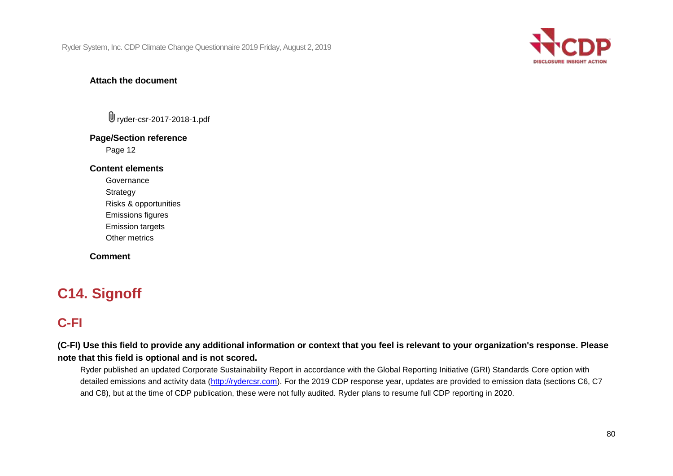

#### **Attach the document**

ryder-csr-2017-2018-1.pdf

### **Page/Section reference**

Page 12

#### **Content elements**

Governance

**Strategy** 

Risks & opportunities

Emissions figures

Emission targets

Other metrics

**Comment** 

# **C14. Signoff**

# **C-FI**

 **(C-FI) Use this field to provide any additional information or context that you feel is relevant to your organization's response. Please note that this field is optional and is not scored.** 

Ryder published an updated Corporate Sustainability Report in accordance with the Global Reporting Initiative (GRI) Standards Core option with detailed emissions and activity data [\(http://rydercsr.com\)](http://rydercsr.com/). For the 2019 CDP response year, updates are provided to emission data (sections C6, C7 and C8), but at the time of CDP publication, these were not fully audited. Ryder plans to resume full CDP reporting in 2020.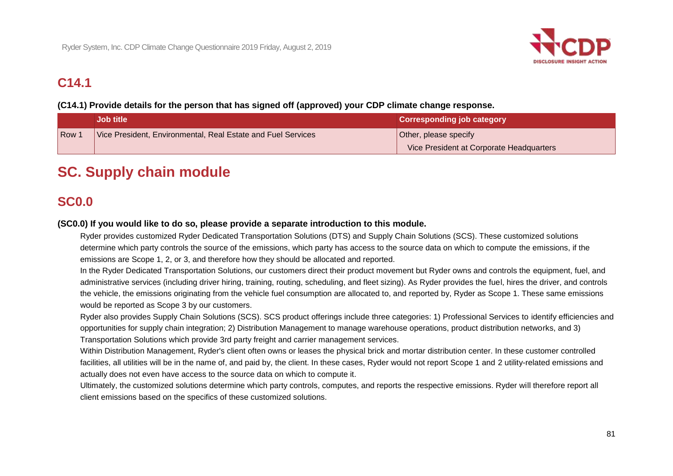

## **C14.1**

### **(C14.1) Provide details for the person that has signed off (approved) your CDP climate change response.**

|                  | <b>Job title</b>                                             | <b>Corresponding job category</b>        |
|------------------|--------------------------------------------------------------|------------------------------------------|
| Row <sup>.</sup> | Vice President, Environmental, Real Estate and Fuel Services | Other, please specify                    |
|                  |                                                              | Vice President at Corporate Headquarters |

# **SC. Supply chain module**

## **SC0.0**

#### **(SC0.0) If you would like to do so, please provide a separate introduction to this module.**

 emissions are Scope 1, 2, or 3, and therefore how they should be allocated and reported. Ryder provides customized Ryder Dedicated Transportation Solutions (DTS) and Supply Chain Solutions (SCS). These customized solutions determine which party controls the source of the emissions, which party has access to the source data on which to compute the emissions, if the

In the Ryder Dedicated Transportation Solutions, our customers direct their product movement but Ryder owns and controls the equipment, fuel, and administrative services (including driver hiring, training, routing, scheduling, and fleet sizing). As Ryder provides the fuel, hires the driver, and controls the vehicle, the emissions originating from the vehicle fuel consumption are allocated to, and reported by, Ryder as Scope 1. These same emissions would be reported as Scope 3 by our customers.

Ryder also provides Supply Chain Solutions (SCS). SCS product offerings include three categories: 1) Professional Services to identify efficiencies and opportunities for supply chain integration; 2) Distribution Management to manage warehouse operations, product distribution networks, and 3) Transportation Solutions which provide 3rd party freight and carrier management services.

 facilities, all utilities will be in the name of, and paid by, the client. In these cases, Ryder would not report Scope 1 and 2 utility-related emissions and Within Distribution Management, Ryder's client often owns or leases the physical brick and mortar distribution center. In these customer controlled actually does not even have access to the source data on which to compute it.

Ultimately, the customized solutions determine which party controls, computes, and reports the respective emissions. Ryder will therefore report all client emissions based on the specifics of these customized solutions.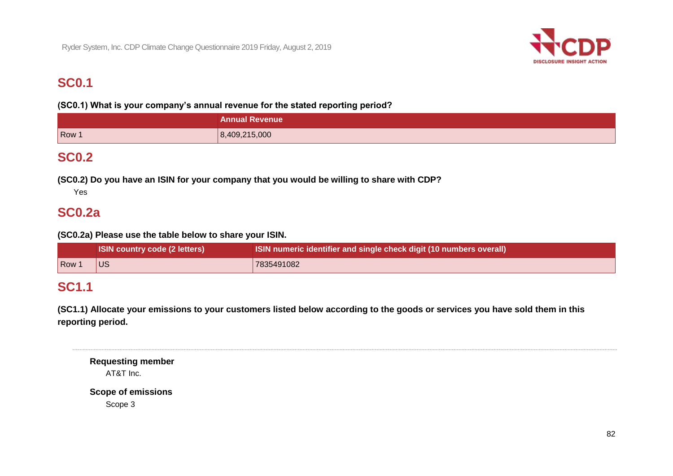

## **SC0.1**

 **(SC0.1) What is your company's annual revenue for the stated reporting period?**

|       | <b>Annual Revenue</b> |
|-------|-----------------------|
| Row 1 | 8,409,215,000         |

## **SC0.2**

 **(SC0.2) Do you have an ISIN for your company that you would be willing to share with CDP?** 

Yes

## **SC0.2a**

 **(SC0.2a) Please use the table below to share your ISIN.** 

|       | <b>ISIN country code (2 letters)</b> | <b>ISIN numeric identifier and single check digit (10 numbers overall)</b> |
|-------|--------------------------------------|----------------------------------------------------------------------------|
| Row 1 | <b>IUS</b>                           | 7835491082                                                                 |

## **SC1.1**

 **(SC1.1) Allocate your emissions to your customers listed below according to the goods or services you have sold them in this reporting period.** 

**Requesting member**  AT&T Inc.

**Scope of emissions**  Scope 3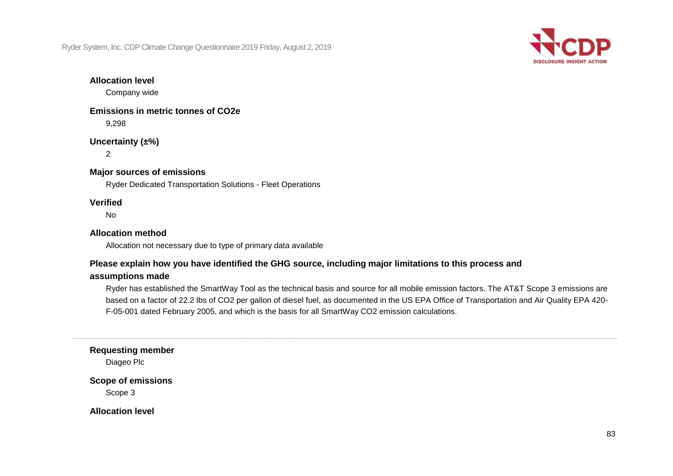

#### **Allocation level**

Company wide

 **Emissions in metric tonnes of CO2e**  9,298

**Uncertainty (±%)** 

2

#### **Major sources of emissions**

Ryder Dedicated Transportation Solutions - Fleet Operations

#### **Verified**

No

#### **Allocation method**

Allocation not necessary due to type of primary data available

#### **Please explain how you have identified the GHG source, including major limitations to this process and**

#### **assumptions made**

Ryder has established the SmartWay Tool as the technical basis and source for all mobile emission factors. The AT&T Scope 3 emissions are based on a factor of 22.2 lbs of CO2 per gallon of diesel fuel, as documented in the US EPA Office of Transportation and Air Quality EPA 420- F-05-001 dated February 2005, and which is the basis for all SmartWay CO2 emission calculations.

**Requesting member** 

Diageo Plc

**Scope of emissions** 

Scope 3

**Allocation level**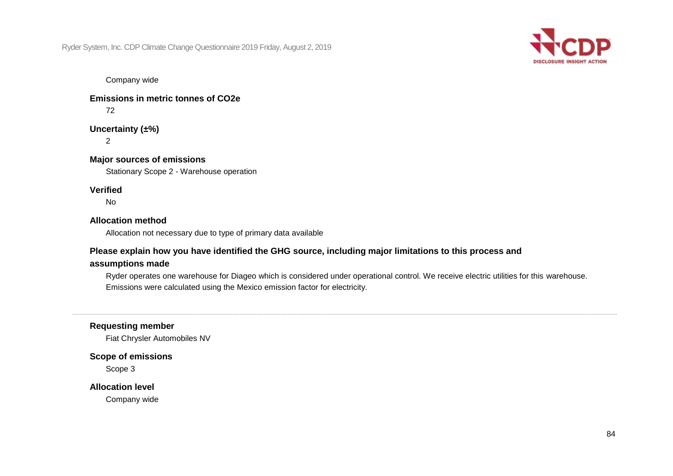

Company wide

 **Emissions in metric tonnes of CO2e** 

72

**Uncertainty (±%)** 

2

 **Major sources of emissions** 

Stationary Scope 2 - Warehouse operation

#### **Verified**

No

#### **Allocation method**

Allocation not necessary due to type of primary data available

### **Please explain how you have identified the GHG source, including major limitations to this process and**

#### **assumptions made**

 Emissions were calculated using the Mexico emission factor for electricity. Ryder operates one warehouse for Diageo which is considered under operational control. We receive electric utilities for this warehouse.

**Requesting member** 

Fiat Chrysler Automobiles NV

**Scope of emissions** 

Scope 3

#### **Allocation level**

Company wide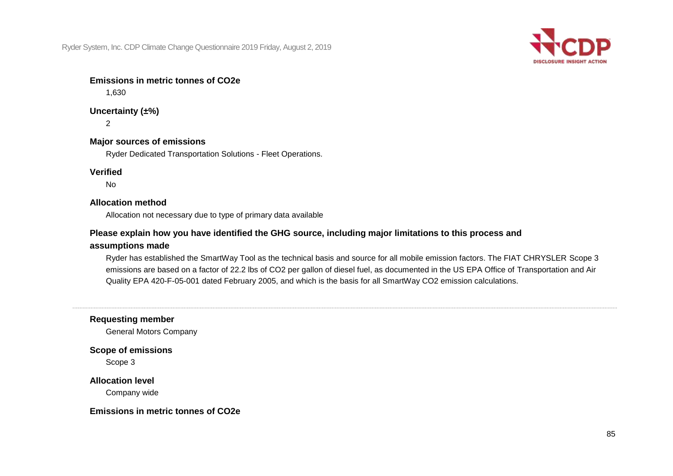

### **Emissions in metric tonnes of CO2e**

1,630

## **Uncertainty (±%)**

 $\mathfrak{D}$ 

#### **Major sources of emissions**

Ryder Dedicated Transportation Solutions - Fleet Operations.

#### **Verified**

No

#### **Allocation method**

Allocation not necessary due to type of primary data available

### **Please explain how you have identified the GHG source, including major limitations to this process and**

### **assumptions made**

 emissions are based on a factor of 22.2 lbs of CO2 per gallon of diesel fuel, as documented in the US EPA Office of Transportation and Air Quality EPA 420-F-05-001 dated February 2005, and which is the basis for all SmartWay CO2 emission calculations. Ryder has established the SmartWay Tool as the technical basis and source for all mobile emission factors. The FIAT CHRYSLER Scope 3

#### **Requesting member**

General Motors Company

#### **Scope of emissions**

Scope 3

#### **Allocation level**

Company wide

#### **Emissions in metric tonnes of CO2e**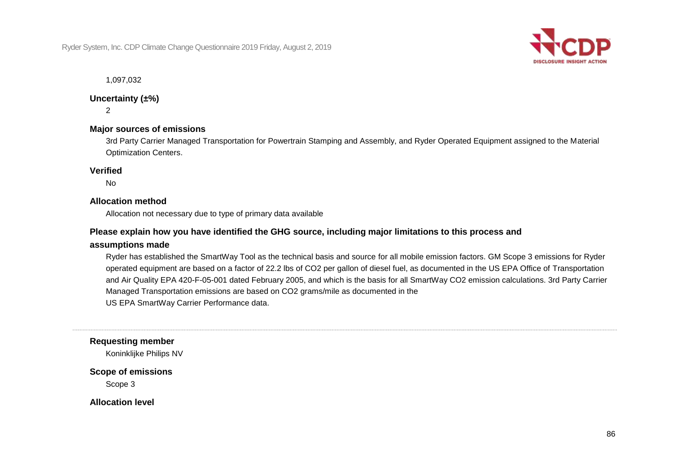

1,097,032

#### **Uncertainty (±%)**

 $\mathfrak{D}$ 

### **Major sources of emissions**

3rd Party Carrier Managed Transportation for Powertrain Stamping and Assembly, and Ryder Operated Equipment assigned to the Material Optimization Centers.

#### **Verified**

No

#### **Allocation method**

Allocation not necessary due to type of primary data available

#### **Please explain how you have identified the GHG source, including major limitations to this process and**

#### **assumptions made**

 operated equipment are based on a factor of 22.2 lbs of CO2 per gallon of diesel fuel, as documented in the US EPA Office of Transportation Ryder has established the SmartWay Tool as the technical basis and source for all mobile emission factors. GM Scope 3 emissions for Ryder and Air Quality EPA 420-F-05-001 dated February 2005, and which is the basis for all SmartWay CO2 emission calculations. 3rd Party Carrier Managed Transportation emissions are based on CO2 grams/mile as documented in the US EPA SmartWay Carrier Performance data.

#### **Requesting member**

Koninklijke Philips NV

#### **Scope of emissions**

Scope 3

**Allocation level**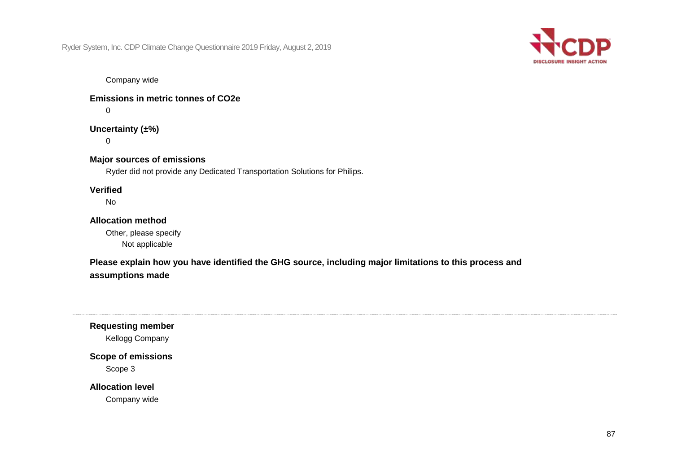

Company wide

 **Emissions in metric tonnes of CO2e** 

 $\Omega$ 

**Uncertainty (±%)** 

 $\Omega$ 

 **Major sources of emissions** 

Ryder did not provide any Dedicated Transportation Solutions for Philips.

### **Verified**

No

### **Allocation method**

Other, please specify Not applicable

 **Please explain how you have identified the GHG source, including major limitations to this process and assumptions made** 

**Requesting member** 

Kellogg Company

**Scope of emissions**  Scope 3

**Allocation level** 

Company wide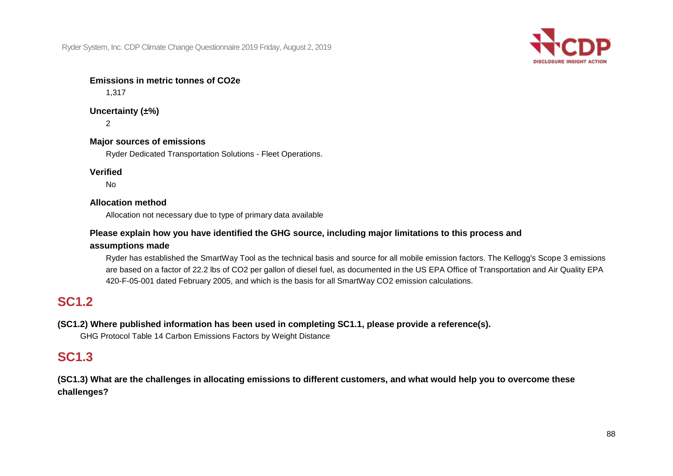

### **Emissions in metric tonnes of CO2e**

1,317

**Uncertainty (±%)**   $\mathfrak{D}$ 

 **Major sources of emissions** 

Ryder Dedicated Transportation Solutions - Fleet Operations.

**Verified** 

No

#### **Allocation method**

Allocation not necessary due to type of primary data available

### **Please explain how you have identified the GHG source, including major limitations to this process and**

#### **assumptions made**

 Ryder has established the SmartWay Tool as the technical basis and source for all mobile emission factors. The Kellogg's Scope 3 emissions are based on a factor of 22.2 lbs of CO2 per gallon of diesel fuel, as documented in the US EPA Office of Transportation and Air Quality EPA 420-F-05-001 dated February 2005, and which is the basis for all SmartWay CO2 emission calculations.

# **SC1.2**

### **(SC1.2) Where published information has been used in completing SC1.1, please provide a reference(s).**

GHG Protocol Table 14 Carbon Emissions Factors by Weight Distance

## **SC1.3**

 **(SC1.3) What are the challenges in allocating emissions to different customers, and what would help you to overcome these challenges?**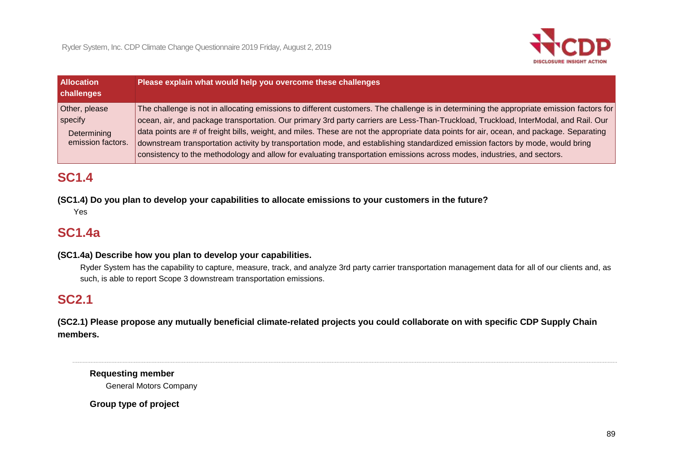

| <b>Allocation</b><br>challenges                              | Please explain what would help you overcome these challenges                                                                                                                                                                                                                                                                                                                                                                                                                                                                                                                                                                                                                               |
|--------------------------------------------------------------|--------------------------------------------------------------------------------------------------------------------------------------------------------------------------------------------------------------------------------------------------------------------------------------------------------------------------------------------------------------------------------------------------------------------------------------------------------------------------------------------------------------------------------------------------------------------------------------------------------------------------------------------------------------------------------------------|
| Other, please<br>specify<br>Determining<br>emission factors. | The challenge is not in allocating emissions to different customers. The challenge is in determining the appropriate emission factors for<br>ocean, air, and package transportation. Our primary 3rd party carriers are Less-Than-Truckload, Truckload, InterModal, and Rail. Our<br>data points are # of freight bills, weight, and miles. These are not the appropriate data points for air, ocean, and package. Separating<br>downstream transportation activity by transportation mode, and establishing standardized emission factors by mode, would bring<br>consistency to the methodology and allow for evaluating transportation emissions across modes, industries, and sectors. |

## **SC1.4**

 **(SC1.4) Do you plan to develop your capabilities to allocate emissions to your customers in the future?** 

Yes

# **SC1.4a**

#### **(SC1.4a) Describe how you plan to develop your capabilities.**

Ryder System has the capability to capture, measure, track, and analyze 3rd party carrier transportation management data for all of our clients and, as such, is able to report Scope 3 downstream transportation emissions.

## **SC2.1**

 **(SC2.1) Please propose any mutually beneficial climate-related projects you could collaborate on with specific CDP Supply Chain members.** 

**Requesting member**  General Motors Company

 **Group type of project**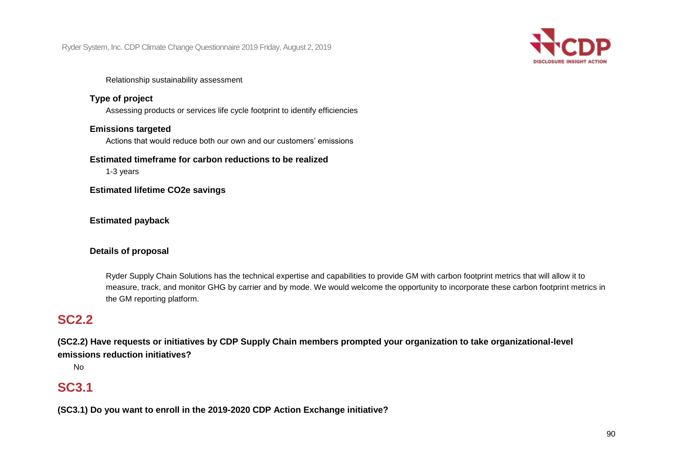

#### Relationship sustainability assessment

#### **Type of project**

Assessing products or services life cycle footprint to identify efficiencies

#### **Emissions targeted**

Actions that would reduce both our own and our customers' emissions

#### **Estimated timeframe for carbon reductions to be realized**

1-3 years

 **Estimated lifetime CO2e savings** 

#### **Estimated payback**

#### **Details of proposal**

 Ryder Supply Chain Solutions has the technical expertise and capabilities to provide GM with carbon footprint metrics that will allow it to measure, track, and monitor GHG by carrier and by mode. We would welcome the opportunity to incorporate these carbon footprint metrics in the GM reporting platform.

## **SC2.2**

 **(SC2.2) Have requests or initiatives by CDP Supply Chain members prompted your organization to take organizational-level emissions reduction initiatives?** 

No

## **SC3.1**

 **(SC3.1) Do you want to enroll in the 2019-2020 CDP Action Exchange initiative?**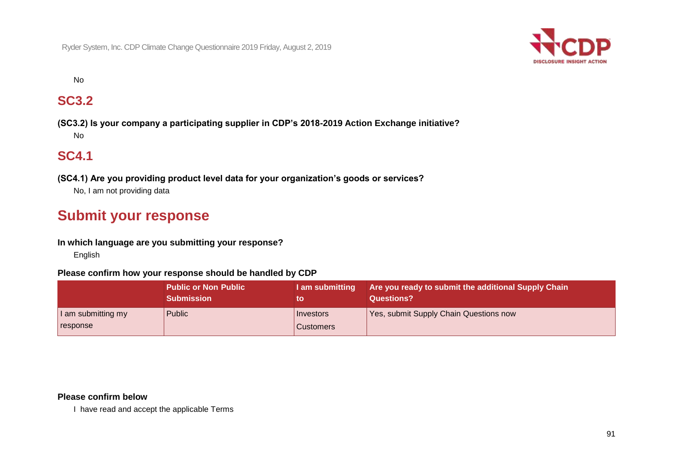

No

## **SC3.2**

 **(SC3.2) Is your company a participating supplier in CDP's 2018-2019 Action Exchange initiative?**  No

## **SC4.1**

 **(SC4.1) Are you providing product level data for your organization's goods or services?** No, I am not providing data

# **Submit your response**

#### **In which language are you submitting your response?**

English

#### **Please confirm how your response should be handled by CDP**

|                                | <b>Public or Non Public</b> | I am submitting               | Are you ready to submit the additional Supply Chain |
|--------------------------------|-----------------------------|-------------------------------|-----------------------------------------------------|
|                                | <b>Submission</b>           | to                            | Questions?                                          |
| I am submitting my<br>response | <b>Public</b>               | Investors<br><b>Customers</b> | Yes, submit Supply Chain Questions now              |

#### **Please confirm below**

I have read and accept the applicable Terms